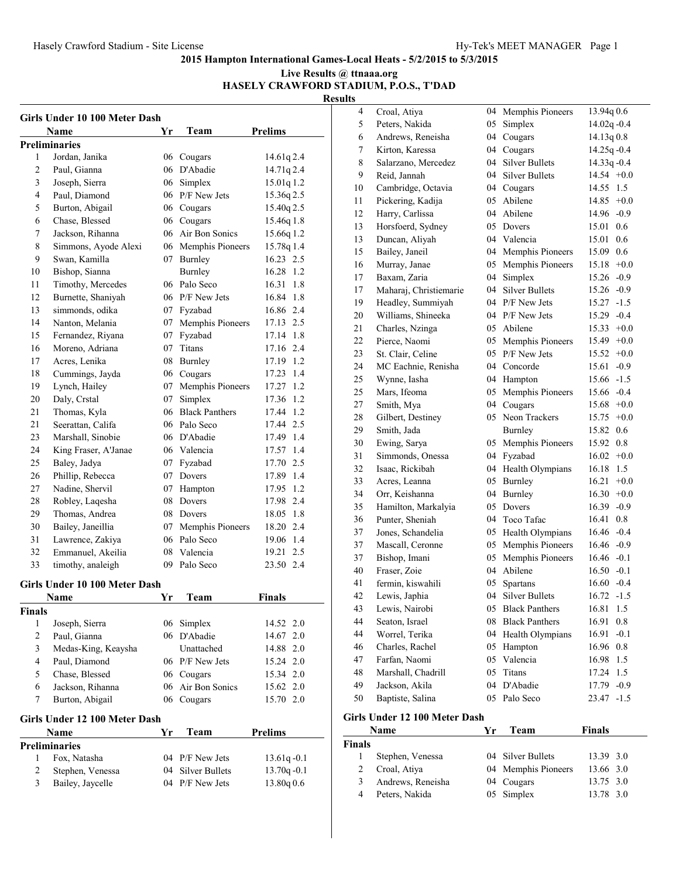#### **Live Results @ ttnaaa.org HASELY CRAWFORD STADIUM, P.O.S., T'DAD**

**Results**

| Girls Under 10 100 Meter Dash |                                 |    |                               |                        |  |
|-------------------------------|---------------------------------|----|-------------------------------|------------------------|--|
|                               | Name                            | Yr | Team                          | <b>Prelims</b>         |  |
|                               | <b>Preliminaries</b>            |    |                               |                        |  |
| 1                             | Jordan, Janika                  |    | 06 Cougars                    | 14.61q 2.4             |  |
| 2                             | Paul, Gianna                    |    | 06 D'Abadie                   | 14.71q 2.4             |  |
| 3                             | Joseph, Sierra                  |    | 06 Simplex                    | 15.01q 1.2             |  |
| 4                             | Paul, Diamond                   |    | 06 P/F New Jets               | 15.36q 2.5             |  |
| 5                             | Burton, Abigail                 |    | 06 Cougars                    | 15.40q 2.5             |  |
| 6                             | Chase, Blessed                  |    | 06 Cougars                    | 15.46q 1.8             |  |
| 7                             | Jackson, Rihanna                |    | 06 Air Bon Sonics             | 15.66q 1.2             |  |
| 8                             | Simmons, Ayode Alexi            |    | 06 Memphis Pioneers           | 15.78q 1.4             |  |
| 9                             | Swan, Kamilla                   |    | 07 Burnley                    | 16.23 2.5              |  |
| 10                            | Bishop, Sianna                  |    | <b>Burnley</b>                | 16.28 1.2              |  |
| 11                            | Timothy, Mercedes               |    | 06 Palo Seco                  | 16.31 1.8              |  |
| 12                            | Burnette, Shaniyah              |    | 06 P/F New Jets               | 16.84 1.8              |  |
| 13                            | simmonds, odika                 |    | 07 Fyzabad                    | 16.86 2.4              |  |
| 14                            | Nanton, Melania                 |    | 07 Memphis Pioneers           | 17.13 2.5              |  |
| 15                            | Fernandez, Riyana               |    | 07 Fyzabad                    | 17.14 1.8              |  |
| 16                            | Moreno, Adriana                 |    | 07 Titans                     | 17.16 2.4              |  |
| 17                            | Acres, Lenika                   |    | 08 Burnley                    | 17.19 1.2              |  |
| 18                            | Cummings, Jayda                 |    | 06 Cougars                    | 17.23 1.4              |  |
| 19                            | Lynch, Hailey                   |    | 07 Memphis Pioneers           | 17.27 1.2              |  |
| 20                            | Daly, Crstal                    |    | 07 Simplex                    | 17.36 1.2              |  |
| 21                            | Thomas, Kyla                    |    | 06 Black Panthers             | 17.44 1.2              |  |
| 21                            | Seerattan, Califa               |    | 06 Palo Seco                  | 17.44 2.5              |  |
| 23                            | Marshall, Sinobie               |    | 06 D'Abadie                   | 17.49 1.4              |  |
| 24                            | King Fraser, A'Janae            |    | 06 Valencia                   | 17.57 1.4              |  |
| 25                            | Baley, Jadya                    |    | 07 Fyzabad                    | 17.70 2.5              |  |
| 26                            | Phillip, Rebecca                |    | 07 Dovers                     | 17.89 1.4              |  |
| 27                            | Nadine, Shervil                 |    | 07 Hampton                    | 17.95 1.2              |  |
| 28                            | Robley, Laqesha                 |    | 08 Dovers                     | 17.98 2.4              |  |
| 29                            | Thomas, Andrea                  |    | 08 Dovers                     | 18.05 1.8              |  |
| 30                            | Bailey, Janeillia               |    | 07 Memphis Pioneers           | 18.20 2.4              |  |
| 31                            | Lawrence, Zakiya                |    | 06 Palo Seco                  | 19.06 1.4              |  |
| 32                            | Emmanuel, Akeilia               |    | 08 Valencia                   | 19.21 2.5              |  |
| 33                            | timothy, analeigh               |    | 09 Palo Seco                  | 23.50 2.4              |  |
|                               |                                 |    |                               |                        |  |
|                               | Girls Under 10 100 Meter Dash   |    |                               |                        |  |
|                               | Name                            | Yr | Team                          | <b>Finals</b>          |  |
| <b>Finals</b>                 |                                 |    |                               |                        |  |
| 1<br>2                        | Joseph, Sierra                  |    | 06 Simplex                    | 14.52 2.0              |  |
|                               | Paul, Gianna                    |    | 06 D'Abadie                   | 14.67 2.0              |  |
| 3                             | Medas-King, Keaysha             |    | Unattached<br>06 P/F New Jets | 14.88 2.0<br>15.24 2.0 |  |
| 4<br>5                        | Paul, Diamond<br>Chase, Blessed |    |                               |                        |  |
|                               |                                 |    | 06 Cougars                    | 15.34 2.0              |  |
| 6                             | Jackson, Rihanna                |    | 06 Air Bon Sonics             | 15.62 2.0              |  |
| 7                             | Burton, Abigail                 |    | 06 Cougars                    | 15.70 2.0              |  |
|                               | Girls Under 12 100 Meter Dash   |    |                               |                        |  |
|                               | Name                            | Yr | Team                          | <b>Prelims</b>         |  |
|                               | <b>Preliminaries</b>            |    |                               |                        |  |
| 1                             | Fox, Natasha                    |    | 04 P/F New Jets               | $13.61q - 0.1$         |  |
| 2                             | Stephen, Venessa                |    | 04 Silver Bullets             | $13.70q - 0.1$         |  |
| 3                             | Bailey, Jaycelle                |    | 04 P/F New Jets               | 13.80q 0.6             |  |
|                               |                                 |    |                               |                        |  |

| 4             | Croal, Atiya                  | 04 | Memphis Pioneers      | 13.94q 0.6      |  |
|---------------|-------------------------------|----|-----------------------|-----------------|--|
| 5             | Peters, Nakida                | 05 | Simplex               | $14.02q - 0.4$  |  |
| 6             | Andrews, Reneisha             | 04 | Cougars               | 14.13q 0.8      |  |
| 7             | Kirton, Karessa               | 04 | Cougars               | $14.25q - 0.4$  |  |
| 8             | Salarzano, Mercedez           | 04 | <b>Silver Bullets</b> | 14.33q-0.4      |  |
| 9             | Reid, Jannah                  | 04 | Silver Bullets        | $14.54 +0.0$    |  |
| 10            | Cambridge, Octavia            | 04 | Cougars               | 14.55 1.5       |  |
| 11            | Pickering, Kadija             | 05 | Abilene               | $14.85 +0.0$    |  |
| 12            | Harry, Carlissa               | 04 | Abilene               | 14.96 -0.9      |  |
| 13            | Horsfoerd, Sydney             | 05 | Dovers                | 15.01 0.6       |  |
| 13            | Duncan, Aliyah                | 04 | Valencia              | 0.6<br>15.01    |  |
| 15            | Bailey, Janeil                | 04 | Memphis Pioneers      | 0.6<br>15.09    |  |
| 16            | Murray, Janae                 | 05 | Memphis Pioneers      | $15.18 + 0.0$   |  |
| 17            | Baxam, Zaria                  | 04 | Simplex               | $15.26 -0.9$    |  |
| 17            | Maharaj, Christiemarie        | 04 | <b>Silver Bullets</b> | $15.26 -0.9$    |  |
| 19            | Headley, Summiyah             | 04 | P/F New Jets          | $15.27 - 1.5$   |  |
| 20            | Williams, Shineeka            | 04 | P/F New Jets          | $15.29 -0.4$    |  |
| 21            | Charles, Nzinga               | 05 | Abilene               | $15.33 + 0.0$   |  |
| 22            | Pierce, Naomi                 | 05 | Memphis Pioneers      | $15.49 +0.0$    |  |
| 23            | St. Clair, Celine             | 05 | P/F New Jets          | $15.52 +0.0$    |  |
| 24            | MC Eachnie, Renisha           |    | 04 Concorde           | $15.61 - 0.9$   |  |
| 25            | Wynne, Iasha                  | 04 | Hampton               | 15.66 -1.5      |  |
| 25            | Mars, Ifeoma                  | 05 | Memphis Pioneers      | $15.66 - 0.4$   |  |
| 27            | Smith, Mya                    | 04 | Cougars               | $15.68 + 0.0$   |  |
| 28            | Gilbert, Destiney             | 05 | Neon Trackers         | 15.75<br>$+0.0$ |  |
| 29            | Smith, Jada                   |    | <b>Burnley</b>        | 15.82 0.6       |  |
| 30            | Ewing, Sarya                  | 05 | Memphis Pioneers      | 15.92<br>0.8    |  |
| 31            | Simmonds, Onessa              | 04 | Fyzabad               | $16.02 +0.0$    |  |
| 32            | Isaac, Rickibah               | 04 | Health Olympians      | 16.18<br>1.5    |  |
| 33            | Acres, Leanna                 | 05 | <b>Burnley</b>        | $+0.0$<br>16.21 |  |
| 34            | Orr, Keishanna                | 04 | Burnley               | $16.30 + 0.0$   |  |
| 35            | Hamilton, Markalyia           | 05 | Dovers                | $16.39 - 0.9$   |  |
| 36            | Punter, Sheniah               | 04 | Toco Tafac            | 16.41<br>0.8    |  |
| 37            | Jones, Schandelia             | 05 | Health Olympians      | $16.46 - 0.4$   |  |
| 37            | Mascall, Ceronne              | 05 | Memphis Pioneers      | $16.46 - 0.9$   |  |
| 37            | Bishop, Imani                 | 05 | Memphis Pioneers      | $16.46 - 0.1$   |  |
| 40            | Fraser, Zoie                  | 04 | Abilene               | $16.50 - 0.1$   |  |
| 41            | fermin, kiswahili             | 05 | Spartans              | $16.60 -0.4$    |  |
| 42            | Lewis. Japhia                 |    | 04 Silver Bullets     | $16.72 - 1.5$   |  |
| 43            | Lewis, Nairobi                | 05 | <b>Black Panthers</b> | 16.81<br>1.5    |  |
| 44            | Seaton, Israel                | 08 | <b>Black Panthers</b> | 16.91<br>0.8    |  |
| 44            | Worrel, Terika                | 04 | Health Olympians      | $-0.1$<br>16.91 |  |
| 46            | Charles, Rachel               | 05 | Hampton               | 16.96<br>0.8    |  |
| 47            | Farfan, Naomi                 | 05 | Valencia              | 1.5<br>16.98    |  |
| 48            | Marshall, Chadrill            | 05 | Titans                | 1.5<br>17.24    |  |
| 49            | Jackson, Akila                | 04 | D'Abadie              | 17.79<br>$-0.9$ |  |
| 50            | Baptiste, Salina              | 05 | Palo Seco             | $23.47 -1.5$    |  |
|               | Girls Under 12 100 Meter Dash |    |                       |                 |  |
|               | Name                          | Yr | Team                  | <b>Finals</b>   |  |
| <b>Finals</b> |                               |    |                       |                 |  |
| 1             | Stephen, Venessa              | 04 | <b>Silver Bullets</b> | 13.39<br>3.0    |  |
| 2             | Croal, Atiya                  | 04 | Memphis Pioneers      | 13.66<br>3.0    |  |
| 3             | Andrews, Reneisha             | 04 | Cougars               | 13.75 3.0       |  |

Peters, Nakida 05 Simplex 13.78 3.0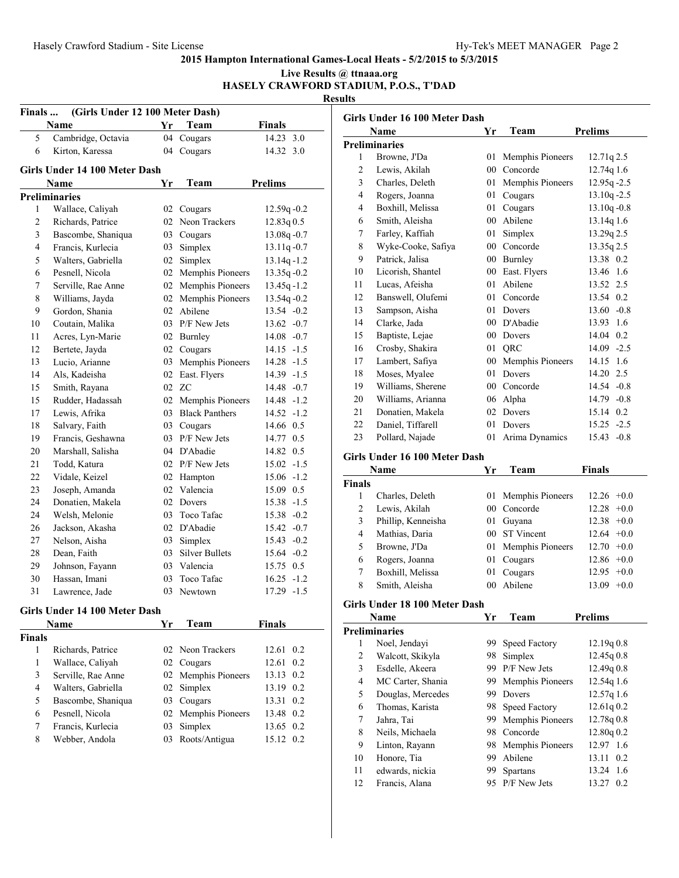#### **2015 Hampton International Games-Local Heats - 5/2/2015 to 5/3/2015 Live Results @ ttnaaa.org**

**HASELY CRAWFORD STADIUM, P.O.S., T'DAD**

| Finals         | (Girls Under 12 100 Meter Dash)<br>Name | Yr | Team                              | <b>Finals</b>  |
|----------------|-----------------------------------------|----|-----------------------------------|----------------|
| 5              | Cambridge, Octavia                      |    | 04 Cougars                        | 14.23 3.0      |
| 6              | Kirton, Karessa                         |    | 04 Cougars                        | 14.32 3.0      |
|                |                                         |    |                                   |                |
|                | Girls Under 14 100 Meter Dash           |    |                                   |                |
|                | Name                                    | Yr | Team                              | <b>Prelims</b> |
|                | <b>Preliminaries</b>                    |    |                                   |                |
| 1              | Wallace, Caliyah                        |    | 02 Cougars                        | 12.59q-0.2     |
| 2              | Richards, Patrice                       |    | 02 Neon Trackers                  | 12.83q0.5      |
| 3              | Bascombe, Shaniqua                      |    | 03 Cougars                        | $13.08q - 0.7$ |
| $\overline{4}$ | Francis, Kurlecia                       |    | 03 Simplex                        | $13.11q - 0.7$ |
| 5              | Walters, Gabriella                      |    | 02 Simplex                        | $13.14q - 1.2$ |
| 6              | Pesnell, Nicola                         |    | 02 Memphis Pioneers               | $13.35q - 0.2$ |
| 7              | Serville, Rae Anne                      |    | 02 Memphis Pioneers               | $13.45q - 1.2$ |
| 8              | Williams, Jayda                         |    | 02 Memphis Pioneers               | $13.54q - 0.2$ |
| 9              | Gordon, Shania                          |    | 02 Abilene                        | 13.54 -0.2     |
| 10             | Coutain, Malika                         |    | 03 P/F New Jets                   | $13.62 -0.7$   |
| 11             | Acres, Lyn-Marie                        |    | 02 Burnley                        | $14.08 - 0.7$  |
| 12             | Bertete, Jayda                          |    | 02 Cougars                        | $14.15 - 1.5$  |
| 13             | Lucio, Arianne                          |    | 03 Memphis Pioneers               | $14.28 - 1.5$  |
| 14             | Als, Kadeisha                           |    | 02 East. Flyers                   | 14.39 -1.5     |
| 15             | Smith, Rayana                           |    | 02 ZC                             | 14.48 -0.7     |
| 15             | Rudder, Hadassah                        |    | 02 Memphis Pioneers               | $14.48 - 1.2$  |
| 17             | Lewis, Afrika                           |    | 03 Black Panthers                 | $14.52 - 1.2$  |
| 18             | Salvary, Faith                          |    | 03 Cougars                        | 14.66 0.5      |
| 19             | Francis, Geshawna                       |    | 03 P/F New Jets                   | 14.77 0.5      |
| 20             | Marshall, Salisha                       |    | 04 D'Abadie                       | 14.82 0.5      |
| 21             | Todd, Katura                            |    | 02 P/F New Jets                   | $15.02 -1.5$   |
| 22             | Vidale, Keizel                          |    | 02 Hampton                        | $15.06 - 1.2$  |
| 23             | Joseph, Amanda                          |    | 02 Valencia                       | 15.09 0.5      |
| 24             | Donatien, Makela                        |    | 02 Dovers                         | 15.38 -1.5     |
| 24             | Welsh, Melonie                          |    | 03 Toco Tafac                     | $15.38 - 0.2$  |
| 26             | Jackson, Akasha                         |    | 02 D'Abadie                       | $15.42 -0.7$   |
| 27             | Nelson, Aisha                           |    | 03 Simplex                        | $15.43 -0.2$   |
| 28             | Dean, Faith                             |    | 03 Silver Bullets                 | $15.64 - 0.2$  |
| 29             | Johnson, Fayann                         |    | 03 Valencia                       | 15.75 0.5      |
| 30             | Hassan, Imani                           |    | 03 Toco Tafac                     | $16.25 - 1.2$  |
| 31             | Lawrence, Jade                          |    | 03 Newtown                        | 17.29 -1.5     |
|                |                                         |    |                                   |                |
|                | Girls Under 14 100 Meter Dash<br>Name   | Yr | Team                              | <b>Finals</b>  |
|                |                                         |    |                                   |                |
| Finals<br>1    | Richards, Patrice                       |    | 02 Neon Trackers                  | 12.61 0.2      |
| $\mathbf{1}$   | Wallace, Caliyah                        |    |                                   | 12.61 0.2      |
| 3              | Serville, Rae Anne                      |    | 02 Cougars<br>02 Memphis Pioneers | 13.13 0.2      |
| 4              | Walters, Gabriella                      |    | 02 Simplex                        | 13.19 0.2      |
|                |                                         |    |                                   |                |

 Bascombe, Shaniqua 03 Cougars 13.31 0.2 Pesnell, Nicola 02 Memphis Pioneers 13.48 0.2 Francis, Kurlecia 03 Simplex 13.65 0.2 Webber, Andola 03 Roots/Antigua 15.12 0.2

**Girls Under 16 100 Meter Dash Name Yr Team Prelims Preliminaries** Browne, J'Da 01 Memphis Pioneers 12.71q 2.5 Lewis, Akilah 00 Concorde 12.74q 1.6 Charles, Deleth 01 Memphis Pioneers 12.95q -2.5 Rogers, Joanna 01 Cougars 13.10q -2.5 Boxhill, Melissa 01 Cougars 13.10q -0.8 Smith, Aleisha 00 Abilene 13.14q 1.6 Farley, Kaffiah 01 Simplex 13.29q 2.5 Wyke-Cooke, Safiya 00 Concorde 13.35q 2.5 Patrick, Jalisa 00 Burnley 13.38 0.2 Licorish, Shantel 00 East. Flyers 13.46 1.6 Lucas, Afeisha 01 Abilene 13.52 2.5 Banswell, Olufemi 01 Concorde 13.54 0.2 Sampson, Aisha 01 Dovers 13.60 -0.8 Clarke, Jada 00 D'Abadie 13.93 1.6 Baptiste, Lejae 00 Dovers 14.04 0.2 Crosby, Shakira 01 QRC 14.09 -2.5 Lambert, Safiya 00 Memphis Pioneers 14.15 1.6 Moses, Myalee 01 Dovers 14.20 2.5 Williams, Sherene 00 Concorde 14.54 -0.8 Williams, Arianna 06 Alpha 14.79 -0.8 Donatien, Makela 02 Dovers 15.14 0.2 Daniel, Tiffarell 01 Dovers 15.25 -2.5 Pollard, Najade 01 Arima Dynamics 15.43 -0.8 **Girls Under 16 100 Meter Dash Name Yr Team Finals Finals** Charles, Deleth 01 Memphis Pioneers 12.26 +0.0 Lewis, Akilah 00 Concorde 12.28 +0.0 Phillip, Kenneisha 01 Guyana 12.38 +0.0 Mathias, Daria 00 ST Vincent 12.64 +0.0 Browne, J'Da 01 Memphis Pioneers 12.70 +0.0 Rogers, Joanna 01 Cougars 12.86 +0.0 Boxhill, Melissa 01 Cougars 12.95 +0.0 Smith, Aleisha 00 Abilene 13.09 +0.0 **Girls Under 18 100 Meter Dash Name Yr Team Prelims Preliminaries** Noel, Jendayi 99 Speed Factory 12.19q 0.8 Walcott, Skikyla 98 Simplex 12.45q 0.8 Esdelle, Akeera 99 P/F New Jets 12.49q 0.8 MC Carter, Shania 99 Memphis Pioneers 12.54q 1.6 Douglas, Mercedes 99 Dovers 12.57q 1.6 Thomas, Karista 98 Speed Factory 12.61q 0.2 Jahra, Tai 99 Memphis Pioneers 12.78q 0.8 Neils, Michaela 98 Concorde 12.80q 0.2 Linton, Rayann 98 Memphis Pioneers 12.97 1.6 Honore, Tia 99 Abilene 13.11 0.2 edwards, nickia 99 Spartans 13.24 1.6 Francis, Alana 95 P/F New Jets 13.27 0.2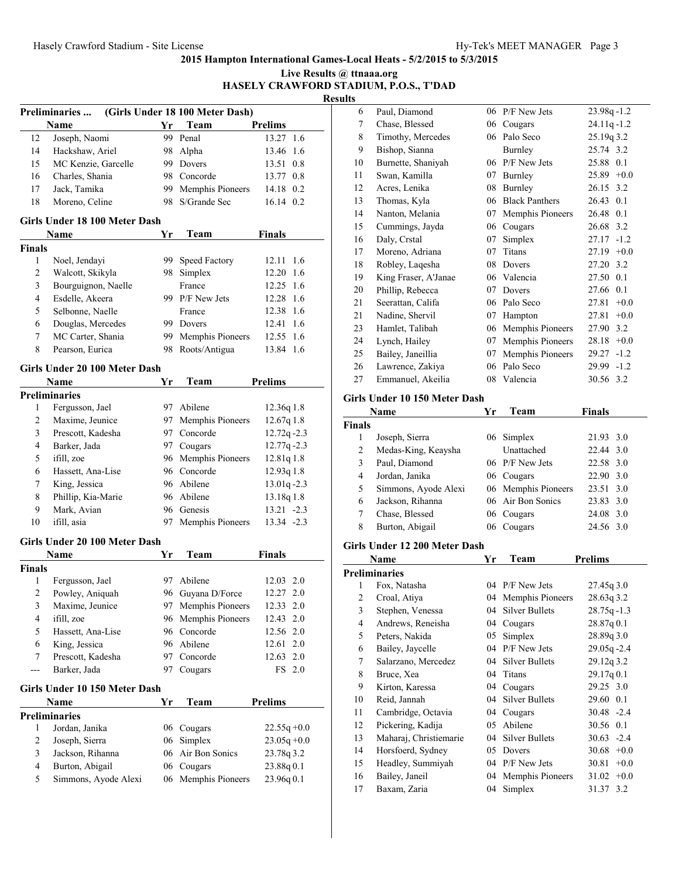|                  |                               |    |                                 |                | Live Results @ ttnaaa.org<br><b>Results</b> | HASELY CRAWFORD STADIUM, P.O.S., T'DAD |
|------------------|-------------------------------|----|---------------------------------|----------------|---------------------------------------------|----------------------------------------|
|                  | Preliminaries                 |    | (Girls Under 18 100 Meter Dash) |                | 6                                           | Paul, Diamond                          |
|                  | Name                          | Yr | Team                            | <b>Prelims</b> | $\tau$                                      | Chase, Blessed                         |
| 12               | Joseph, Naomi                 |    | 99 Penal                        | 13.27 1.6      | 8                                           | Timothy, Mercedes                      |
| 14               | Hackshaw, Ariel               |    | 98 Alpha                        | 13.46 1.6      | 9                                           | Bishop, Sianna                         |
| 15               | MC Kenzie, Garcelle           |    | 99 Dovers                       | 13.51 0.8      | 10                                          | Burnette, Shaniyah                     |
| 16               | Charles, Shania               |    | 98 Concorde                     | 13.77 0.8      | 11                                          | Swan, Kamilla                          |
| 17               | Jack, Tamika                  | 99 | Memphis Pioneers                | 14.18 0.2      | 12                                          | Acres, Lenika                          |
| 18               | Moreno, Celine                |    | 98 S/Grande Sec                 | 16.14 0.2      | 13                                          | Thomas, Kyla                           |
|                  |                               |    |                                 |                | 14                                          | Nanton, Melania                        |
|                  | Girls Under 18 100 Meter Dash |    |                                 |                | 15                                          | Cummings, Jayda                        |
|                  | Name                          | Yr | Team                            | <b>Finals</b>  | 16                                          | Daly, Crstal                           |
| <b>Finals</b>    |                               |    |                                 |                | 17                                          | Moreno, Adriana                        |
| $\mathbf{1}$     | Noel, Jendayi                 |    | 99 Speed Factory                | 12.11 1.6      | 18                                          | Robley, Laqesha                        |
| $\sqrt{2}$       | Walcott, Skikyla              |    | 98 Simplex                      | 12.20 1.6      | 19                                          | King Fraser, A'Janae                   |
| $\mathfrak{Z}$   | Bourguignon, Naelle           |    | France                          | 12.25 1.6      | 20                                          | Phillip, Rebecca                       |
| $\overline{4}$   | Esdelle, Akeera               |    | 99 P/F New Jets                 | 12.28 1.6      | 21                                          | Seerattan, Califa                      |
| $\sqrt{5}$       | Selbonne, Naelle              |    | France                          | 12.38 1.6      | 21                                          | Nadine, Shervil                        |
| 6                | Douglas, Mercedes             |    | 99 Dovers                       | 12.41 1.6      | 23                                          | Hamlet, Talibah                        |
| $\boldsymbol{7}$ | MC Carter, Shania             |    | 99 Memphis Pioneers             | 12.55 1.6      | 24                                          | Lynch, Hailey                          |
| $\,$ 8 $\,$      | Pearson, Eurica               |    | 98 Roots/Antigua                | 13.84 1.6      | 25                                          | Bailey, Janeillia                      |
|                  | Girls Under 20 100 Meter Dash |    |                                 |                | 26                                          | Lawrence, Zakiya                       |
|                  | Name                          | Yr | Team                            | <b>Prelims</b> | 27                                          | Emmanuel, Akeilia                      |
|                  | <b>Preliminaries</b>          |    |                                 |                |                                             | Girls Under 10 150 Meter               |
| 1                | Fergusson, Jael               |    | 97 Abilene                      | 12.36q1.8      |                                             | Name                                   |
| $\overline{2}$   | Maxime, Jeunice               | 97 | Memphis Pioneers                | 12.67q1.8      | <b>Finals</b>                               |                                        |
| $\mathfrak{Z}$   | Prescott, Kadesha             |    | 97 Concorde                     | $12.72q - 2.3$ | 1                                           | Joseph, Sierra                         |
| $\overline{4}$   | Barker, Jada                  |    | 97 Cougars                      | $12.77q - 2.3$ | $\overline{2}$                              | Medas-King, Keaysha                    |
| 5                | ifill, zoe                    |    | 96 Memphis Pioneers             | 12.81q 1.8     | 3                                           | Paul, Diamond                          |
| 6                | Hassett, Ana-Lise             |    | 96 Concorde                     | 12.93q 1.8     | $\overline{4}$                              | Jordan, Janika                         |
| $\tau$           | King, Jessica                 |    | 96 Abilene                      | $13.01q - 2.3$ | 5                                           | Simmons, Ayode Ale                     |
| $\,$ 8 $\,$      | Phillip, Kia-Marie            |    | 96 Abilene                      | 13.18q 1.8     | 6                                           | Jackson, Rihanna                       |
| 9                | Mark, Avian                   |    | 96 Genesis                      | $13.21 - 2.3$  | $\boldsymbol{7}$                            | Chase, Blessed                         |
| 10               | ifill, asia                   |    | 97 Memphis Pioneers             | $13.34 - 2.3$  | 8                                           | Burton, Abigail                        |
|                  | Girls Under 20 100 Meter Dash |    |                                 |                |                                             | Girls Under 12 200 Meter               |
|                  | Name                          | Yr | Team                            | <b>Finals</b>  |                                             | <b>Name</b>                            |
| <b>Finals</b>    |                               |    |                                 |                |                                             | <b>Preliminaries</b>                   |
| 1                | Fergusson, Jael               |    | 97 Abilene                      | 12.03 2.0      | 1                                           | Fox, Natasha                           |
| $\overline{c}$   | Powley, Aniquah               |    | 96 Guyana D/Force               | 12.27 2.0      | $\overline{c}$                              | Croal, Atiya                           |
| 3                | Maxime, Jeunice               | 97 | Memphis Pioneers                | 12.33 2.0      | $\mathfrak{Z}$                              | Stephen, Venessa                       |
| $\overline{4}$   | ifill, zoe                    | 96 | Memphis Pioneers                | 12.43 2.0      | $\overline{4}$                              | Andrews, Reneisha                      |
| 5                | Hassett, Ana-Lise             |    | 96 Concorde                     | 12.56 2.0      | 5                                           | Peters, Nakida                         |
| 6                | King, Jessica                 |    | 96 Abilene                      | 12.61 2.0      | 6                                           | Bailey, Jaycelle                       |
| 7                | Prescott, Kadesha             |    | 97 Concorde                     | 12.63 2.0      | $\boldsymbol{7}$                            | Salarzano, Mercedez                    |
| ---              | Barker, Jada                  |    | 97 Cougars                      | FS 2.0         | $\,$ 8 $\,$                                 | Bruce, Xea                             |
|                  | Girls Under 10 150 Meter Dash |    |                                 |                | 9                                           | Kirton, Karessa                        |
|                  | Name                          | Yr | Team                            | <b>Prelims</b> | 10                                          | Reid, Jannah                           |
|                  | <b>Preliminaries</b>          |    |                                 |                | 11                                          | Cambridge, Octavia                     |
| 1                | Jordan, Janika                |    | 06 Cougars                      | $22.55q + 0.0$ | 12                                          | Pickering, Kadija                      |
| $\overline{c}$   | Joseph, Sierra                | 06 | Simplex                         | $23.05q + 0.0$ | 13                                          | Maharaj, Christiemari                  |
| 3                | Jackson, Rihanna              | 06 | Air Bon Sonics                  | 23.78q 3.2     | 14                                          | Horsfoerd, Sydney                      |
| $\overline{4}$   | Burton, Abigail               |    | 06 Cougars                      | 23.88q 0.1     | 15                                          | Headley, Summiyah                      |
| 5                | Simmons, Ayode Alexi          |    | 06 Memphis Pioneers             | 23.96q 0.1     | 16                                          | Bailey, Janeil                         |
|                  |                               |    |                                 |                | 17                                          | Baxam, Zaria                           |

| ۰J |                      |    |                       |                 |
|----|----------------------|----|-----------------------|-----------------|
| 6  | Paul, Diamond        | 06 | P/F New Jets          | $23.98q - 1.2$  |
| 7  | Chase, Blessed       | 06 | Cougars               | $24.11q - 1.2$  |
| 8  | Timothy, Mercedes    | 06 | Palo Seco             | 25.19g 3.2      |
| 9  | Bishop, Sianna       |    | Burnley               | 25.74 3.2       |
| 10 | Burnette, Shaniyah   | 06 | P/F New Jets          | 25.88 0.1       |
| 11 | Swan, Kamilla        | 07 | Burnley               | $25.89 +0.0$    |
| 12 | Acres, Lenika        | 08 | Burnley               | 26.15 3.2       |
| 13 | Thomas, Kyla         | 06 | <b>Black Panthers</b> | 26.43 0.1       |
| 14 | Nanton, Melania      | 07 | Memphis Pioneers      | 26.48 0.1       |
| 15 | Cummings, Jayda      | 06 | Cougars               | 26.68 3.2       |
| 16 | Daly, Crstal         | 07 | Simplex               | $-1.2$<br>27.17 |
| 17 | Moreno, Adriana      | 07 | Titans                | $+0.0$<br>27.19 |
| 18 | Robley, Laqesha      | 08 | Dovers                | 27.20 3.2       |
| 19 | King Fraser, A'Janae | 06 | Valencia              | 27.50 0.1       |
| 20 | Phillip, Rebecca     | 07 | Dovers                | 27.66<br>0.1    |
| 21 | Seerattan, Califa    | 06 | Palo Seco             | 27.81<br>$+0.0$ |
| 21 | Nadine, Shervil      | 07 | Hampton               | $+0.0$<br>27.81 |
| 23 | Hamlet, Talibah      | 06 | Memphis Pioneers      | 27.90 3.2       |
| 24 | Lynch, Hailey        | 07 | Memphis Pioneers      | $+0.0$<br>28.18 |
| 25 | Bailey, Janeillia    | 07 | Memphis Pioneers      | 29.27<br>$-1.2$ |
| 26 | Lawrence, Zakiya     | 06 | Palo Seco             | $29.99 - 1.2$   |
| 27 | Emmanuel, Akeilia    | 08 | Valencia              | 30.56 3.2       |
|    |                      |    |                       |                 |

#### **Girls Under 10 150 Meter Dash**

|                | Name                 | Yг | Team                | <b>Finals</b> |  |
|----------------|----------------------|----|---------------------|---------------|--|
| Finals         |                      |    |                     |               |  |
|                | Joseph, Sierra       |    | 06 Simplex          | 21.93 3.0     |  |
| $\overline{c}$ | Medas-King, Keaysha  |    | <b>Unattached</b>   | 22.44 3.0     |  |
| 3              | Paul, Diamond        |    | 06 P/F New Jets     | 22.58 3.0     |  |
| 4              | Jordan, Janika       |    | 06 Cougars          | 22.90 3.0     |  |
| 5              | Simmons, Ayode Alexi |    | 06 Memphis Pioneers | 23.51 3.0     |  |
| 6              | Jackson, Rihanna     |    | 06 Air Bon Sonics   | 23.83 3.0     |  |
|                | Chase, Blessed       |    | 06 Cougars          | 24.08 3.0     |  |
| 8              | Burton, Abigail      |    | 06 Cougars          | 24.56 3.0     |  |
|                |                      |    |                     |               |  |

#### **Girls Under 12 200 Meter Dash**

|    | Name                   | Yr | Team                  | <b>Prelims</b>  |
|----|------------------------|----|-----------------------|-----------------|
|    | Preliminaries          |    |                       |                 |
| 1  | Fox, Natasha           |    | 04 P/F New Jets       | 27.45q3.0       |
| 2  | Croal, Atiya           | 04 | Memphis Pioneers      | 28.63q3.2       |
| 3  | Stephen, Venessa       | 04 | Silver Bullets        | $28.75q - 1.3$  |
| 4  | Andrews, Reneisha      | 04 | Cougars               | 28.87q0.1       |
| 5  | Peters, Nakida         | 05 | Simplex               | 28.89q 3.0      |
| 6  | Bailey, Jaycelle       | 04 | P/F New Jets          | $29.05q - 2.4$  |
| 7  | Salarzano, Mercedez    | 04 | Silver Bullets        | 29.12q3.2       |
| 8  | Bruce, Xea             | 04 | Titans                | 29.17q0.1       |
| 9  | Kirton, Karessa        | 04 | Cougars               | 29.25 3.0       |
| 10 | Reid, Jannah           | 04 | <b>Silver Bullets</b> | 29.60 0.1       |
| 11 | Cambridge, Octavia     | 04 | Cougars               | $30.48 - 2.4$   |
| 12 | Pickering, Kadija      | 05 | Abilene               | 30.56 0.1       |
| 13 | Maharaj, Christiemarie | 04 | <b>Silver Bullets</b> | $30.63 - 2.4$   |
| 14 | Horsfoerd, Sydney      | 05 | Dovers                | 30.68<br>$+0.0$ |
| 15 | Headley, Summiyah      | 04 | P/F New Jets          | 30.81<br>$+0.0$ |
| 16 | Bailey, Janeil         | 04 | Memphis Pioneers      | $31.02 +0.0$    |
| 17 | Baxam, Zaria           | 04 | Simplex               | 3.2<br>31.37    |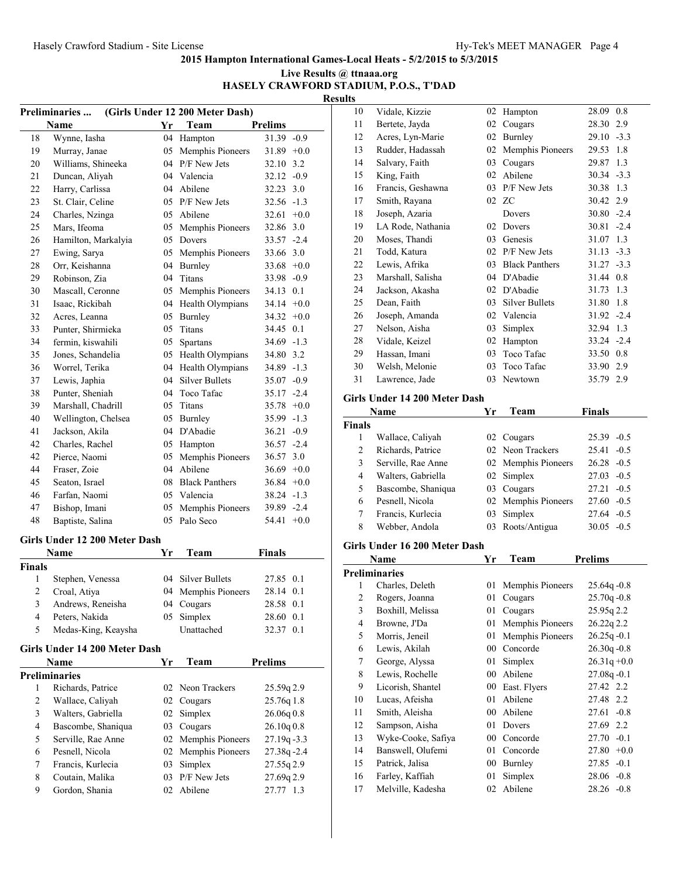#### **Live Results @ ttnaaa.org HASELY CRAWFORD STADIUM, P.O.S., T'DAD**

|                |                                        |          |                                            |                                | K      |
|----------------|----------------------------------------|----------|--------------------------------------------|--------------------------------|--------|
|                | <b>Preliminaries</b>                   |          | (Girls Under 12 200 Meter Dash)            |                                |        |
| 18             | Name                                   | Yr<br>04 | Team                                       | <b>Prelims</b><br>31.39 -0.9   |        |
| 19             | Wynne, Iasha<br>Murray, Janae          | 05       | Hampton<br>Memphis Pioneers                | $31.89 + 0.0$                  |        |
| 20             | Williams, Shineeka                     |          | 04 P/F New Jets                            | 32.10 3.2                      |        |
| 21             | Duncan, Aliyah                         |          | 04 Valencia                                | $32.12 -0.9$                   |        |
| 22             | Harry, Carlissa                        |          | 04 Abilene                                 | 32.23                          | 3.0    |
| 23             | St. Clair, Celine                      |          | 05 P/F New Jets                            | $32.56 - 1.3$                  |        |
| 24             | Charles, Nzinga                        |          | 05 Abilene                                 | 32.61                          | $+0.0$ |
| 25             | Mars, Ifeoma                           |          | 05 Memphis Pioneers                        | 32.86                          | 3.0    |
| 26             | Hamilton, Markalyia                    | 05       | Dovers                                     | 33.57 -2.4                     |        |
| 27             | Ewing, Sarya                           | 05       | Memphis Pioneers                           | 33.66 3.0                      |        |
| 28             | Orr, Keishanna                         | 04       | Burnley                                    | 33.68                          | $+0.0$ |
| 29             | Robinson, Zia                          | 04       | Titans                                     | $33.98 - 0.9$                  |        |
| 30             | Mascall, Ceronne                       |          |                                            | 34.13 0.1                      |        |
| 31             | Isaac, Rickibah                        |          | 05 Memphis Pioneers<br>04 Health Olympians | $34.14 +0.0$                   |        |
| 32             |                                        |          |                                            |                                |        |
| 33             | Acres, Leanna<br>Punter, Shirmieka     | 05       | 05 Burnley<br>Titans                       | $34.32 +0.0$<br>34.45 0.1      |        |
| 34             |                                        | 05       |                                            | $34.69 - 1.3$                  |        |
| 35             | fermin, kiswahili<br>Jones, Schandelia |          | Spartans                                   | 34.80 3.2                      |        |
| 36             |                                        |          | 05 Health Olympians                        | 34.89 -1.3                     |        |
| 37             | Worrel, Terika                         | 04<br>04 | Health Olympians<br><b>Silver Bullets</b>  |                                |        |
|                | Lewis, Japhia                          |          |                                            | $35.07 -0.9$                   |        |
| 38<br>39       | Punter, Sheniah                        | 04       | Toco Tafac                                 | $35.17 - 2.4$<br>$35.78 +0.0$  |        |
|                | Marshall, Chadrill                     | 05       | Titans                                     |                                |        |
| 40<br>41       | Wellington, Chelsea                    | 05       | <b>Burnley</b><br>04 D'Abadie              | $35.99 - 1.3$                  |        |
| 42             | Jackson, Akila                         |          |                                            | $36.21 - 0.9$                  |        |
| 42             | Charles, Rachel<br>Pierce, Naomi       |          | 05 Hampton                                 | $36.57 -2.4$                   |        |
| 44             | Fraser, Zoie                           | 05       | Memphis Pioneers<br>04 Abilene             | 36.57 3.0                      |        |
| 45             |                                        |          |                                            | $36.69 + 0.0$                  |        |
| 46             | Seaton, Israel                         |          | 08 Black Panthers<br>05 Valencia           | $36.84 + 0.0$<br>$38.24 - 1.3$ |        |
| 47             | Farfan, Naomi                          | 05       |                                            | 39.89 -2.4                     |        |
| 48             | Bishop, Imani<br>Baptiste, Salina      | 05       | Memphis Pioneers<br>Palo Seco              | 54.41                          | $+0.0$ |
|                |                                        |          |                                            |                                |        |
|                | Girls Under 12 200 Meter Dash          |          |                                            |                                |        |
|                | Name                                   | Yr       | Team                                       | <b>Finals</b>                  |        |
| Finals         |                                        |          |                                            |                                |        |
| 1              | Stephen, Venessa                       | 04       | <b>Silver Bullets</b>                      | 27.85                          | 0.1    |
| $\overline{c}$ | Croal, Atiya                           |          | 04 Memphis Pioneers                        | 28.14 0.1                      |        |
| 3              | Andrews, Reneisha                      | 04       | Cougars                                    | 28.58 0.1                      |        |
| 4              | Peters, Nakida                         | 05       | Simplex                                    | 28.60 0.1                      |        |
| 5              | Medas-King, Keaysha                    |          | Unattached                                 | 32.37 0.1                      |        |
|                | Girls Under 14 200 Meter Dash          |          |                                            |                                |        |
|                | Name                                   | Yr       | Team                                       | <b>Prelims</b>                 |        |
|                | <b>Preliminaries</b>                   |          |                                            |                                |        |
| 1              | Richards, Patrice                      | 02       | Neon Trackers                              | 25.59q 2.9                     |        |
| $\overline{c}$ | Wallace, Caliyah                       | 02       | Cougars                                    | 25.76q 1.8                     |        |
| 3              | Walters, Gabriella                     | 02       | Simplex                                    | 26.06q0.8                      |        |
| 4              | Bascombe, Shaniqua                     | 03       | Cougars                                    | 26.10q0.8                      |        |
| 5              | Serville, Rae Anne                     | 02       | Memphis Pioneers                           | $27.19q - 3.3$                 |        |
| 6              | Pesnell, Nicola                        | 02       | Memphis Pioneers                           | 27.38q-2.4                     |        |
| 7              | Francis, Kurlecia                      | 03       | Simplex                                    | 27.55q 2.9                     |        |
| 8              | Coutain, Malika                        | 03       | P/F New Jets                               | 27.69q 2.9                     |        |
| 9              | Gordon, Shania                         | 02       | Abilene                                    | 27.77 1.3                      |        |

| 10                      |                                      |          |                     |                               |
|-------------------------|--------------------------------------|----------|---------------------|-------------------------------|
|                         | Vidale, Kizzie                       |          | 02 Hampton          | 28.09 0.8                     |
| 11                      | Bertete, Jayda                       | 02       | Cougars             | 28.30 2.9                     |
| 12                      | Acres, Lyn-Marie                     |          | 02 Burnley          | $29.10 - 3.3$                 |
| 13                      | Rudder, Hadassah                     |          | 02 Memphis Pioneers | 29.53<br>1.8                  |
| 14                      | Salvary, Faith                       | 03       | Cougars             | 1.3<br>29.87                  |
| 15                      | King, Faith                          | 02       | Abilene             | $30.34 - 3.3$                 |
| 16                      | Francis, Geshawna                    |          | 03 P/F New Jets     | 30.38 1.3                     |
| 17                      | Smith, Rayana                        |          | 02 ZC               | 30.42 2.9                     |
| 18                      |                                      |          |                     | $30.80 - 2.4$                 |
|                         | Joseph, Azaria                       |          | Dovers              |                               |
| 19                      | LA Rode, Nathania                    | 02       | Dovers              | $30.81 - 2.4$                 |
| 20                      | Moses, Thandi                        |          | 03 Genesis          | 31.07 1.3                     |
| 21                      | Todd, Katura                         |          | 02 P/F New Jets     | $31.13 - 3.3$                 |
| 22                      | Lewis, Afrika                        |          | 03 Black Panthers   | $31.27 - 3.3$                 |
| 23                      | Marshall, Salisha                    |          | 04 D'Abadie         | 31.44 0.8                     |
| 24                      | Jackson, Akasha                      |          | 02 D'Abadie         | 31.73 1.3                     |
| 25                      | Dean, Faith                          |          | 03 Silver Bullets   | 31.80 1.8                     |
| 26                      | Joseph, Amanda                       |          | 02 Valencia         | $31.92 -2.4$                  |
| 27                      | Nelson, Aisha                        |          | 03 Simplex          | 32.94 1.3                     |
| 28                      | Vidale, Keizel                       |          | 02 Hampton          | $33.24 - 2.4$                 |
| 29                      | Hassan, Imani                        |          | 03 Toco Tafac       | 33.50 0.8                     |
| 30                      | Welsh, Melonie                       | 03       | Toco Tafac          | 33.90 2.9                     |
| 31                      | Lawrence, Jade                       | 03       | Newtown             | 35.79 2.9                     |
|                         |                                      |          |                     |                               |
|                         | Girls Under 14 200 Meter Dash        |          |                     |                               |
|                         | Name                                 | Yr       | Team                | <b>Finals</b>                 |
| <b>Finals</b>           |                                      |          |                     |                               |
| 1                       | Wallace, Caliyah                     |          | 02 Cougars          | $25.39 -0.5$                  |
| $\overline{2}$          | Richards, Patrice                    |          | 02 Neon Trackers    | $25.41 - 0.5$                 |
|                         |                                      |          |                     |                               |
| 3                       | Serville, Rae Anne                   |          | 02 Memphis Pioneers | $26.28 - 0.5$                 |
| $\overline{4}$          | Walters, Gabriella                   | 02       | Simplex             | $27.03 - 0.5$                 |
| 5                       | Bascombe, Shaniqua                   | 03       | Cougars             | $27.21 - 0.5$                 |
| 6                       | Pesnell, Nicola                      |          | 02 Memphis Pioneers | $27.60 - 0.5$                 |
| 7                       | Francis, Kurlecia                    | 03       | Simplex             | $27.64 - 0.5$                 |
| 8                       | Webber, Andola                       | 03       | Roots/Antigua       | $30.05 - 0.5$                 |
|                         |                                      |          |                     |                               |
|                         | Girls Under 16 200 Meter Dash        |          |                     |                               |
|                         | Name                                 | Yr       | Team                | <b>Prelims</b>                |
|                         | <b>Preliminaries</b>                 |          |                     |                               |
| 1                       | Charles, Deleth                      |          | 01 Memphis Pioneers | 25.64q-0.8                    |
| $\overline{\mathbf{c}}$ | Rogers, Joanna                       |          | 01 Cougars          | 25.70q-0.8                    |
| 3                       | Boxhill, Melissa                     |          | 01 Cougars          | 25.95q 2.2                    |
| $\overline{4}$          | Browne, J'Da                         | 01       | Memphis Pioneers    | 26.22q 2.2                    |
| 5                       | Morris, Jeneil                       | 01       | Memphis Pioneers    | $26.25q - 0.1$                |
| 6                       | Lewis, Akilah                        |          | 00 Concorde         | $26.30q - 0.8$                |
| 7                       | George, Alyssa                       | 01       | Simplex             | $26.31q + 0.0$                |
| 8                       | Lewis, Rochelle                      |          | 00 Abilene          | 27.08q-0.1                    |
| 9                       | Licorish, Shantel                    |          | 00 East. Flyers     | 27.42 2.2                     |
| 10                      | Lucas, Afeisha                       | 01       | Abilene             | 2.2<br>27.48                  |
| 11                      | Smith, Aleisha                       |          | 00 Abilene          | 27.61<br>$-0.8$               |
| 12                      |                                      | 01       | Dovers              | 2.2<br>27.69                  |
| 13                      | Sampson, Aisha                       |          |                     |                               |
|                         | Wyke-Cooke, Safiya                   |          | 00 Concorde         | $27.70 -0.1$                  |
| 14                      | Banswell, Olufemi                    | 01       | Concorde            | $27.80 +0.0$                  |
| 15                      | Patrick, Jalisa                      |          | 00 Burnley          | 27.85 -0.1                    |
| 16<br>17                | Farley, Kaffiah<br>Melville, Kadesha | 01<br>02 | Simplex<br>Abilene  | $28.06 - 0.8$<br>$28.26 -0.8$ |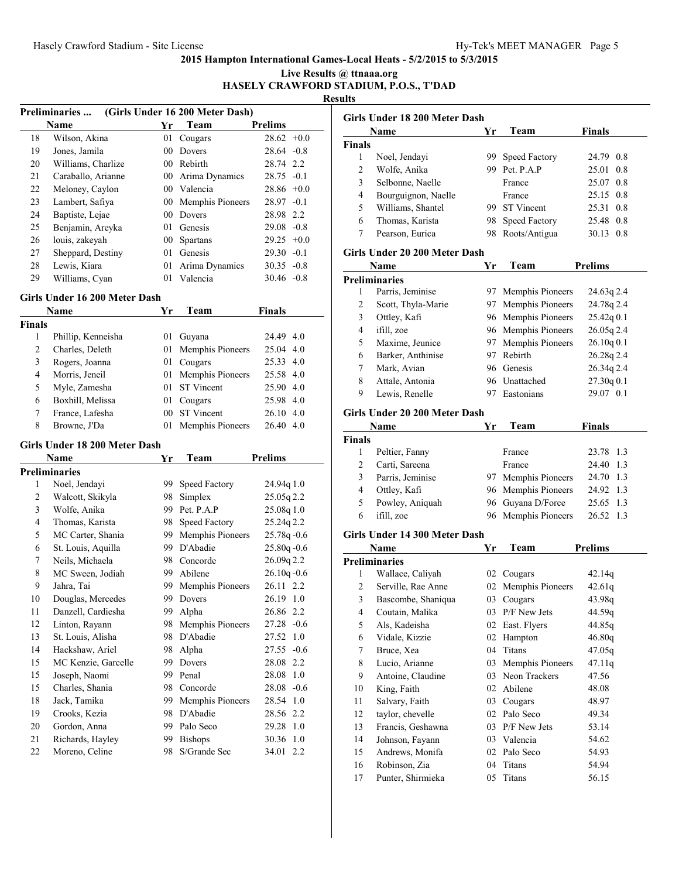**Live Results @ ttnaaa.org HASELY CRAWFORD STADIUM, P.O.S., T'DAD**

**Results**

|    | (Girls Under 16 200 Meter Dash)<br><b>Preliminaries</b> |                 |                  |                |  |  |
|----|---------------------------------------------------------|-----------------|------------------|----------------|--|--|
|    | Name                                                    | Yr              | Team             | <b>Prelims</b> |  |  |
| 18 | Wilson, Akina                                           | 01              | Cougars          | $28.62 + 0.0$  |  |  |
| 19 | Jones, Jamila                                           | 00 <sup>2</sup> | Dovers           | $28.64 - 0.8$  |  |  |
| 20 | Williams, Charlize                                      | 00              | Rebirth          | 28.74 2.2      |  |  |
| 21 | Caraballo, Arianne                                      | $00-$           | Arima Dynamics   | $28.75 - 0.1$  |  |  |
| 22 | Meloney, Caylon                                         | 00              | Valencia         | $28.86 + 0.0$  |  |  |
| 23 | Lambert, Safiya                                         | 00              | Memphis Pioneers | $28.97 - 0.1$  |  |  |
| 24 | Baptiste, Lejae                                         | 00              | Dovers           | 28.98 2.2      |  |  |
| 25 | Benjamin, Areyka                                        | 01              | Genesis          | $29.08 - 0.8$  |  |  |
| 26 | louis, zakevah                                          | 00              | <b>Spartans</b>  | $29.25 + 0.0$  |  |  |
| 27 | Sheppard, Destiny                                       | 01              | Genesis          | $29.30 - 0.1$  |  |  |
| 28 | Lewis, Kiara                                            | 01              | Arima Dynamics   | $30.35 - 0.8$  |  |  |
| 29 | Williams, Cyan                                          | 01              | Valencia         | $30.46 - 0.8$  |  |  |

#### **Girls Under 16 200 Meter Dash**

|               | Name               | Yr  | Team                | Finals            |
|---------------|--------------------|-----|---------------------|-------------------|
| <b>Finals</b> |                    |     |                     |                   |
|               | Phillip, Kenneisha | 01  | Guyana              | 24.49 4.0         |
| 2             | Charles, Deleth    |     | 01 Memphis Pioneers | 25.04 4.0         |
| 3             | Rogers, Joanna     | 01  | Cougars             | 25.33 4.0         |
| 4             | Morris, Jeneil     |     | 01 Memphis Pioneers | 25.58 4.0         |
| 5             | Myle, Zamesha      | 01. | <b>ST</b> Vincent   | 25.90 4.0         |
| 6             | Boxhill, Melissa   | 01  | Cougars             | 25.98 4.0         |
| 7             | France, Lafesha    | 00  | <b>ST</b> Vincent   | $26.10 \quad 4.0$ |
| 8             | Browne, J'Da       |     | 01 Memphis Pioneers | 26.40<br>4.0      |

## **Girls Under 18 200 Meter Dash**

|    | Name                | Yr | Team             | Prelims         |
|----|---------------------|----|------------------|-----------------|
|    | Preliminaries       |    |                  |                 |
| 1  | Noel, Jendayi       | 99 | Speed Factory    | 24.94q 1.0      |
| 2  | Walcott, Skikyla    | 98 | Simplex          | 25.05q2.2       |
| 3  | Wolfe, Anika        | 99 | Pet. P.A.P       | 25.08q 1.0      |
| 4  | Thomas, Karista     | 98 | Speed Factory    | 25.24q 2.2      |
| 5  | MC Carter, Shania   | 99 | Memphis Pioneers | $25.78q - 0.6$  |
| 6  | St. Louis, Aquilla  | 99 | D'Abadie         | 25.80q-0.6      |
| 7  | Neils, Michaela     | 98 | Concorde         | 26.09q 2.2      |
| 8  | MC Sween, Jodiah    | 99 | Abilene          | $26.10q - 0.6$  |
| 9  | Jahra, Tai          | 99 | Memphis Pioneers | 26.11 2.2       |
| 10 | Douglas, Mercedes   | 99 | Dovers           | 26.19 1.0       |
| 11 | Danzell, Cardiesha  | 99 | Alpha            | 26.86 2.2       |
| 12 | Linton, Rayann      | 98 | Memphis Pioneers | $27.28 - 0.6$   |
| 13 | St. Louis, Alisha   | 98 | D'Abadie         | 27.52<br>1.0    |
| 14 | Hackshaw, Ariel     | 98 | Alpha            | 27.55<br>$-0.6$ |
| 15 | MC Kenzie, Garcelle | 99 | Dovers           | 28.08<br>2.2    |
| 15 | Joseph, Naomi       | 99 | Penal            | 28.08<br>1.0    |
| 15 | Charles, Shania     | 98 | Concorde         | $28.08 - 0.6$   |
| 18 | Jack, Tamika        | 99 | Memphis Pioneers | 28.54<br>1.0    |
| 19 | Crooks, Kezia       | 98 | D'Abadie         | 28.56<br>2.2    |
| 20 | Gordon, Anna        | 99 | Palo Seco        | 1.0<br>29.28    |
| 21 | Richards, Hayley    | 99 | <b>Bishops</b>   | 1.0<br>30.36    |
| 22 | Moreno, Celine      | 98 | S/Grande Sec     | 34.01<br>2.2    |
|    |                     |    |                  |                 |

|                         | Girls Under 18 200 Meter Dash |     |                     |                |  |  |
|-------------------------|-------------------------------|-----|---------------------|----------------|--|--|
|                         | Name                          | Yr  | Team                | <b>Finals</b>  |  |  |
| Finals                  |                               |     |                     |                |  |  |
| 1                       | Noel, Jendayi                 | 99. | Speed Factory       | 24.79 0.8      |  |  |
| 2                       | Wolfe, Anika                  |     | 99 Pet. P.A.P       | 25.01<br>0.8   |  |  |
| 3                       | Selbonne, Naelle              |     | France              | 25.07<br>0.8   |  |  |
| 4                       | Bourguignon, Naelle           |     | France              | 25.15 0.8      |  |  |
| 5                       | Williams, Shantel             |     | 99 ST Vincent       | 25.31<br>0.8   |  |  |
| 6                       | Thomas, Karista               | 98. | Speed Factory       | 25.48 0.8      |  |  |
| 7                       | Pearson, Eurica               | 98. | Roots/Antigua       | 30.13 0.8      |  |  |
|                         | Girls Under 20 200 Meter Dash |     |                     |                |  |  |
|                         | Name                          | Yr  | Team                | <b>Prelims</b> |  |  |
|                         | <b>Preliminaries</b>          |     |                     |                |  |  |
| 1                       | Parris, Jeminise              | 97  | Memphis Pioneers    | 24.63q 2.4     |  |  |
| 2                       | Scott, Thyla-Marie            | 97  | Memphis Pioneers    | 24.78q 2.4     |  |  |
| 3                       | Ottley, Kafi                  | 96- | Memphis Pioneers    | 25.42q 0.1     |  |  |
| 4                       | ifill, zoe                    |     | 96 Memphis Pioneers | 26.05q 2.4     |  |  |
| 5                       | Maxime, Jeunice               | 97  | Memphis Pioneers    | 26.10q 0.1     |  |  |
| 6                       | Barker, Anthinise             | 97  | Rebirth             | 26.28q 2.4     |  |  |
| $\tau$                  | Mark, Avian                   |     | 96 Genesis          | 26.34q 2.4     |  |  |
| 8                       | Attale, Antonia               |     | 96 Unattached       | 27.30q 0.1     |  |  |
| 9                       | Lewis, Renelle                | 97  | Eastonians          | 29.07 0.1      |  |  |
|                         |                               |     |                     |                |  |  |
|                         | Girls Under 20 200 Meter Dash |     |                     |                |  |  |
|                         | Name                          | Yr  | Team                | <b>Finals</b>  |  |  |
| <b>Finals</b>           |                               |     |                     |                |  |  |
| 1                       | Peltier, Fanny                |     | France              | 23.78 1.3      |  |  |
| $\overline{c}$          | Carti, Sareena                |     | France              | 24.40 1.3      |  |  |
| 3                       | Parris, Jeminise              |     | 97 Memphis Pioneers | 24.70 1.3      |  |  |
| $\overline{4}$          | Ottley, Kafi                  | 96  | Memphis Pioneers    | 24.92 1.3      |  |  |
| 5                       | Powley, Aniquah               | 96  | Guyana D/Force      | 25.65 1.3      |  |  |
| 6                       | ifill, zoe                    | 96  | Memphis Pioneers    | 26.52<br>1.3   |  |  |
|                         | Girls Under 14 300 Meter Dash |     |                     |                |  |  |
|                         | Name                          | Yr  | Team                | <b>Prelims</b> |  |  |
|                         | <b>Preliminaries</b>          |     |                     |                |  |  |
| 1                       | Wallace, Caliyah              |     | 02 Cougars          | 42.14q         |  |  |
| 2                       | Serville, Rae Anne            |     | 02 Memphis Pioneers | 42.61q         |  |  |
| $\overline{\mathbf{3}}$ | Bascombe, Shaniqua            |     | 03 Cougars          | 43.98q         |  |  |
| 4                       | Coutain, Malika               |     | 03 P/F New Jets     | 44.59q         |  |  |
| 5                       | Als, Kadeisha                 | 02  | East. Flyers        | 44.85q         |  |  |
| 6                       | Vidale, Kizzie                | 02  | Hampton             | 46.80q         |  |  |
| $\tau$                  | Bruce, Xea                    | 04  | Titans              | 47.05q         |  |  |
| 8                       | Lucio, Arianne                | 03  | Memphis Pioneers    | 47.11q         |  |  |
| 9                       | Antoine, Claudine             | 03  | Neon Trackers       | 47.56          |  |  |
| 10                      | King, Faith                   | 02  | Abilene             | 48.08          |  |  |
| 11                      | Salvary, Faith                | 03  | Cougars             | 48.97          |  |  |
| 12                      | taylor, chevelle              | 02  | Palo Seco           | 49.34          |  |  |
| 13                      | Francis, Geshawna             | 03  | P/F New Jets        | 53.14          |  |  |
| 14                      | Johnson, Fayann               | 03  | Valencia            | 54.62          |  |  |
| 15                      | Andrews, Monifa               | 02  | Palo Seco           | 54.93          |  |  |
| 16                      | Robinson, Zia                 | 04  | Titans              | 54.94          |  |  |
| 17                      | Punter, Shirmieka             | 05  | Titans              | 56.15          |  |  |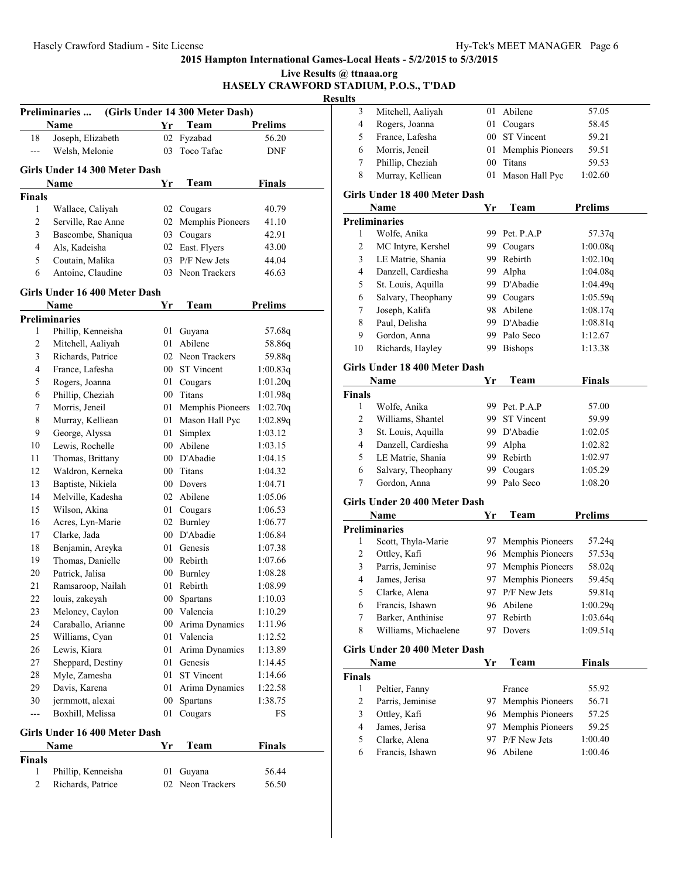|               | Preliminaries                              |        | (Girls Under 14 300 Meter Dash) |                    |
|---------------|--------------------------------------------|--------|---------------------------------|--------------------|
|               | Name                                       | Yr     | Team                            | <b>Prelims</b>     |
| 18            | Joseph, Elizabeth                          | 02     | Fyzabad                         | 56.20              |
| $---$         | Welsh, Melonie                             | 03     | Toco Tafac                      | <b>DNF</b>         |
|               | Girls Under 14 300 Meter Dash              |        |                                 |                    |
|               | Name                                       | Yr     | Team                            | <b>Finals</b>      |
| <b>Finals</b> |                                            |        |                                 |                    |
| 1             | Wallace, Caliyah                           |        | 02 Cougars                      | 40.79              |
| 2             | Serville, Rae Anne                         |        | 02 Memphis Pioneers             | 41.10              |
| 3             | Bascombe, Shaniqua                         |        | 03 Cougars                      | 42.91              |
| 4             | Als, Kadeisha                              |        | 02 East. Flyers                 | 43.00              |
| 5             | Coutain, Malika                            | 03     | P/F New Jets                    | 44.04              |
| 6             | Antoine, Claudine                          | 03     | Neon Trackers                   | 46.63              |
|               | Girls Under 16 400 Meter Dash              |        |                                 |                    |
|               | Name                                       | Yr     | Team                            | <b>Prelims</b>     |
| 1             | <b>Preliminaries</b><br>Phillip, Kenneisha | 01     | Guyana                          | 57.68q             |
| 2             | Mitchell, Aaliyah                          | 01     | Abilene                         | 58.86q             |
| 3             | Richards, Patrice                          |        | 02 Neon Trackers                |                    |
| 4             | France, Lafesha                            |        | 00 ST Vincent                   | 59.88q<br>1:00.83q |
| 5             | Rogers, Joanna                             | 01     | Cougars                         | 1:01.20q           |
| 6             | Phillip, Cheziah                           |        | 00 Titans                       | 1:01.98q           |
| 7             | Morris, Jeneil                             | 01     | Memphis Pioneers                | 1:02.70q           |
| 8             | Murray, Kelliean                           |        | 01 Mason Hall Pyc               | 1:02.89q           |
| 9             | George, Alyssa                             | 01     | Simplex                         | 1:03.12            |
| 10            | Lewis, Rochelle                            |        | 00 Abilene                      | 1:03.15            |
| 11            | Thomas, Brittany                           |        | 00 D'Abadie                     | 1:04.15            |
| 12            | Waldron, Kerneka                           |        | 00 Titans                       | 1:04.32            |
| 13            | Baptiste, Nikiela                          |        | 00 Dovers                       | 1:04.71            |
| 14            | Melville, Kadesha                          | 02     | Abilene                         | 1:05.06            |
| 15            | Wilson, Akina                              | 01     | Cougars                         | 1:06.53            |
| 16            | Acres, Lyn-Marie                           |        | 02 Burnley                      | 1:06.77            |
| 17            | Clarke, Jada                               |        | 00 D'Abadie                     | 1:06.84            |
| 18            | Benjamin, Areyka                           |        | 01 Genesis                      | 1:07.38            |
| 19            | Thomas, Danielle                           |        | 00 Rebirth                      | 1:07.66            |
| 20            | Patrick, Jalisa                            |        | 00 Burnley                      | 1:08.28            |
| 21            | Ramsaroop, Nailah                          |        | 01 Rebirth                      | 1:08.99            |
| 22            | louis, zakeyah                             | $00\,$ | Spartans                        | 1:10.03            |
| 23            | Meloney, Caylon                            |        | 00 Valencia                     | 1:10.29            |
| 24            | Caraballo, Arianne                         |        | 00 Arima Dynamics               | 1:11.96            |
| 25            | Williams, Cyan                             |        | 01 Valencia                     | 1:12.52            |
| 26            | Lewis, Kiara                               | 01     | Arima Dynamics                  | 1:13.89            |
| 27            | Sheppard, Destiny                          | 01     | Genesis                         | 1:14.45            |
| 28            | Myle, Zamesha                              | 01     | <b>ST Vincent</b>               | 1:14.66            |
| 29            | Davis, Karena                              | 01     | Arima Dynamics                  | 1:22.58            |
| 30            | jermmott, alexai                           | $00\,$ | Spartans                        | 1:38.75            |
| ---           | Boxhill, Melissa                           | 01     | Cougars                         | FS                 |
|               | Girls Under 16 400 Meter Dash              |        |                                 |                    |
|               | Name                                       | Yr     | Team                            | <b>Finals</b>      |
| <b>Finals</b> |                                            |        |                                 |                    |
| 1             | Phillip, Kenneisha                         | 01     | Guyana                          | 56.44              |
| 2             | Richards, Patrice                          |        | 02 Neon Trackers                | 56.50              |

| Live Results @ ttnaaa.org              |  |
|----------------------------------------|--|
| HASELY CRAWFORD STADIUM, P.O.S., T'DAD |  |

| 3                       | Mitchell, Aaliyah                  | 01     | Abilene             | 57.05          |
|-------------------------|------------------------------------|--------|---------------------|----------------|
| 4                       | Rogers, Joanna                     | 01     | Cougars             | 58.45          |
| 5                       | France, Lafesha                    | $00\,$ | <b>ST</b> Vincent   | 59.21          |
| 6                       | Morris, Jeneil                     | 01     | Memphis Pioneers    | 59.51          |
| 7                       | Phillip, Cheziah                   | 00     | Titans              | 59.53          |
| 8                       | Murray, Kelliean                   | 01     | Mason Hall Pyc      | 1:02.60        |
|                         |                                    |        |                     |                |
|                         | Girls Under 18 400 Meter Dash      |        |                     |                |
|                         | Name                               | Yr     | Team                | <b>Prelims</b> |
|                         | <b>Preliminaries</b>               |        |                     |                |
| 1                       | Wolfe, Anika                       |        | 99 Pet. P.A.P       | 57.37q         |
| $\overline{\mathbf{c}}$ | MC Intyre, Kershel                 |        | 99 Cougars          | 1:00.08q       |
| 3                       | LE Matrie, Shania                  |        | 99 Rebirth          | 1:02.10q       |
| $\overline{4}$          | Danzell, Cardiesha                 | 99.    | Alpha               | 1:04.08q       |
| 5                       | St. Louis, Aquilla                 |        | 99 D'Abadie         | 1:04.49q       |
| 6                       | Salvary, Theophany                 |        | 99 Cougars          | 1:05.59q       |
| $\tau$                  | Joseph, Kalifa                     |        | 98 Abilene          | 1:08.17q       |
| 8                       | Paul, Delisha                      |        | 99 D'Abadie         | 1:08.81q       |
| 9                       | Gordon, Anna                       |        | 99 Palo Seco        | 1:12.67        |
| 10                      | Richards, Hayley                   |        | 99 Bishops          | 1:13.38        |
|                         | Girls Under 18 400 Meter Dash      |        |                     |                |
|                         | Name                               | Yr     | Team                | <b>Finals</b>  |
| <b>Finals</b>           |                                    |        |                     |                |
| 1                       | Wolfe, Anika                       |        | 99 Pet. P.A.P       | 57.00          |
| $\overline{\mathbf{c}}$ | Williams, Shantel                  |        | 99 ST Vincent       | 59.99          |
| 3                       | St. Louis, Aquilla                 |        | 99 D'Abadie         | 1:02.05        |
| 4                       | Danzell, Cardiesha                 | 99.    | Alpha               | 1:02.82        |
| 5                       | LE Matrie, Shania                  |        | 99 Rebirth          | 1:02.97        |
| 6                       | Salvary, Theophany                 | 99.    | Cougars             | 1:05.29        |
| $\tau$                  | Gordon, Anna                       | 99.    | Palo Seco           | 1:08.20        |
|                         |                                    |        |                     |                |
|                         | Girls Under 20 400 Meter Dash      |        |                     |                |
|                         | Name                               | Yr     | Team                | <b>Prelims</b> |
|                         | <b>Preliminaries</b>               |        |                     |                |
| 1                       | Scott, Thyla-Marie                 |        | 97 Memphis Pioneers | 57.24q         |
| $\overline{\mathbf{c}}$ | Ottley, Kafi                       |        | 96 Memphis Pioneers | 57.53q         |
| 3                       | Parris, Jeminise                   |        | 97 Memphis Pioneers | 58.02q         |
| 4                       | James, Jerisa                      | 97     | Memphis Pioneers    | 59.45q         |
| 5                       | Clarke, Alena                      | 97     | P/F New Jets        | 59.81q         |
| 6                       | Francis, Ishawn                    |        | 96 Abilene          | 1:00.29q       |
| 7                       | Barker, Anthinise                  | 97     | Rebirth             | 1:03.64q       |
| 8                       | Williams, Michaelene               | 97     | Dovers              | 1:09.51q       |
|                         | Girls Under 20 400 Meter Dash      |        |                     |                |
|                         | Name                               | Yr     | Team                | <b>Finals</b>  |
| Finals                  |                                    |        |                     |                |
| 1                       |                                    |        | France              | 55.92          |
| $\overline{c}$          | Peltier, Fanny<br>Parris, Jeminise | 97     | Memphis Pioneers    | 56.71          |
| 3                       | Ottley, Kafi                       | 96     | Memphis Pioneers    | 57.25          |
| $\overline{4}$          | James, Jerisa                      | 97     | Memphis Pioneers    | 59.25          |
| 5                       | Clarke, Alena                      | 97     | P/F New Jets        | 1:00.40        |
| 6                       |                                    | 96     | Abilene             | 1:00.46        |
|                         | Francis, Ishawn                    |        |                     |                |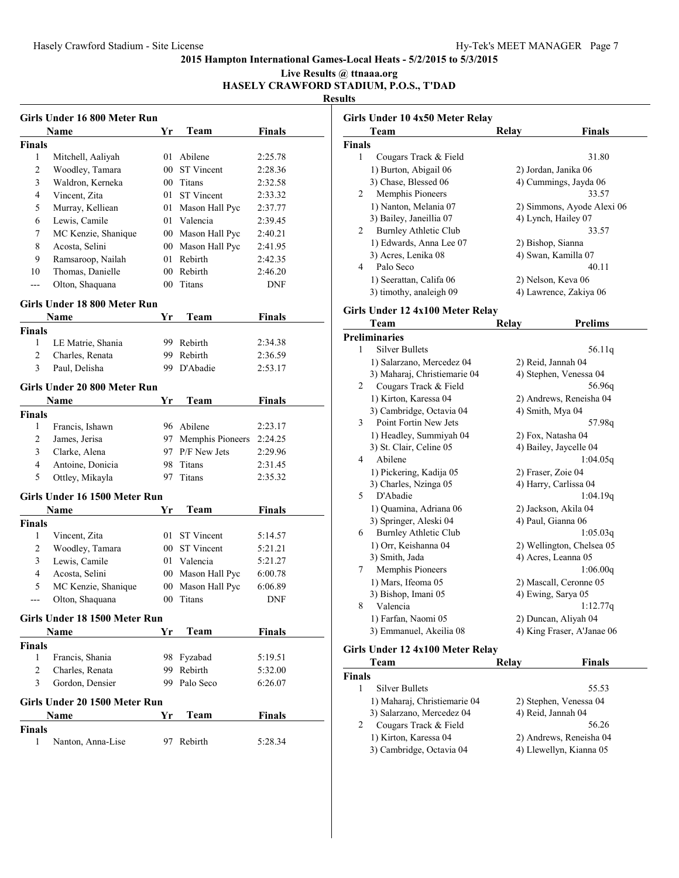#### **Live Results @ ttnaaa.org HASELY CRAWFORD STADIUM, P.O.S., T'DAD**

**Results**

|                | Girls Under 16 800 Meter Run  |     |                     |               |
|----------------|-------------------------------|-----|---------------------|---------------|
|                | Name                          | Yr  | Team                | <b>Finals</b> |
| <b>Finals</b>  |                               |     |                     |               |
| 1              | Mitchell, Aaliyah             | 01  | Abilene             | 2:25.78       |
| $\overline{c}$ | Woodley, Tamara               |     | 00 ST Vincent       | 2:28.36       |
| 3              | Waldron, Kerneka              |     | 00 Titans           | 2:32.58       |
| 4              | Vincent, Zita                 | 01  | <b>ST</b> Vincent   | 2:33.32       |
| 5              | Murray, Kelliean              |     | 01 Mason Hall Pyc   | 2:37.77       |
| 6              | Lewis, Camile                 |     | 01 Valencia         | 2:39.45       |
| 7              | MC Kenzie, Shanique           |     | 00 Mason Hall Pyc   | 2:40.21       |
| 8              | Acosta, Selini                |     | 00 Mason Hall Pyc   | 2:41.95       |
| 9              | Ramsaroop, Nailah             |     | 01 Rebirth          | 2:42.35       |
| 10             | Thomas, Danielle              |     | 00 Rebirth          | 2:46.20       |
| ---            | Olton, Shaquana               | 00  | Titans              | DNF           |
|                | Girls Under 18 800 Meter Run  |     |                     |               |
|                | Name                          | Yr  | Team                | <b>Finals</b> |
| Finals         |                               |     |                     |               |
| 1              | LE Matrie, Shania             |     | 99 Rebirth          | 2:34.38       |
| 2              | Charles, Renata               | 99. | Rebirth             | 2:36.59       |
| 3              | Paul, Delisha                 | 99. | D'Abadie            | 2:53.17       |
|                |                               |     |                     |               |
|                | Girls Under 20 800 Meter Run  |     |                     |               |
|                | Name                          | Yr  | Team                | <b>Finals</b> |
| <b>Finals</b>  |                               |     |                     |               |
| 1              | Francis, Ishawn               |     | 96 Abilene          | 2:23.17       |
| 2              | James, Jerisa                 |     | 97 Memphis Pioneers | 2:24.25       |
| 3              | Clarke, Alena                 |     | 97 P/F New Jets     | 2:29.96       |
| 4              | Antoine, Donicia              |     | 98 Titans           | 2:31.45       |
| 5              | Ottley, Mikayla               | 97  | Titans              | 2:35.32       |
|                | Girls Under 16 1500 Meter Run |     |                     |               |
|                | Name                          | Yr  | Team                | <b>Finals</b> |
| Finals         |                               |     |                     |               |
| 1              | Vincent, Zita                 |     | 01 ST Vincent       | 5:14.57       |
| 2              | Woodley, Tamara               |     | 00 ST Vincent       | 5:21.21       |
| 3              | Lewis, Camile                 |     | 01 Valencia         | 5:21.27       |
| $\overline{4}$ | Acosta, Selini                |     | 00 Mason Hall Pyc   | 6:00.78       |
| 5              | MC Kenzie, Shanique           |     | 00 Mason Hall Pyc   | 6:06.89       |
| ---            | Olton, Shaquana               | 00  | <b>Titans</b>       | DNF           |
|                | Girls Under 18 1500 Meter Run |     |                     |               |
|                | Name                          | Yr  | Team                | <b>Finals</b> |
| Finals         |                               |     |                     |               |
| 1              | Francis, Shania               |     | 98 Fyzabad          | 5:19.51       |
| 2              | Charles, Renata               |     | 99 Rebirth          | 5:32.00       |
| 3              | Gordon, Densier               |     | 99 Palo Seco        | 6:26.07       |
|                | Girls Under 20 1500 Meter Run |     |                     |               |
|                | Name                          | Yr  | Team                | <b>Finals</b> |
| <b>Finals</b>  |                               |     |                     |               |
| 1              | Nanton, Anna-Lise             | 97  | Rebirth             | 5:28.34       |
|                |                               |     |                     |               |

|        | Girls Under 10 4x50 Meter Relay<br>Team | Relay              | Finals                     |
|--------|-----------------------------------------|--------------------|----------------------------|
| Finals |                                         |                    |                            |
| 1      | Cougars Track & Field                   |                    | 31.80                      |
|        | 1) Burton, Abigail 06                   |                    | 2) Jordan, Janika 06       |
|        | 3) Chase, Blessed 06                    |                    | 4) Cummings, Jayda 06      |
| 2      | Memphis Pioneers                        |                    | 33.57                      |
|        |                                         |                    |                            |
|        | 1) Nanton, Melania 07                   |                    | 2) Simmons, Ayode Alexi 06 |
|        | 3) Bailey, Janeillia 07                 |                    | 4) Lynch, Hailey 07        |
| 2      | Burnley Athletic Club                   |                    | 33.57                      |
|        | 1) Edwards, Anna Lee 07                 | 2) Bishop, Sianna  |                            |
|        | 3) Acres, Lenika 08                     |                    | 4) Swan, Kamilla 07        |
| 4      | Palo Seco                               |                    | 40.11                      |
|        | 1) Seerattan, Califa 06                 |                    | 2) Nelson, Keva 06         |
|        | 3) timothy, analeigh 09                 |                    | 4) Lawrence, Zakiya 06     |
|        | Girls Under 12 4x100 Meter Relay        |                    |                            |
|        | Team                                    | Relay              | <b>Prelims</b>             |
|        | Preliminaries                           |                    |                            |
| 1      | <b>Silver Bullets</b>                   |                    | 56.11q                     |
|        | 1) Salarzano, Mercedez 04               | 2) Reid, Jannah 04 |                            |
|        | 3) Maharaj, Christiemarie 04            |                    | 4) Stephen, Venessa 04     |
| 2      | Cougars Track & Field                   |                    | 56.96q                     |
|        | 1) Kirton, Karessa 04                   |                    | 2) Andrews, Reneisha 04    |
|        | 3) Cambridge, Octavia 04                | 4) Smith, Mya 04   |                            |
| 3      | Point Fortin New Jets                   |                    | 57.98q                     |
|        | 1) Headley, Summiyah 04                 | 2) Fox, Natasha 04 |                            |
|        | 3) St. Clair, Celine 05                 |                    | 4) Bailey, Jaycelle 04     |
| 4      | Abilene                                 |                    | 1:04.05q                   |
|        | 1) Pickering, Kadija 05                 | 2) Fraser, Zoie 04 |                            |
|        | 3) Charles, Nzinga 05                   |                    | 4) Harry, Carlissa 04      |
| 5      | D'Abadie                                |                    | 1:04.19q                   |
|        | 1) Quamina, Adriana 06                  |                    | 2) Jackson, Akila 04       |
|        | 3) Springer, Aleski 04                  | 4) Paul, Gianna 06 |                            |
| 6      | <b>Burnley Athletic Club</b>            |                    | 1:05.03q                   |
|        | 1) Orr, Keishanna 04                    |                    | 2) Wellington, Chelsea 05  |
|        | 3) Smith, Jada                          |                    | 4) Acres, Leanna 05        |
| 7      | Memphis Pioneers                        |                    | 1:06.00q                   |
|        | 1) Mars, Ifeoma 05                      |                    | 2) Mascall, Ceronne 05     |
|        | 3) Bishop, Imani 05                     | 4) Ewing, Sarya 05 |                            |
| 8      | Valencia                                |                    | 1:12.77q                   |
|        | 1) Farfan, Naomi 05                     |                    | 2) Duncan, Aliyah 04       |
|        | 3) Emmanuel, Akeilia 08                 |                    | 4) King Fraser, A'Janae 06 |
|        | Girls Under 12 4x100 Meter Relay        |                    |                            |
|        | Team                                    | Relay              | <b>Finals</b>              |
| Finals |                                         |                    |                            |
| 1      | Silver Bullets                          |                    | 55.53                      |
|        | 1) Maharaj, Christiemarie 04            |                    | 2) Stephen, Venessa 04     |
|        | 3) Salarzano, Mercedez 04               | 4) Reid, Jannah 04 |                            |

| 3) Salarzano, Mercedez 04               | 4) Reid, Jannah 04      |
|-----------------------------------------|-------------------------|
| $\overline{2}$<br>Cougars Track & Field | 56.26                   |
| 1) Kirton, Karessa 04                   | 2) Andrews, Reneisha 04 |
|                                         |                         |

3) Cambridge, Octavia 04 4) Llewellyn, Kianna 05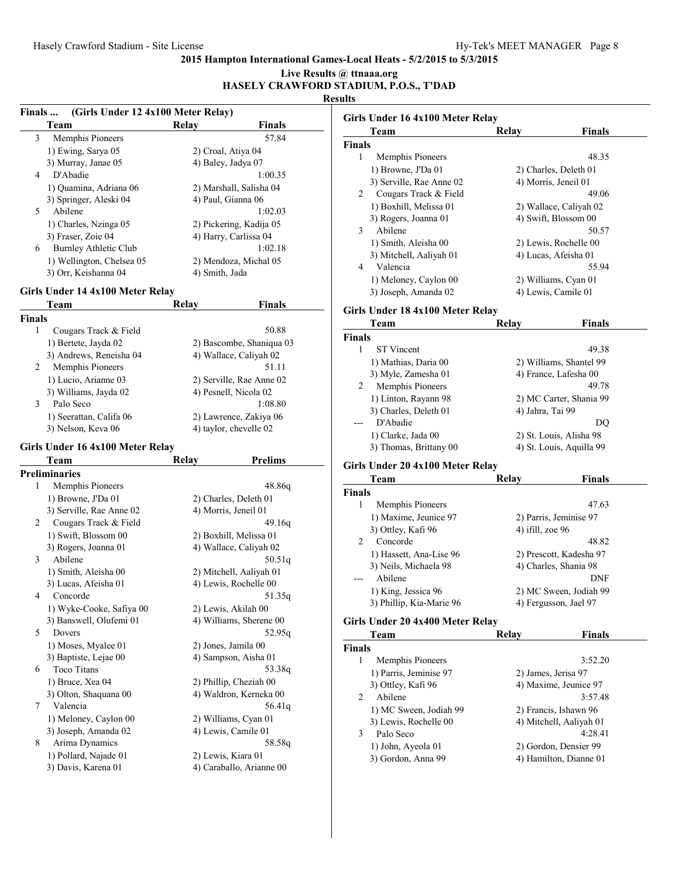|               |                                                  |                    |                                               | Live Results @ ttnaaa.org<br>HASELY CRAWFORD STADIUM, P.O.S., T'DAD |   |
|---------------|--------------------------------------------------|--------------------|-----------------------------------------------|---------------------------------------------------------------------|---|
|               |                                                  |                    |                                               | <b>Results</b>                                                      |   |
| Finals        | (Girls Under 12 4x100 Meter Relay)               |                    |                                               | Girls Under 16 4x100 Meter Relay                                    |   |
|               | Team                                             | Relay              | <b>Finals</b>                                 | Team                                                                | F |
| 3             | Memphis Pioneers                                 |                    | 57.84                                         | <b>Finals</b>                                                       |   |
|               | 1) Ewing, Sarya 05                               | 2) Croal, Atiya 04 |                                               | 1<br>Memphis Pioneers                                               |   |
| 4             | 3) Murray, Janae 05<br>D'Abadie                  | 4) Baley, Jadya 07 | 1:00.35                                       | 1) Browne, J'Da 01                                                  |   |
|               |                                                  |                    |                                               | 3) Serville, Rae Anne 02                                            |   |
|               | 1) Quamina, Adriana 06<br>3) Springer, Aleski 04 |                    | 2) Marshall, Salisha 04<br>4) Paul, Gianna 06 | Cougars Track & Field<br>2                                          |   |
| 5             | Abilene                                          |                    | 1:02.03                                       | 1) Boxhill, Melissa 01                                              |   |
|               | 1) Charles, Nzinga 05                            |                    | 2) Pickering, Kadija 05                       | 3) Rogers, Joanna 01                                                |   |
|               | 3) Fraser, Zoie 04                               |                    | 4) Harry, Carlissa 04                         | Abilene<br>3                                                        |   |
| 6             | <b>Burnley Athletic Club</b>                     |                    | 1:02.18                                       | 1) Smith, Aleisha 00                                                |   |
|               | 1) Wellington, Chelsea 05                        |                    | 2) Mendoza, Michal 05                         | 3) Mitchell, Aaliyah 01                                             |   |
|               | 3) Orr, Keishanna 04                             | 4) Smith, Jada     |                                               | Valencia<br>4                                                       |   |
|               |                                                  |                    |                                               | 1) Meloney, Caylon 00                                               |   |
|               | Girls Under 14 4x100 Meter Relay                 |                    |                                               | 3) Joseph, Amanda 02                                                |   |
|               | <b>Team</b>                                      | Relay              | <b>Finals</b>                                 |                                                                     |   |
| <b>Finals</b> |                                                  |                    |                                               | Girls Under 18 4x100 Meter Relay                                    |   |
| $\mathbf{1}$  | Cougars Track & Field                            |                    | 50.88                                         | Team                                                                | К |
|               | 1) Bertete, Jayda 02                             |                    | 2) Bascombe, Shaniqua 03                      | <b>Finals</b>                                                       |   |
|               | 3) Andrews, Reneisha 04                          |                    | 4) Wallace, Caliyah 02                        | <b>ST</b> Vincent<br>1                                              |   |
| 2             | Memphis Pioneers                                 |                    | 51.11                                         | 1) Mathias, Daria 00                                                |   |
|               | 1) Lucio, Arianne 03                             |                    | 2) Serville, Rae Anne 02                      | 3) Myle, Zamesha 01                                                 |   |
|               | 3) Williams, Jayda 02                            |                    | 4) Pesnell, Nicola 02                         | Memphis Pioneers<br>2                                               |   |
| 3             | Palo Seco                                        |                    | 1:08.80                                       | 1) Linton, Rayann 98                                                |   |
|               | 1) Seerattan, Califa 06                          |                    | 2) Lawrence, Zakiya 06                        | 3) Charles, Deleth 01                                               |   |
|               | 3) Nelson, Keva 06                               |                    | 4) taylor, chevelle 02                        | D'Abadie                                                            |   |
|               |                                                  |                    |                                               | 1) Clarke, Jada 00                                                  |   |
|               | Girls Under 16 4x100 Meter Relay                 |                    |                                               | 3) Thomas, Brittany 00                                              |   |
|               | Team                                             | Relay              | <b>Prelims</b>                                | Girls Under 20 4x100 Meter Relay                                    |   |
|               | <b>Preliminaries</b>                             |                    |                                               | Team                                                                | R |
| 1             | Memphis Pioneers                                 |                    | 48.86q                                        | <b>Finals</b>                                                       |   |
|               | 1) Browne, J'Da 01                               |                    | 2) Charles, Deleth 01                         | 1<br>Memphis Pioneers                                               |   |
|               | 3) Serville, Rae Anne 02                         |                    | 4) Morris, Jeneil 01                          | 1) Maxime, Jeunice 97                                               |   |
| 2             | Cougars Track & Field                            |                    | 49.16q                                        | 3) Ottley, Kafi 96                                                  |   |
|               | 1) Swift, Blossom 00                             |                    | 2) Boxhill, Melissa 01                        | Concorde<br>2                                                       |   |
|               | 3) Rogers, Joanna 01                             |                    | 4) Wallace, Caliyah 02                        | 1) Hassett, Ana-Lise 96                                             |   |
| 3             | Abilene                                          |                    | 50.51q                                        | 3) Neils, Michaela 98                                               |   |
|               | 1) Smith, Aleisha 00                             |                    | 2) Mitchell, Aaliyah 01                       | Abilene                                                             |   |
|               | 3) Lucas, Afeisha 01                             |                    | 4) Lewis, Rochelle 00                         | 1) King, Jessica 96                                                 |   |
| 4             | Concorde                                         |                    | 51.35g                                        | 3) Phillip, Kia-Marie 96                                            |   |
|               | 1) Wyke-Cooke, Safiya 00                         |                    | 2) Lewis, Akilah 00                           |                                                                     |   |
|               | 3) Banswell, Olufemi 01                          |                    | 4) Williams, Sherene 00                       | Girls Under 20 4x400 Meter Relay                                    |   |
| 5             | Dovers                                           |                    | 52.95g                                        | Team                                                                | R |
|               | 1) Moses, Myalee 01                              |                    | 2) Jones, Jamila 00                           | <b>Finals</b>                                                       |   |
|               | 3) Baptiste, Lejae 00                            |                    | 4) Sampson, Aisha 01                          | Memphis Pioneers<br>1                                               |   |
| 6             | Toco Titans                                      |                    | 53.38q                                        | 1) Parris, Jeminise 97                                              |   |
|               | 1) Bruce, Xea 04                                 |                    | 2) Phillip, Cheziah 00                        | 3) Ottley, Kafi 96                                                  |   |
|               | 3) Olton, Shaquana 00                            |                    | 4) Waldron, Kerneka 00                        | Abilene<br>2                                                        |   |
| 7             | Valencia                                         |                    | 56.41g                                        | 1) MC Sween, Jodiah 99                                              |   |
|               | 1) Meloney, Caylon 00                            |                    | 2) Williams, Cyan 01                          | 3) Lewis, Rochelle 00                                               |   |
|               | 3) Joseph, Amanda 02                             |                    | 4) Lewis, Camile 01                           | 3<br>Palo Seco                                                      |   |
| 8             | Arima Dynamics                                   |                    | 58.58q                                        | 1) John, Ayeola 01                                                  |   |
|               | 1) Pollard, Najade 01                            | 2) Lewis, Kiara 01 |                                               | 3) Gordon, Anna 99                                                  |   |
|               | 3) Davis, Karena 01                              |                    | 4) Caraballo, Arianne 00                      |                                                                     |   |
|               |                                                  |                    |                                               |                                                                     |   |

| נטו         |                                    |                  |                                              |
|-------------|------------------------------------|------------------|----------------------------------------------|
|             | Girls Under 16 4x100 Meter Relay   |                  |                                              |
|             | Team                               | <b>Relay</b>     | Finals                                       |
| Finals      |                                    |                  |                                              |
| 1           | Memphis Pioneers                   |                  | 48.35                                        |
|             | 1) Browne, J'Da 01                 |                  | 2) Charles, Deleth 01                        |
|             | 3) Serville, Rae Anne 02           |                  | 4) Morris, Jeneil 01                         |
| 2           | Cougars Track & Field              |                  | 49.06                                        |
|             | 1) Boxhill, Melissa 01             |                  | 2) Wallace, Caliyah 02                       |
|             | 3) Rogers, Joanna 01               |                  | 4) Swift, Blossom 00                         |
| 3           | Abilene                            |                  | 50.57                                        |
|             | 1) Smith, Aleisha 00               |                  | 2) Lewis, Rochelle 00                        |
|             | 3) Mitchell, Aaliyah 01            |                  | 4) Lucas, Afeisha 01                         |
| 4           | Valencia                           |                  | 55.94                                        |
|             | 1) Meloney, Caylon 00              |                  | 2) Williams, Cyan 01                         |
|             | 3) Joseph, Amanda 02               |                  | 4) Lewis, Camile 01                          |
|             | Girls Under 18 4x100 Meter Relay   |                  |                                              |
|             | Team                               | <b>Relay</b>     | Finals                                       |
| Finals<br>1 | <b>ST</b> Vincent                  |                  |                                              |
|             |                                    |                  | 49.38                                        |
|             | 1) Mathias, Daria 00               |                  | 2) Williams, Shantel 99                      |
|             | 3) Myle, Zamesha 01                |                  | 4) France, Lafesha 00                        |
| 2           | Memphis Pioneers                   |                  | 49.78                                        |
|             | 1) Linton, Rayann 98               |                  | 2) MC Carter, Shania 99                      |
|             | 3) Charles, Deleth 01              | 4) Jahra, Tai 99 |                                              |
|             | D'Abadie                           |                  | DQ                                           |
|             | 1) Clarke, Jada 00                 |                  | 2) St. Louis, Alisha 98                      |
|             | 3) Thomas, Brittany 00             |                  | 4) St. Louis, Aquilla 99                     |
|             | Girls Under 20 4x100 Meter Relay   |                  |                                              |
|             | Team                               | Relay            | Finals                                       |
| Finals      |                                    |                  |                                              |
| 1           | Memphis Pioneers                   |                  | 47.63                                        |
|             | 1) Maxime, Jeunice 97              |                  | 2) Parris, Jeminise 97                       |
|             | 3) Ottley, Kafi 96                 | 4) ifill, zoe 96 |                                              |
| 2           | Concorde                           |                  | 48.82                                        |
|             | 1) Hassett, Ana-Lise 96            |                  | 2) Prescott, Kadesha 97                      |
|             | 3) Neils, Michaela 98              |                  | 4) Charles, Shania 98                        |
|             | Abilene                            |                  | DNF                                          |
|             | 1) King, Jessica 96                |                  | 2) MC Sween, Jodiah 99                       |
|             | 3) Phillip, Kia-Marie 96           |                  | 4) Fergusson, Jael 97                        |
|             | Girls Under 20 4x400 Meter Relay   |                  |                                              |
|             | Team                               | Relay            | <b>Finals</b>                                |
| Finals<br>1 | Memphis Pioneers                   |                  | 3:52.20                                      |
|             |                                    |                  |                                              |
|             | 1) Parris, Jeminise 97             |                  | 2) James, Jerisa 97<br>4) Maxime, Jeunice 97 |
| 2           | 3) Ottley, Kafi 96<br>Abilene      |                  | 3:57.48                                      |
|             |                                    |                  | 2) Francis, Ishawn 96                        |
|             | 1) MC Sween, Jodiah 99             |                  |                                              |
| 3           | 3) Lewis, Rochelle 00<br>Palo Seco |                  | 4) Mitchell, Aaliyah 01<br>4:28.41           |
|             |                                    |                  |                                              |

2) Gordon, Densier 99 4) Hamilton, Dianne 01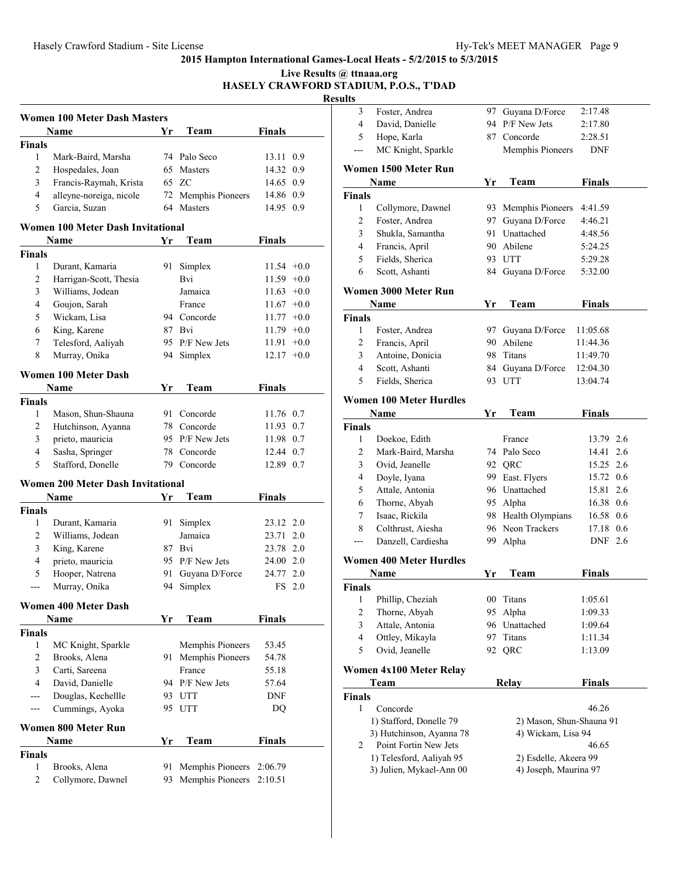**Live Results @ ttnaaa.org HASELY CRAWFORD STADIUM, P.O.S., T'DAD**

|        | Women 100 Meter Dash Masters      |    |                     |               |     |
|--------|-----------------------------------|----|---------------------|---------------|-----|
|        | Name                              | Yr | Team                | Finals        |     |
| Finals |                                   |    |                     |               |     |
| 1      | Mark-Baird, Marsha                |    | 74 Palo Seco        | 13.11         | 0.9 |
| 2      | Hospedales, Joan                  |    | 65 Masters          | 14.32 0.9     |     |
| 3      | Francis-Raymah, Krista            |    | 65 ZC               | 14.65 0.9     |     |
| 4      | alleyne-noreiga, nicole           |    | 72 Memphis Pioneers | 14.86 0.9     |     |
| 5      | Garcia, Suzan                     | 64 | <b>Masters</b>      | 14.95 0.9     |     |
|        | Women 100 Meter Dash Invitational |    |                     |               |     |
|        | Name                              | Yr | Team                | Finals        |     |
| Finals |                                   |    |                     |               |     |
| 1      | Durant, Kamaria                   | 91 | Simplex             | $11.54 + 0.0$ |     |
| 2      | Harrigan-Scott, Thesia            |    | Bvi                 | $11.59 + 0.0$ |     |
| 3      | Williams, Jodean                  |    | Jamaica             | $11.63 +0.0$  |     |
| 4      | Goujon, Sarah                     |    | France              | $11.67 + 0.0$ |     |
| 5      | Wickam, Lisa                      | 94 | Concorde            | $11.77 + 0.0$ |     |
|        |                                   |    |                     |               |     |
| 6      | King, Karene                      | 87 | Bvi                 | $11.79 + 0.0$ |     |

| <b>Finals</b>  |                                          |     |                         |               |        |
|----------------|------------------------------------------|-----|-------------------------|---------------|--------|
| 1              | Durant, Kamaria                          |     | 91 Simplex              | $11.54 +0.0$  |        |
| 2              | Harrigan-Scott, Thesia                   |     | Bvi                     | $11.59 +0.0$  |        |
| 3              | Williams, Jodean                         |     | Jamaica                 | $11.63 +0.0$  |        |
| $\overline{4}$ | Goujon, Sarah                            |     | France                  | $11.67 +0.0$  |        |
| 5              | Wickam, Lisa                             |     | 94 Concorde             | $11.77 + 0.0$ |        |
| 6              | King, Karene                             |     | 87 Bvi                  | $11.79 +0.0$  |        |
| 7              | Telesford, Aaliyah                       |     | 95 P/F New Jets         | 11.91         | $+0.0$ |
| 8              | Murray, Onika                            |     | 94 Simplex              | $12.17 +0.0$  |        |
|                | Women 100 Meter Dash                     |     |                         |               |        |
|                | Name                                     | Yr  | Team                    | Finals        |        |
| <b>Finals</b>  |                                          |     |                         |               |        |
| $\mathbf{1}$   | Mason, Shun-Shauna                       | 91. | Concorde                | 11.76 0.7     |        |
| 2              | Hutchinson, Ayanna                       |     | 78 Concorde             | 11.93 0.7     |        |
| 3              | prieto, mauricia                         |     | 95 P/F New Jets         | 11.98 0.7     |        |
| 4              | Sasha, Springer                          |     | 78 Concorde             | 12.44 0.7     |        |
| 5              | Stafford, Donelle                        |     | 79 Concorde             | 12.89 0.7     |        |
|                | <b>Women 200 Meter Dash Invitational</b> |     |                         |               |        |
|                | <b>Name</b>                              | Yr  | Team                    | Finals        |        |
| <b>Finals</b>  |                                          |     |                         |               |        |
| $\mathbf{1}$   | Durant, Kamaria                          | 91  | Simplex                 | 23.12 2.0     |        |
| 2              | Williams, Jodean                         |     | Jamaica                 | 23.71         | 2.0    |
| 3              | King, Karene                             |     | 87 Bvi                  | 23.78 2.0     |        |
| 4              | prieto, mauricia                         |     | 95 P/F New Jets         | 24.00 2.0     |        |
| 5              | Hooper, Natrena                          | 91  | Guyana D/Force          | 24.77 2.0     |        |
| ---            | Murray, Onika                            | 94  | Simplex                 |               | FS 2.0 |
|                | <b>Women 400 Meter Dash</b>              |     |                         |               |        |
|                | Name                                     | Yr  | Team                    | Finals        |        |
| <b>Finals</b>  |                                          |     |                         |               |        |
| 1              | MC Knight, Sparkle                       |     | <b>Memphis Pioneers</b> | 53.45         |        |
| $\overline{c}$ | Brooks, Alena                            |     | 91 Memphis Pioneers     | 54.78         |        |
| 3              | Carti, Sareena                           |     | France                  | 55.18         |        |
| $\overline{4}$ | David, Danielle                          |     | 94 P/F New Jets         | 57.64         |        |
| ---            | Douglas, Kechellle                       |     | 93 UTT                  | <b>DNF</b>    |        |
| ---            | Cummings, Ayoka                          |     | 95 UTT                  | DO            |        |
|                | Women 800 Meter Run                      |     |                         |               |        |
|                | <b>Name</b>                              | Yr  | Team                    | Finals        |        |
| <b>Finals</b>  |                                          |     |                         |               |        |
| 1              | Brooks, Alena                            | 91  | Memphis Pioneers        | 2:06.79       |        |
| $\overline{2}$ | Collymore, Dawnel                        | 93  | Memphis Pioneers        | 2:10.51       |        |

| 3                  | Foster, Andrea                      | 97  | Guyana D/Force                                 | 2:17.48       |  |
|--------------------|-------------------------------------|-----|------------------------------------------------|---------------|--|
| 4                  | David, Danielle                     |     | 94 P/F New Jets                                | 2:17.80       |  |
| 5                  | Hope, Karla                         |     | 87 Concorde                                    | 2:28.51       |  |
|                    | MC Knight, Sparkle                  |     | Memphis Pioneers                               | <b>DNF</b>    |  |
|                    | Women 1500 Meter Run                |     |                                                |               |  |
|                    | Name                                | Yr  | Team                                           | <b>Finals</b> |  |
| <b>Finals</b>      |                                     |     |                                                |               |  |
| 1                  | Collymore, Dawnel                   |     | 93 Memphis Pioneers                            | 4:41.59       |  |
| 2                  | Foster, Andrea                      |     | 97 Guyana D/Force                              | 4:46.21       |  |
| 3                  | Shukla, Samantha                    |     | 91 Unattached                                  | 4:48.56       |  |
| 4                  | Francis, April                      |     | 90 Abilene                                     | 5:24.25       |  |
| 5                  | Fields, Sherica                     |     | 93 UTT                                         | 5:29.28       |  |
| 6                  | Scott, Ashanti                      |     | 84 Guyana D/Force                              | 5:32.00       |  |
|                    |                                     |     |                                                |               |  |
|                    | Women 3000 Meter Run                |     |                                                |               |  |
|                    | Name                                | Yr  | Team                                           | <b>Finals</b> |  |
| <b>Finals</b>      |                                     |     |                                                |               |  |
| 1                  | Foster, Andrea                      | 97  | Guyana D/Force                                 | 11:05.68      |  |
| 2                  | Francis, April                      |     | 90 Abilene                                     | 11:44.36      |  |
| 3                  | Antoine, Donicia                    | 98  | Titans                                         | 11:49.70      |  |
| 4                  | Scott, Ashanti                      | 84  | Guyana D/Force                                 | 12:04.30      |  |
| 5                  | Fields, Sherica                     |     | 93 UTT                                         | 13:04.74      |  |
|                    | <b>Women 100 Meter Hurdles</b>      |     |                                                |               |  |
|                    | Name                                | Yr  | Team                                           | <b>Finals</b> |  |
| <b>Finals</b>      |                                     |     |                                                |               |  |
| 1                  | Doekoe, Edith                       |     | France                                         | 13.79 2.6     |  |
| 2                  | Mark-Baird, Marsha                  |     | 74 Palo Seco                                   | 14.41 2.6     |  |
| 3                  | Ovid, Jeanelle                      |     | 92 QRC                                         | 15.25 2.6     |  |
| 4                  | Doyle, Iyana                        |     | 99 East. Flyers                                | 15.72 0.6     |  |
| 5                  | Attale, Antonia                     |     | 96 Unattached                                  | 15.81 2.6     |  |
| 6                  | Thorne, Abyah                       |     | 95 Alpha                                       | 16.38 0.6     |  |
| 7                  | Isaac, Rickila                      |     | 98 Health Olympians                            | 16.58 0.6     |  |
| 8                  | Colthrust, Aiesha                   |     | 96 Neon Trackers                               | 17.18 0.6     |  |
| ---                | Danzell, Cardiesha                  | 99. | Alpha                                          | DNF 2.6       |  |
|                    | <b>Women 400 Meter Hurdles</b>      |     |                                                |               |  |
|                    | Name                                | Yr  | Team                                           | Finals        |  |
| Finals             |                                     |     |                                                |               |  |
|                    | 1 Phillip, Cheziah                  |     | 00 Titans                                      | 1:05.61       |  |
| 2                  | Thorne, Abyah                       | 95  | Alpha                                          | 1:09.33       |  |
| 3                  | Attale, Antonia                     |     | 96 Unattached                                  | 1:09.64       |  |
| $\overline{4}$     | Ottley, Mikayla                     | 97  | Titans                                         | 1:11.34       |  |
| 5                  | Ovid, Jeanelle                      | 92  | QRC                                            | 1:13.09       |  |
|                    |                                     |     |                                                |               |  |
|                    | Women 4x100 Meter Relay             |     |                                                |               |  |
|                    | Team                                |     | <b>Relay</b>                                   | <b>Finals</b> |  |
| <b>Finals</b><br>1 |                                     |     |                                                |               |  |
|                    | Concorde<br>1) Stafford, Donelle 79 |     |                                                | 46.26         |  |
|                    | 3) Hutchinson, Ayanna 78            |     | 2) Mason, Shun-Shauna 91<br>4) Wickam, Lisa 94 |               |  |
| 2                  | Point Fortin New Jets               |     |                                                | 46.65         |  |
|                    | 1) Telesford, Aaliyah 95            |     | 2) Esdelle, Akeera 99                          |               |  |
|                    | 3) Julien, Mykael-Ann 00            |     | 4) Joseph, Maurina 97                          |               |  |
|                    |                                     |     |                                                |               |  |
|                    |                                     |     |                                                |               |  |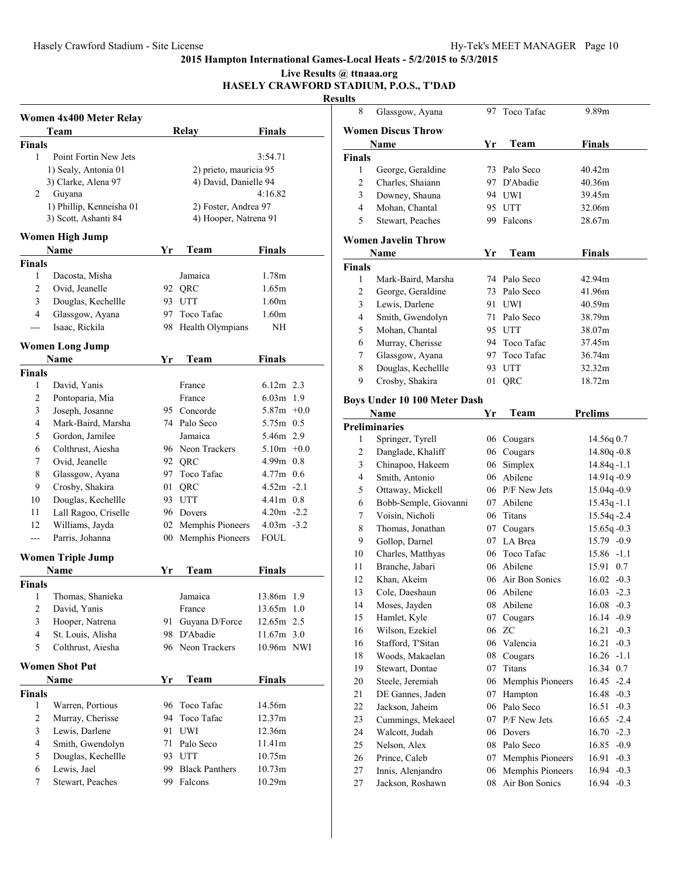## **Live Results @ ttnaaa.org**

#### **HASELY CRAWFORD STADIUM, P.O.S., T'DAD Results**

|                         | Women 4x400 Meter Relay  |     |                        |                   |  |  |  |
|-------------------------|--------------------------|-----|------------------------|-------------------|--|--|--|
|                         | Team                     |     | Relay                  | <b>Finals</b>     |  |  |  |
| <b>Finals</b>           |                          |     |                        |                   |  |  |  |
| 1                       | Point Fortin New Jets    |     |                        | 3:54.71           |  |  |  |
|                         | 1) Sealy, Antonia 01     |     | 2) prieto, mauricia 95 |                   |  |  |  |
|                         | 3) Clarke, Alena 97      |     | 4) David, Danielle 94  |                   |  |  |  |
| 2                       | Guyana                   |     |                        | 4:16.82           |  |  |  |
|                         | 1) Phillip, Kenneisha 01 |     | 2) Foster, Andrea 97   |                   |  |  |  |
|                         | 3) Scott, Ashanti 84     |     | 4) Hooper, Natrena 91  |                   |  |  |  |
|                         | <b>Women High Jump</b>   |     |                        |                   |  |  |  |
|                         | Name                     | Yr  | Team                   | <b>Finals</b>     |  |  |  |
| <b>Finals</b>           |                          |     |                        |                   |  |  |  |
| 1                       | Dacosta, Misha           |     | Jamaica                | 1.78m             |  |  |  |
| 2                       | Ovid, Jeanelle           |     | 92 QRC                 | 1.65m             |  |  |  |
| 3                       | Douglas, Kechellle       |     | 93 UTT                 | 1.60 <sub>m</sub> |  |  |  |
| 4                       | Glassgow, Ayana          | 97  | Toco Tafac             | 1.60 <sub>m</sub> |  |  |  |
| ---                     | Isaac, Rickila           |     | 98 Health Olympians    | NH                |  |  |  |
|                         |                          |     |                        |                   |  |  |  |
|                         | <b>Women Long Jump</b>   |     |                        |                   |  |  |  |
|                         | Name                     | Yr  | Team                   | <b>Finals</b>     |  |  |  |
| Finals                  |                          |     |                        |                   |  |  |  |
| 1                       | David, Yanis             |     | France                 | $6.12m$ 2.3       |  |  |  |
| 2                       | Pontoparia, Mia          |     | France                 | $6.03m$ 1.9       |  |  |  |
| 3                       | Joseph, Josanne          |     | 95 Concorde            | $5.87m +0.0$      |  |  |  |
| 4                       | Mark-Baird, Marsha       |     | 74 Palo Seco           | 5.75m 0.5         |  |  |  |
| 5                       | Gordon, Jamilee          |     | Jamaica                | 5.46m 2.9         |  |  |  |
| 6                       | Colthrust, Aiesha        |     | 96 Neon Trackers       | $5.10m +0.0$      |  |  |  |
| 7                       | Ovid, Jeanelle           |     | 92 QRC                 | $4.99m$ 0.8       |  |  |  |
| 8                       | Glassgow, Ayana          |     | 97 Toco Tafac          | $4.77m$ 0.6       |  |  |  |
| 9                       | Crosby, Shakira          | 01  | QRC                    | $4.52m -2.1$      |  |  |  |
| 10                      | Douglas, Kechellle       |     | 93 UTT                 | $4.41m$ 0.8       |  |  |  |
| 11                      | Lall Ragoo, Criselle     |     | 96 Dovers              | $4.20m - 2.2$     |  |  |  |
| 12                      | Williams, Jayda          |     | 02 Memphis Pioneers    | $4.03m - 3.2$     |  |  |  |
| ---                     | Parris, Johanna          |     | 00 Memphis Pioneers    | FOUL.             |  |  |  |
|                         | <b>Women Triple Jump</b> |     |                        |                   |  |  |  |
|                         | Name                     | Yr  | Team                   | <b>Finals</b>     |  |  |  |
| Finals                  |                          |     |                        |                   |  |  |  |
| 1                       | Thomas, Shanieka         |     | Jamaica                | 13.86m 1.9        |  |  |  |
| $\overline{\mathbf{c}}$ | David, Yanis             |     | France                 | 13.65m 1.0        |  |  |  |
| 3                       | Hooper, Natrena          | 91  | Guyana D/Force         | 12.65m 2.5        |  |  |  |
| 4                       | St. Louis, Alisha        | 98  | D'Abadie               | 11.67m 3.0        |  |  |  |
| 5                       | Colthrust, Aiesha        |     | 96 Neon Trackers       | 10.96m NWI        |  |  |  |
|                         | <b>Women Shot Put</b>    |     |                        |                   |  |  |  |
|                         | Name                     |     |                        |                   |  |  |  |
|                         |                          | Yr  | Team                   | <b>Finals</b>     |  |  |  |
| <b>Finals</b><br>1      | Warren, Portious         | 96  | Toco Tafac             | 14.56m            |  |  |  |
| $\overline{c}$          | Murray, Cherisse         | 94  | Toco Tafac             | 12.37m            |  |  |  |
| 3                       | Lewis, Darlene           | 91  | UWI                    | 12.36m            |  |  |  |
| $\overline{4}$          | Smith, Gwendolyn         | 71  | Palo Seco              | 11.41m            |  |  |  |
| 5                       | Douglas, Kechellle       |     | 93 UTT                 | 10.75m            |  |  |  |
| 6                       | Lewis, Jael              | 99- | <b>Black Panthers</b>  | 10.73m            |  |  |  |
| 7                       | Stewart, Peaches         | 99  | Falcons                | 10.29m            |  |  |  |
|                         |                          |     |                        |                   |  |  |  |

| πь             |                                 |          |                  |                                    |
|----------------|---------------------------------|----------|------------------|------------------------------------|
| 8              | Glassgow, Ayana                 |          | 97 Toco Tafac    | 9.89m                              |
|                | <b>Women Discus Throw</b>       |          |                  |                                    |
|                | Name                            | Yr       | Team             | <b>Finals</b>                      |
| Finals         |                                 |          |                  |                                    |
| 1              | George, Geraldine               |          | 73 Palo Seco     | 40.42m                             |
| $\overline{c}$ | Charles, Shaiann                |          | 97 D'Abadie      | 40.36m                             |
| 3              | Downey, Shauna                  |          | 94 UWI           | 39.45m                             |
| 4              | Mohan, Chantal                  |          | 95 UTT           | 32.06m                             |
| 5              | Stewart, Peaches                |          | 99 Falcons       | 28.67m                             |
|                |                                 |          |                  |                                    |
|                | Women Javelin Throw<br>Name     | Yr       | Team             | <b>Finals</b>                      |
| Finals         |                                 |          |                  |                                    |
| 1              | Mark-Baird, Marsha              |          | 74 Palo Seco     | 42.94m                             |
| $\overline{c}$ | George, Geraldine               |          | 73 Palo Seco     | 41.96m                             |
| 3              | Lewis, Darlene                  |          | 91 UWI           | 40.59m                             |
| 4              | Smith, Gwendolyn                |          | 71 Palo Seco     | 38.79m                             |
| 5              | Mohan, Chantal                  |          | 95 UTT           | 38.07m                             |
| 6              | Murray, Cherisse                |          | 94 Toco Tafac    | 37.45m                             |
| 7              | Glassgow, Ayana                 |          | 97 Toco Tafac    | 36.74m                             |
| 8              | Douglas, Kechellle              |          | 93 UTT           | 32.32m                             |
| 9              | Crosby, Shakira                 | 01       | QRC              | 18.72m                             |
|                |                                 |          |                  |                                    |
|                | Boys Under 10 100 Meter Dash    |          |                  |                                    |
|                | Name                            | Yr       | Team             | <b>Prelims</b>                     |
|                | <b>Preliminaries</b>            |          |                  |                                    |
| 1              | Springer, Tyrell                |          | 06 Cougars       | 14.56q 0.7                         |
| $\overline{c}$ | Danglade, Khaliff               |          | 06 Cougars       | 14.80q-0.8                         |
| 3              | Chinapoo, Hakeem                |          | 06 Simplex       | 14.84q-1.1                         |
| $\overline{4}$ | Smith, Antonio                  |          | 06 Abilene       | 14.91q-0.9                         |
| 5              | Ottaway, Mickell                |          | 06 P/F New Jets  | 15.04q-0.9                         |
| 6              | Bobb-Semple, Giovanni           |          | 07 Abilene       | $15.43q - 1.1$                     |
| $\tau$         | Voisin, Nicholi                 |          | 06 Titans        | 15.54q-2.4                         |
| 8              | Thomas, Jonathan                |          | 07 Cougars       | $15.65q - 0.3$                     |
| 9              | Gollop, Darnel                  |          | 07 LA Brea       | $15.79 - 0.9$                      |
| 10             | Charles, Matthyas               |          | 06 Toco Tafac    | $15.86 - 1.1$                      |
| 11             | Branche, Jabari                 |          | 06 Abilene       | 15.91<br>0.7                       |
| 12             | Khan, Akeim                     | 06.      | Air Bon Sonics   | $16.02 -0.3$                       |
| 13             | Cole, Daeshaun                  |          | 06 Abilene       | $16.03 - 2.3$                      |
| 14             | Moses, Jayden                   | 08<br>07 | Abilene          | 16.08<br>$-0.3$                    |
| 15<br>16       | Hamlet, Kyle<br>Wilson, Ezekiel | 06       | Cougars<br>ZC    | 16.14<br>$-0.9$<br>16.21<br>$-0.3$ |
| 16             | Stafford, T'Sitan               |          | 06 Valencia      | 16.21<br>$-0.3$                    |
| 18             | Woods, Makaelan                 | 08       | Cougars          | 16.26<br>$-1.1$                    |
| 19             | Stewart, Dontae                 | 07       | Titans           | $0.7\,$<br>16.34                   |
| 20             | Steele, Jeremiah                | 06       | Memphis Pioneers | $-2.4$<br>16.45                    |
| 21             | DE Gannes, Jaden                | 07       | Hampton          | 16.48<br>$-0.3$                    |
| 22             | Jackson, Jaheim                 | 06       | Palo Seco        | 16.51<br>$-0.3$                    |
| 23             | Cummings, Mekaeel               | 07       | P/F New Jets     | $-2.4$<br>16.65                    |
| 24             | Walcott, Judah                  | 06       | Dovers           | 16.70<br>$-2.3$                    |
| 25             | Nelson, Alex                    | 08       | Palo Seco        | 16.85<br>$-0.9$                    |
| 26             | Prince, Caleb                   | 07       | Memphis Pioneers | 16.91<br>$-0.3$                    |
| 27             | Innis, Alenjandro               | 06       | Memphis Pioneers | 16.94<br>$-0.3$                    |
| 27             | Jackson, Roshawn                | 08       | Air Bon Sonics   | 16.94<br>$-0.3$                    |
|                |                                 |          |                  |                                    |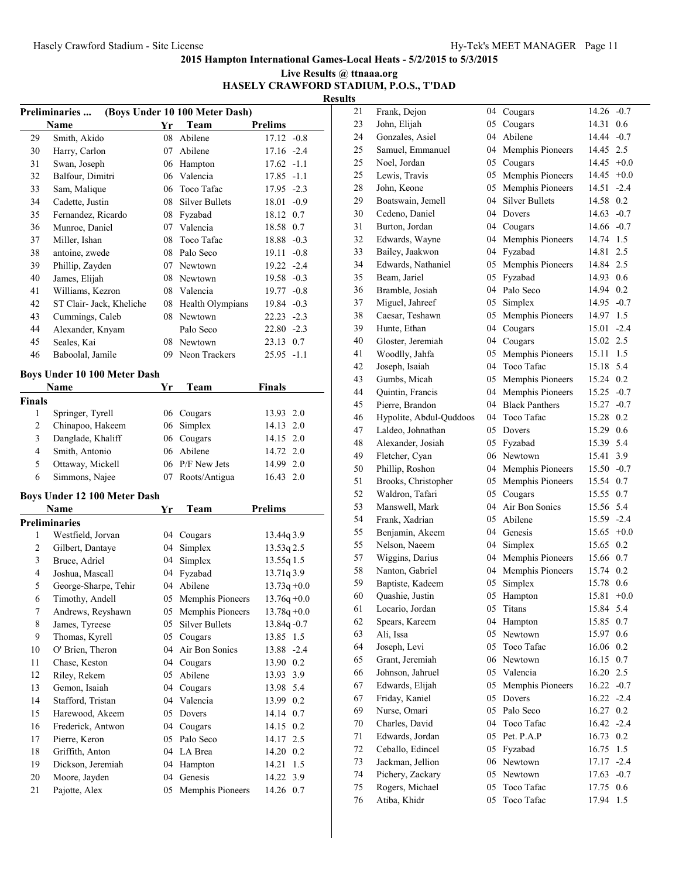| Live Results @ ttnaaa.org              |
|----------------------------------------|
| HASELY CRAWFORD STADIUM, P.O.S., T'DAD |
| <b>Results</b>                         |

|                                       | (Boys Under 10 100 Meter Dash)<br><b>Preliminaries </b> |          |                          |                           |  |
|---------------------------------------|---------------------------------------------------------|----------|--------------------------|---------------------------|--|
|                                       | Name                                                    | Yr       | Team                     | <b>Prelims</b>            |  |
| 29                                    | Smith, Akido                                            | 08       | Abilene                  | $17.12 -0.8$              |  |
| 30                                    | Harry, Carlon                                           | 07       | Abilene                  | $17.16 - 2.4$             |  |
| 31                                    | Swan, Joseph                                            |          | 06 Hampton               | $17.62 -1.1$              |  |
| 32                                    | Balfour, Dimitri                                        | 06       | Valencia                 | $17.85 - 1.1$             |  |
| 33                                    | Sam, Malique                                            | 06       | Toco Tafac               | 17.95 -2.3                |  |
| 34                                    | Cadette, Justin                                         |          | 08 Silver Bullets        | $18.01 - 0.9$             |  |
| 35                                    | Fernandez, Ricardo                                      |          | 08 Fyzabad               | 18.12 0.7                 |  |
| 36                                    | Munroe, Daniel                                          |          | 07 Valencia              | 18.58 0.7                 |  |
| 37                                    | Miller, Ishan                                           | 08       | Toco Tafac               | 18.88 -0.3                |  |
| 38                                    | antoine, zwede                                          |          | 08 Palo Seco             | 19.11<br>$-0.8$           |  |
| 39                                    | Phillip, Zayden                                         |          | 07 Newtown               | 19.22 -2.4                |  |
| 40                                    | James, Elijah                                           |          | 08 Newtown               | 19.58 -0.3                |  |
| 41                                    | Williams, Kezron                                        |          | 08 Valencia              | 19.77 -0.8                |  |
| 42                                    | ST Clair- Jack, Kheliche                                |          | 08 Health Olympians      | 19.84 -0.3                |  |
| 43                                    | Cummings, Caleb                                         |          | 08 Newtown               | $22.23 - 2.3$             |  |
| 44                                    | Alexander, Knyam                                        |          | Palo Seco                | $22.80 - 2.3$             |  |
| 45                                    | Seales, Kai                                             | 08       | Newtown                  | 23.13 0.7                 |  |
| 46                                    | Baboolal, Jamile                                        | 09       | Neon Trackers            | $25.95 -1.1$              |  |
|                                       |                                                         |          |                          |                           |  |
|                                       | Boys Under 10 100 Meter Dash                            |          |                          |                           |  |
|                                       | Name                                                    | Yr       | Team                     | <b>Finals</b>             |  |
| Finals                                |                                                         |          |                          |                           |  |
| 1                                     | Springer, Tyrell                                        |          | 06 Cougars               | 13.93 2.0                 |  |
| $\sqrt{2}$<br>$\overline{\mathbf{3}}$ | Chinapoo, Hakeem                                        |          | 06 Simplex               | 14.13 2.0                 |  |
| 4                                     | Danglade, Khaliff                                       |          | 06 Cougars<br>06 Abilene | 14.15 2.0                 |  |
| 5                                     | Smith, Antonio                                          |          | 06 P/F New Jets          | 14.72 2.0                 |  |
| 6                                     | Ottaway, Mickell                                        |          |                          | 14.99 2.0                 |  |
|                                       | Simmons, Najee                                          | 07       | Roots/Antigua            | 16.43 2.0                 |  |
|                                       | <b>Boys Under 12 100 Meter Dash</b>                     |          |                          |                           |  |
|                                       | Name                                                    | Yr       | Team                     | <b>Prelims</b>            |  |
|                                       | <b>Preliminaries</b>                                    |          |                          |                           |  |
| 1                                     | Westfield, Jorvan                                       |          | 04 Cougars               | 13.44q 3.9                |  |
| $\sqrt{2}$                            | Gilbert, Dantaye                                        | 04       | Simplex                  | 13.53q 2.5                |  |
| 3                                     | Bruce, Adriel                                           |          | 04 Simplex               | 13.55q 1.5                |  |
| $\overline{4}$                        | Joshua, Mascall                                         |          | 04 Fyzabad               | 13.71q 3.9                |  |
| 5                                     | George-Sharpe, Tehir                                    |          | 04 Abilene               | $13.73q + 0.0$            |  |
| 6                                     | Timothy, Andell                                         |          | 05 Memphis Pioneers      | $13.76q + 0.0$            |  |
| $\boldsymbol{7}$                      | Andrews, Reyshawn                                       | 05       | Memphis Pioneers         | $13.78q + 0.0$            |  |
| 8                                     | James, Tyreese                                          | 05       | <b>Silver Bullets</b>    | 13.84q - 0.7              |  |
| 9                                     | Thomas, Kyrell                                          | 05       | Cougars                  | 13.85 1.5                 |  |
| 10                                    | O' Brien, Theron                                        | 04       | Air Bon Sonics           | $-2.4$<br>13.88           |  |
| 11                                    | Chase, Keston                                           | 04       | Cougars                  | 13.90 0.2                 |  |
| 12                                    | Riley, Rekem                                            | 05       | Abilene                  | 3.9<br>13.93              |  |
| 13                                    | Gemon, Isaiah                                           | 04       | Cougars                  | 5.4<br>13.98              |  |
| 14                                    | Stafford, Tristan                                       | 04       | Valencia                 | 13.99<br>0.2              |  |
| 15                                    | Harewood, Akeem                                         | 05       | Dovers                   | 14.14 0.7                 |  |
| 16                                    | Frederick, Antwon                                       | 04       | Cougars                  | $0.2\,$<br>14.15          |  |
| 17                                    | Pierre, Keron                                           | 05       | Palo Seco                | 2.5<br>14.17              |  |
| 18                                    | Griffith, Anton<br>Dickson, Jeremiah                    | 04<br>04 | LA Brea                  | 14.20 0.2<br>1.5          |  |
| 19<br>20                              | Moore, Jayden                                           | 04       | Hampton<br>Genesis       | 14.21                     |  |
| 21                                    | Pajotte, Alex                                           | 05       | Memphis Pioneers         | 14.22<br>3.9<br>14.26 0.7 |  |
|                                       |                                                         |          |                          |                           |  |

| 21 | Frank, Dejon            | 04 | Cougars               | 14.26        | $-0.7$ |
|----|-------------------------|----|-----------------------|--------------|--------|
| 23 | John, Elijah            | 05 | Cougars               | 14.31        | 0.6    |
| 24 | Gonzales, Asiel         | 04 | Abilene               | 14.44        | $-0.7$ |
| 25 | Samuel, Emmanuel        | 04 | Memphis Pioneers      | 14.45 2.5    |        |
| 25 | Noel, Jordan            | 05 | Cougars               | 14.45        | $+0.0$ |
| 25 | Lewis, Travis           | 05 | Memphis Pioneers      | 14.45        | $+0.0$ |
| 28 | John, Keone             | 05 | Memphis Pioneers      | 14.51        | $-2.4$ |
| 29 | Boatswain, Jemell       | 04 | <b>Silver Bullets</b> | 14.58        | 0.2    |
| 30 | Cedeno, Daniel          | 04 | Dovers                | 14.63        | $-0.7$ |
| 31 | Burton, Jordan          | 04 | Cougars               | 14.66        | $-0.7$ |
| 32 | Edwards, Wayne          | 04 | Memphis Pioneers      | 14.74        | 1.5    |
| 33 | Bailey, Jaakwon         | 04 | Fyzabad               | 14.81        | 2.5    |
| 34 | Edwards, Nathaniel      | 05 | Memphis Pioneers      | 14.84        | 2.5    |
| 35 | Beam, Jariel            | 05 | Fyzabad               | 14.93        | 0.6    |
| 36 | Bramble, Josiah         | 04 | Palo Seco             | 14.94        | 0.2    |
| 37 | Miguel, Jahreef         | 05 | Simplex               | 14.95 -0.7   |        |
| 38 | Caesar, Teshawn         | 05 | Memphis Pioneers      | 14.97        | 1.5    |
| 39 | Hunte, Ethan            | 04 | Cougars               | 15.01        | $-2.4$ |
| 40 | Gloster, Jeremiah       | 04 | Cougars               | 15.02        | 2.5    |
| 41 | Woodlly, Jahfa          | 05 | Memphis Pioneers      | 15.11        | 1.5    |
| 42 | Joseph, Isaiah          | 04 | Toco Tafac            | 15.18        | 5.4    |
| 43 | Gumbs, Micah            | 05 | Memphis Pioneers      | 15.24        | 0.2    |
| 44 | Quintin, Francis        | 04 | Memphis Pioneers      | 15.25        | $-0.7$ |
| 45 | Pierre, Brandon         | 04 | <b>Black Panthers</b> | $15.27 -0.7$ |        |
| 46 | Hypolite, Abdul-Quddoos | 04 | Toco Tafac            | 15.28        | 0.2    |
| 47 | Laldeo, Johnathan       | 05 | Dovers                | 15.29        | 0.6    |
| 48 | Alexander, Josiah       | 05 | Fyzabad               | 15.39        | 5.4    |
| 49 | Fletcher, Cyan          | 06 | Newtown               | 15.41        | 3.9    |
| 50 | Phillip, Roshon         | 04 | Memphis Pioneers      | 15.50        | $-0.7$ |
| 51 | Brooks, Christopher     | 05 | Memphis Pioneers      | 15.54        | 0.7    |
| 52 | Waldron, Tafari         | 05 | Cougars               | 15.55        | 0.7    |
| 53 | Manswell, Mark          | 04 | Air Bon Sonics        | 15.56        | 5.4    |
| 54 | Frank, Xadrian          | 05 | Abilene               | 15.59        | $-2.4$ |
| 55 | Benjamin, Akeem         | 04 | Genesis               | $15.65 +0.0$ |        |
| 55 | Nelson, Naeem           | 04 | Simplex               | 15.65        | 0.2    |
| 57 | Wiggins, Darius         | 04 | Memphis Pioneers      | 15.66        | 0.7    |
| 58 | Nanton, Gabriel         | 04 | Memphis Pioneers      | 15.74        | 0.2    |
| 59 | Baptiste, Kadeem        | 05 | Simplex               | 15.78        | 0.6    |
| 60 | Quashie, Justin         | 05 | Hampton               | 15.81        | $+0.0$ |
| 61 | Locario, Jordan         | 05 | Titans                | 15.84        | 5.4    |
| 62 | Spears, Kareem          | 04 | Hampton               | 15.85        | 0.7    |
| 63 | Ali, Issa               | 05 | Newtown               | 15.97        | 0.6    |
| 64 | Joseph, Levi            | 05 | Toco Tafac            | 16.06        | 0.2    |
| 65 | Grant, Jeremiah         | 06 | Newtown               | 16.15        | 0.7    |
| 66 | Johnson, Jahruel        | 05 | Valencia              | 16.20        | 2.5    |
| 67 | Edwards, Elijah         | 05 | Memphis Pioneers      | 16.22        | $-0.7$ |
| 67 | Friday, Kaniel          | 05 | Dovers                | 16.22        | $-2.4$ |
| 69 | Nurse, Omari            | 05 | Palo Seco             | 16.27        | 0.2    |
| 70 | Charles, David          | 04 | Toco Tafac            | 16.42        | $-2.4$ |
| 71 | Edwards, Jordan         | 05 | Pet. P.A.P            | 16.73        | 0.2    |
| 72 | Ceballo, Edincel        | 05 | Fyzabad               | 16.75        | 1.5    |
| 73 | Jackman, Jellion        | 06 | Newtown               | 17.17        | $-2.4$ |
| 74 | Pichery, Zackary        | 05 | Newtown               | 17.63        | $-0.7$ |
| 75 | Rogers, Michael         | 05 | Toco Tafac            | 17.75        | 0.6    |
| 76 | Atiba, Khidr            | 05 | Toco Tafac            | 17.94        | 1.5    |
|    |                         |    |                       |              |        |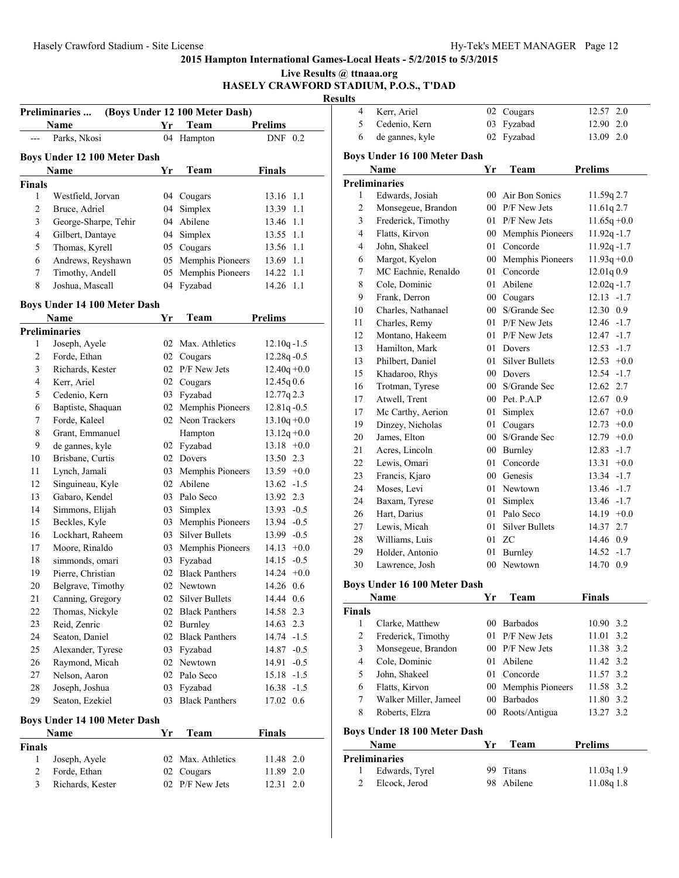|                | <b>Preliminaries</b>                  |    | (Boys Under 12 100 Meter Dash) |                                  | <b>Results</b><br>4 | Kerr, Ariel                    |
|----------------|---------------------------------------|----|--------------------------------|----------------------------------|---------------------|--------------------------------|
|                | Name                                  | Yr | Team                           | <b>Prelims</b>                   | 5                   | Cedenio, Kern                  |
| ---            | Parks, Nkosi                          |    | 04 Hampton                     | DNF 0.2                          | 6                   | de gannes, kyle                |
|                | Boys Under 12 100 Meter Dash          |    |                                |                                  |                     | <b>Boys Under 16 100 Meter</b> |
|                | Name                                  | Yr | Team                           | <b>Finals</b>                    |                     | Name                           |
| <b>Finals</b>  |                                       |    |                                |                                  |                     | Preliminaries                  |
| $\mathbf{1}$   | Westfield, Jorvan                     |    | 04 Cougars                     | 13.16 1.1                        | 1                   | Edwards, Josiah                |
| $\sqrt{2}$     | Bruce, Adriel                         |    | 04 Simplex                     | 13.39 1.1                        | $\overline{c}$      | Monsegeue, Brandon             |
| $\mathfrak{Z}$ | George-Sharpe, Tehir                  |    | 04 Abilene                     | 13.46 1.1                        | 3                   | Frederick, Timothy             |
| $\overline{4}$ | Gilbert, Dantaye                      |    | 04 Simplex                     | 13.55 1.1                        | 4                   | Flatts, Kirvon                 |
| 5              | Thomas, Kyrell                        |    | 05 Cougars                     | 13.56 1.1                        | 4                   | John, Shakeel                  |
| 6              | Andrews, Reyshawn                     |    | 05 Memphis Pioneers            | 13.69 1.1                        | 6                   | Margot, Kyelon                 |
| $\tau$         | Timothy, Andell                       |    | 05 Memphis Pioneers            | 14.22 1.1                        | 7                   | MC Eachnie, Renaldo            |
| 8              | Joshua, Mascall                       |    | 04 Fyzabad                     | 14.26 1.1                        | 8                   | Cole, Dominic                  |
|                | Boys Under 14 100 Meter Dash          |    |                                |                                  | 9                   | Frank, Derron                  |
|                | Name                                  |    | Team                           | <b>Prelims</b>                   | 10                  | Charles, Nathanael             |
|                |                                       | Yr |                                |                                  | 11                  | Charles, Remy                  |
| 1              | <b>Preliminaries</b><br>Joseph, Ayele |    | 02 Max. Athletics              |                                  | 12                  | Montano, Hakeem                |
| $\overline{c}$ | Forde, Ethan                          |    | 02 Cougars                     | $12.10q - 1.5$<br>$12.28q - 0.5$ | 13                  | Hamilton, Mark                 |
| $\mathfrak{Z}$ | Richards, Kester                      |    | 02 P/F New Jets                | $12.40q + 0.0$                   | 13                  | Philbert, Daniel               |
| $\overline{4}$ |                                       |    |                                |                                  | 15                  | Khadaroo, Rhys                 |
| 5              | Kerr, Ariel<br>Cedenio, Kern          |    | 02 Cougars<br>03 Fyzabad       | $12.45q\,0.6$<br>12.77q 2.3      | 16                  | Trotman, Tyrese                |
| 6              | Baptiste, Shaquan                     |    | 02 Memphis Pioneers            | $12.81q - 0.5$                   | 17                  | Atwell, Trent                  |
| $\overline{7}$ | Forde, Kaleel                         |    | 02 Neon Trackers               | $13.10q + 0.0$                   | 17                  | Mc Carthy, Aerion              |
| $\,$ 8 $\,$    | Grant, Emmanuel                       |    | Hampton                        | $13.12q + 0.0$                   | 19                  | Dinzey, Nicholas               |
| 9              | de gannes, kyle                       |    | 02 Fyzabad                     | $13.18 + 0.0$                    | 20                  | James, Elton                   |
| 10             | Brisbane, Curtis                      |    | 02 Dovers                      | 13.50 2.3                        | 21                  | Acres, Lincoln                 |
| 11             | Lynch, Jamali                         |    | 03 Memphis Pioneers            | $13.59 +0.0$                     | 22                  | Lewis, Omari                   |
| 12             | Singuineau, Kyle                      |    | 02 Abilene                     | $13.62 - 1.5$                    | 23                  | Francis, Kjaro                 |
| 13             | Gabaro, Kendel                        |    | 03 Palo Seco                   | 13.92 2.3                        | 24                  | Moses, Levi                    |
| 14             | Simmons, Elijah                       |    | 03 Simplex                     | $13.93 - 0.5$                    | 24                  | Baxam, Tyrese                  |
| 15             | Beckles, Kyle                         | 03 | Memphis Pioneers               | 13.94 - 0.5                      | 26                  | Hart, Darius                   |
| 16             | Lockhart, Raheem                      |    | 03 Silver Bullets              | $13.99 - 0.5$                    | 27                  | Lewis, Micah                   |
| 17             | Moore, Rinaldo                        |    | 03 Memphis Pioneers            | $14.13 +0.0$                     | 28                  | Williams, Luis                 |
| 18             | simmonds, omari                       |    | 03 Fyzabad                     | $14.15 - 0.5$                    | 29                  | Holder, Antonio                |
| 19             | Pierre, Christian                     |    | 02 Black Panthers              | $14.24 +0.0$                     | 30                  | Lawrence, Josh                 |
| 20             | Belgrave, Timothy                     |    | 02 Newtown                     | 14.26 0.6                        |                     | <b>Boys Under 16 100 Meter</b> |
| 21             | Canning, Gregory                      |    | 02 Silver Bullets              | 14.44 0.6                        |                     | Name                           |
| 22             | Thomas, Nickyle                       |    | 02 Black Panthers              | 14.58 2.3                        | <b>Finals</b>       |                                |
| 23             | Reid, Zenric                          |    | 02 Burnley                     | 14.63 2.3                        | $\mathbf{1}$        | Clarke, Matthew                |
| 24             | Seaton, Daniel                        |    | 02 Black Panthers              | 14.74 -1.5                       | $\overline{c}$      | Frederick, Timothy             |
| 25             | Alexander, Tyrese                     |    | 03 Fyzabad                     | 14.87 -0.5                       | 3                   | Monsegeue, Brandon             |
| 26             | Raymond, Micah                        |    | 02 Newtown                     | $14.91 - 0.5$                    | 4                   | Cole, Dominic                  |
| 27             | Nelson, Aaron                         |    | 02 Palo Seco                   | $15.18 - 1.5$                    | 5                   | John, Shakeel                  |
| $28\,$         | Joseph, Joshua                        |    | 03 Fyzabad                     | $16.38 - 1.5$                    | 6                   | Flatts, Kirvon                 |
| 29             | Seaton, Ezekiel                       |    | 03 Black Panthers              | 17.02 0.6                        | 7                   | Walker Miller, Jamee           |
|                |                                       |    |                                |                                  | 8                   | Roberts, Elzra                 |
|                | Boys Under 14 100 Meter Dash          |    |                                |                                  |                     |                                |
|                | Name                                  | Yr | Team                           | Finals                           |                     | <b>Boys Under 18 100 Meter</b> |
| <b>Finals</b>  |                                       |    |                                |                                  |                     | Name                           |
| $\mathbf{1}$   | Joseph, Ayele                         |    | 02 Max. Athletics              | 11.48 2.0                        |                     | <b>Preliminaries</b>           |
| $\overline{c}$ | Forde, Ethan                          |    | 02 Cougars                     | 11.89 2.0                        | 1                   | Edwards, Tyrel                 |
| $\overline{3}$ | Richards, Kester                      |    | 02 P/F New Jets                | 12.31 2.0                        | 2                   | Elcock, Jerod                  |

| ılts                     |                                     |        |                     |                 |
|--------------------------|-------------------------------------|--------|---------------------|-----------------|
| 4                        | Kerr, Ariel                         |        | 02 Cougars          | 12.57 2.0       |
| 5                        | Cedenio, Kern                       | 03     | Fyzabad             | 12.90 2.0       |
| 6                        | de gannes, kyle                     | 02     | Fyzabad             | 13.09 2.0       |
|                          | <b>Boys Under 16 100 Meter Dash</b> |        |                     |                 |
|                          | Name                                | Yr     | Team                | <b>Prelims</b>  |
|                          | <b>Preliminaries</b>                |        |                     |                 |
| 1                        | Edwards, Josiah                     | 00     | Air Bon Sonics      | 11.59q 2.7      |
| $\overline{c}$           | Monsegeue, Brandon                  |        | 00 P/F New Jets     | 11.61q 2.7      |
| $\overline{\mathbf{3}}$  | Frederick, Timothy                  |        | 01 P/F New Jets     | $11.65q + 0.0$  |
| $\overline{4}$           | Flatts, Kirvon                      |        | 00 Memphis Pioneers | $11.92q - 1.7$  |
| 4                        | John, Shakeel                       |        | 01 Concorde         | $11.92q - 1.7$  |
| 6                        | Margot, Kyelon                      |        | 00 Memphis Pioneers | $11.93q + 0.0$  |
| $\tau$                   | MC Eachnie, Renaldo                 |        | 01 Concorde         | 12.01q0.9       |
| 8                        | Cole, Dominic                       |        | 01 Abilene          | $12.02q - 1.7$  |
| 9                        | Frank, Derron                       |        | 00 Cougars          | $12.13 - 1.7$   |
| 10                       | Charles, Nathanael                  |        | 00 S/Grande Sec     | 12.30 0.9       |
| 11                       | Charles, Remy                       |        | 01 P/F New Jets     | $12.46 - 1.7$   |
| 12                       | Montano, Hakeem                     |        | 01 P/F New Jets     | $12.47 - 1.7$   |
| 13                       | Hamilton, Mark                      |        | 01 Dovers           | $12.53 - 1.7$   |
| 13                       | Philbert, Daniel                    |        | 01 Silver Bullets   | $12.53 +0.0$    |
| 15                       | Khadaroo, Rhys                      |        | 00 Dovers           | $12.54 - 1.7$   |
| 16                       | Trotman, Tyrese                     |        | 00 S/Grande Sec     | 12.62 2.7       |
| 17                       | Atwell, Trent                       |        | 00 Pet. P.A.P       | 12.67 0.9       |
| 17                       | Mc Carthy, Aerion                   |        | 01 Simplex          | $12.67 + 0.0$   |
| 19                       | Dinzey, Nicholas                    | 01     | Cougars             | 12.73<br>$+0.0$ |
| 20                       | James, Elton                        |        | 00 S/Grande Sec     | $12.79 +0.0$    |
| 21                       | Acres, Lincoln                      |        | 00 Burnley          | 12.83<br>$-1.7$ |
| 22                       | Lewis, Omari                        | 01     | Concorde            | 13.31<br>$+0.0$ |
| 23                       | Francis, Kjaro                      |        | 00 Genesis          | 13.34 -1.7      |
| 24                       | Moses, Levi                         |        | 01 Newtown          | 13.46 -1.7      |
| 24                       | Baxam, Tyrese                       |        | 01 Simplex          | 13.46 -1.7      |
| 26                       | Hart, Darius                        |        | 01 Palo Seco        | $14.19 + 0.0$   |
| 27                       | Lewis, Micah                        |        | 01 Silver Bullets   | 14.37 2.7       |
| 28                       | Williams, Luis                      |        | 01 ZC               | 14.46 0.9       |
| 29                       | Holder, Antonio                     | 01     | <b>Burnley</b>      | $14.52 - 1.7$   |
| 30                       | Lawrence, Josh                      | $00\,$ | Newtown             | 14.70 0.9       |
|                          | <b>Boys Under 16 100 Meter Dash</b> |        |                     |                 |
|                          | Name                                | Yr     | Team                | Finals          |
| <b>Finals</b>            |                                     |        |                     |                 |
| 1                        | Clarke, Matthew                     | 00     | <b>Barbados</b>     | 10.90 3.2       |
| $\overline{c}$           | Frederick, Timothy                  | 01     | P/F New Jets        | 3.2<br>11.01    |
| 3                        | Monsegeue, Brandon                  | $00\,$ | P/F New Jets        | 11.38 3.2       |
| $\overline{\mathcal{L}}$ | Cole, Dominic                       | 01     | Abilene             | 11.42 3.2       |
| 5                        | John, Shakeel                       | 01     | Concorde            | 11.57 3.2       |
| 6                        | Flatts, Kirvon                      | 00     | Memphis Pioneers    | 11.58 3.2       |
| 7                        | Walker Miller, Jameel               | 00     | Barbados            | 11.80 3.2       |
| 8                        | Roberts, Elzra                      | 00     | Roots/Antigua       | 13.27 3.2       |
|                          |                                     |        |                     |                 |
|                          | <b>Boys Under 18 100 Meter Dash</b> |        |                     |                 |
|                          | Name                                | Yr     | Team                | <b>Prelims</b>  |
|                          | Preliminaries                       |        |                     |                 |
| 1                        | Edwards, Tyrel                      | 99     | Titans              | 11.03q1.9       |
| $\overline{c}$           | Elcock, Jerod                       | 98     | Abilene             | 11.08q 1.8      |
|                          |                                     |        |                     |                 |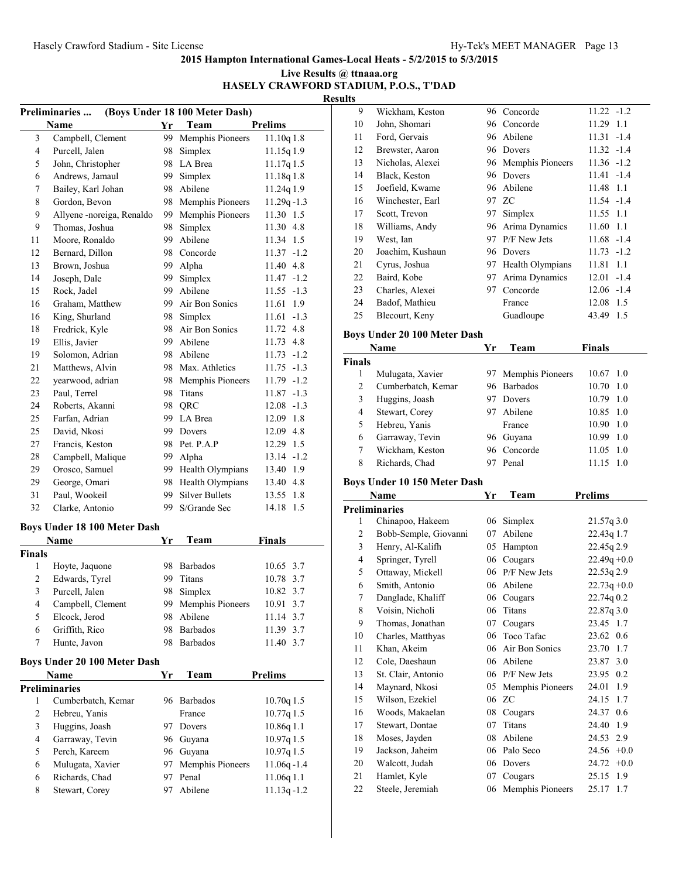| Live Results @ ttnaaa.org              |  |
|----------------------------------------|--|
| HASELY CRAWFORD STADIUM, P.O.S., T'DAD |  |

| ı | ш |  |
|---|---|--|
|   |   |  |

|                | (Boys Under 18 100 Meter Dash)<br><b>Preliminaries</b> |     |                       |                |  |  |  |
|----------------|--------------------------------------------------------|-----|-----------------------|----------------|--|--|--|
|                | Name                                                   | Yr  | Team                  | <b>Prelims</b> |  |  |  |
| 3              | Campbell, Clement                                      | 99  | Memphis Pioneers      | 11.10q 1.8     |  |  |  |
| 4              | Purcell, Jalen                                         | 98  | Simplex               | 11.15q 1.9     |  |  |  |
| 5              | John, Christopher                                      |     | 98 LA Brea            | 11.17q 1.5     |  |  |  |
| 6              | Andrews, Jamaul                                        |     | 99 Simplex            | 11.18q 1.8     |  |  |  |
| 7              | Bailey, Karl Johan                                     |     | 98 Abilene            | 11.24q 1.9     |  |  |  |
| 8              | Gordon, Bevon                                          |     | 98 Memphis Pioneers   | $11.29q - 1.3$ |  |  |  |
| 9              | Allyene -noreiga, Renaldo                              | 99. | Memphis Pioneers      | 11.30 1.5      |  |  |  |
| 9              | Thomas, Joshua                                         | 98  | Simplex               | 11.30 4.8      |  |  |  |
| 11             | Moore, Ronaldo                                         | 99  | Abilene               | 11.34 1.5      |  |  |  |
| 12             | Bernard, Dillon                                        | 98. | Concorde              | $11.37 - 1.2$  |  |  |  |
| 13             | Brown, Joshua                                          | 99. | Alpha                 | 11.40 4.8      |  |  |  |
| 14             | Joseph, Dale                                           | 99  | Simplex               | $11.47 - 1.2$  |  |  |  |
| 15             | Rock, Jadel                                            | 99  | Abilene               | $11.55 - 1.3$  |  |  |  |
| 16             | Graham, Matthew                                        |     | 99 Air Bon Sonics     | 1.9<br>11.61   |  |  |  |
| 16             | King, Shurland                                         |     | 98 Simplex            | $11.61 - 1.3$  |  |  |  |
| 18             | Fredrick, Kyle                                         |     | 98 Air Bon Sonics     | 11.72 4.8      |  |  |  |
| 19             | Ellis, Javier                                          | 99. | Abilene               | 11.73 4.8      |  |  |  |
| 19             | Solomon, Adrian                                        |     | 98 Abilene            | $11.73 - 1.2$  |  |  |  |
| 21             | Matthews, Alvin                                        |     | 98 Max. Athletics     | $11.75 - 1.3$  |  |  |  |
| 22             | yearwood, adrian                                       | 98. | Memphis Pioneers      | 11.79 -1.2     |  |  |  |
| 23             | Paul, Terrel                                           | 98  | Titans                | $11.87 - 1.3$  |  |  |  |
| 24             | Roberts, Akanni                                        |     | 98 QRC                | $12.08 - 1.3$  |  |  |  |
| 25             | Farfan, Adrian                                         |     | 99 LA Brea            | 12.09 1.8      |  |  |  |
| 25             | David, Nkosi                                           |     | 99 Dovers             | 12.09 4.8      |  |  |  |
| 27             | Francis, Keston                                        |     | 98 Pet. P.A.P         | 12.29 1.5      |  |  |  |
| 28             | Campbell, Malique                                      |     | 99 Alpha              | $13.14 - 1.2$  |  |  |  |
| 29             | Orosco, Samuel                                         |     | 99 Health Olympians   | 13.40 1.9      |  |  |  |
| 29             | George, Omari                                          |     | 98 Health Olympians   | 13.40 4.8      |  |  |  |
| 31             | Paul, Wookeil                                          | 99  | <b>Silver Bullets</b> | 13.55 1.8      |  |  |  |
| 32             | Clarke, Antonio                                        | 99  | S/Grande Sec          | 1.5<br>14.18   |  |  |  |
|                | <b>Boys Under 18 100 Meter Dash</b>                    |     |                       |                |  |  |  |
|                | Name                                                   | Yr  | Team                  | <b>Finals</b>  |  |  |  |
| <b>Finals</b>  |                                                        |     |                       |                |  |  |  |
| 1              | Hoyte, Jaquone                                         |     | 98 Barbados           | 10.65 3.7      |  |  |  |
| $\overline{c}$ | Edwards, Tyrel                                         | 99  | Titans                | 10.78 3.7      |  |  |  |
| 3              | Purcell, Jalen                                         | 98  | Simplex               | 10.82 3.7      |  |  |  |
| 4              | Campbell, Clement                                      | 99- | Memphis Pioneers      | 10.91<br>3.7   |  |  |  |
| 5              | Elcock, Jerod                                          | 98  | Abilene               | 11.14<br>3.7   |  |  |  |
| 6              | Griffith, Rico                                         | 98  | <b>Barbados</b>       | 11.39 3.7      |  |  |  |
| 7              | Hunte, Javon                                           | 98  | <b>Barbados</b>       | 11.40<br>3.7   |  |  |  |
|                |                                                        |     |                       |                |  |  |  |
|                | <b>Boys Under 20 100 Meter Dash</b>                    |     |                       |                |  |  |  |
|                | Name                                                   | Yr  | Team                  | <b>Prelims</b> |  |  |  |
|                | <b>Preliminaries</b>                                   |     |                       |                |  |  |  |
| 1              | Cumberbatch, Kemar                                     |     | 96 Barbados           | $10.70q$ 1.5   |  |  |  |
| 2              | Hebreu, Yanis                                          |     | France                | 10.77q 1.5     |  |  |  |
| 3              | Huggins, Joash                                         | 97  | Dovers                | 10.86q 1.1     |  |  |  |
| 4              | Garraway, Tevin                                        | 96- | Guyana                | 10.97q 1.5     |  |  |  |
| 5              | Perch, Kareem                                          | 96  | Guyana                | 10.97q 1.5     |  |  |  |
| 6              | Mulugata, Xavier                                       | 97  | Memphis Pioneers      | 11.06q-1.4     |  |  |  |
| 6              | Richards, Chad                                         | 97  | Penal                 | 11.06q 1.1     |  |  |  |
| 8              | Stewart, Corey                                         | 97  | Abilene               | $11.13q - 1.2$ |  |  |  |

| 9  | Wickham, Keston  |     | 96 Concorde      | $11.22 - 1.2$ |        |
|----|------------------|-----|------------------|---------------|--------|
| 10 | John, Shomari    |     | 96 Concorde      | 11.29         | 1.1    |
| 11 | Ford, Gervais    |     | 96 Abilene       | 11.31         | $-1.4$ |
| 12 | Brewster, Aaron  |     | 96 Dovers        | $11.32 - 1.4$ |        |
| 13 | Nicholas, Alexei | 96. | Memphis Pioneers | $11.36 - 1.2$ |        |
| 14 | Black, Keston    | 96  | Dovers           | $11.41 - 1.4$ |        |
| 15 | Joefield, Kwame  |     | 96 Abilene       | 11.48 1.1     |        |
| 16 | Winchester, Earl |     | 97 ZC            | $11.54 - 1.4$ |        |
| 17 | Scott, Trevon    | 97  | Simplex          | 11.55 1.1     |        |
| 18 | Williams, Andy   | 96. | Arima Dynamics   | 11.60 1.1     |        |
| 19 | West, Ian        | 97  | P/F New Jets     | $11.68 - 1.4$ |        |
| 20 | Joachim, Kushaun | 96  | Dovers           | $11.73 - 1.2$ |        |
| 21 | Cyrus, Joshua    | 97. | Health Olympians | 11.81         | 1.1    |
| 22 | Baird, Kobe      | 97  | Arima Dynamics   | 12.01         | $-1.4$ |
| 23 | Charles, Alexei  | 97  | Concorde         | $12.06 - 1.4$ |        |
| 24 | Badof, Mathieu   |     | France           | 12.08         | 1.5    |
| 25 | Blecourt, Keny   |     | Guadloupe        | 43.49         | 1.5    |
|    |                  |     |                  |               |        |

# **Boys Under 20 100 Meter Dash**

| Name          |                    | Үr | Team                | <b>Finals</b>     |     |
|---------------|--------------------|----|---------------------|-------------------|-----|
| <b>Finals</b> |                    |    |                     |                   |     |
|               | Mulugata, Xavier   |    | 97 Memphis Pioneers | 10.67 1.0         |     |
| 2             | Cumberbatch, Kemar |    | 96 Barbados         | 10.70             | 1.0 |
| 3             | Huggins, Joash     |    | Dovers              | $10.79 \quad 1.0$ |     |
| 4             | Stewart, Corey     | 97 | Abilene             | 10.85 1.0         |     |
| 5             | Hebreu, Yanis      |    | France              | 10.90             | 1.0 |
| 6             | Garraway, Tevin    | 96 | Guvana              | 10.99             | 1.0 |
| 7             | Wickham, Keston    |    | 96 Concorde         | $11.05 \pm 1.0$   |     |
| 8             | Richards, Chad     |    | Penal               | 11.15             | 10  |

# **Boys Under 10 150 Meter Dash**

| Name |                       | Yr | Team             | <b>Prelims</b>  |
|------|-----------------------|----|------------------|-----------------|
|      | <b>Preliminaries</b>  |    |                  |                 |
| 1    | Chinapoo, Hakeem      | 06 | Simplex          | 21.57q3.0       |
| 2    | Bobb-Semple, Giovanni | 07 | Abilene          | 22.43q 1.7      |
| 3    | Henry, Al-Kalifh      | 05 | Hampton          | 22.45g 2.9      |
| 4    | Springer, Tyrell      | 06 | Cougars          | $22.49q + 0.0$  |
| 5    | Ottaway, Mickell      | 06 | P/F New Jets     | 22.53q 2.9      |
| 6    | Smith, Antonio        | 06 | Abilene          | $22.73q + 0.0$  |
| 7    | Danglade, Khaliff     | 06 | Cougars          | 22.74q 0.2      |
| 8    | Voisin, Nicholi       | 06 | Titans           | 22.87q 3.0      |
| 9    | Thomas, Jonathan      | 07 | Cougars          | 23.45 1.7       |
| 10   | Charles, Matthyas     | 06 | Toco Tafac       | 23.62 0.6       |
| 11   | Khan, Akeim           | 06 | Air Bon Sonics   | 23.70<br>1.7    |
| 12   | Cole, Daeshaun        | 06 | Abilene          | 23.87 3.0       |
| 13   | St. Clair, Antonio    | 06 | P/F New Jets     | 23.95<br>0.2    |
| 14   | Maynard, Nkosi        | 05 | Memphis Pioneers | 24.01<br>1.9    |
| 15   | Wilson, Ezekiel       |    | 06 ZC            | 24.15<br>1.7    |
| 16   | Woods, Makaelan       | 08 | Cougars          | 24.37<br>0.6    |
| 17   | Stewart, Dontae       | 07 | Titans           | 24.40<br>1.9    |
| 18   | Moses, Jayden         | 08 | Abilene          | 24.53 2.9       |
| 19   | Jackson, Jaheim       | 06 | Palo Seco        | 24.56<br>$+0.0$ |
| 20   | Walcott, Judah        | 06 | Dovers           | 24.72<br>$+0.0$ |
| 21   | Hamlet, Kyle          | 07 | Cougars          | 1.9<br>25.15    |
| 22   | Steele, Jeremiah      | 06 | Memphis Pioneers | 25.17<br>1.7    |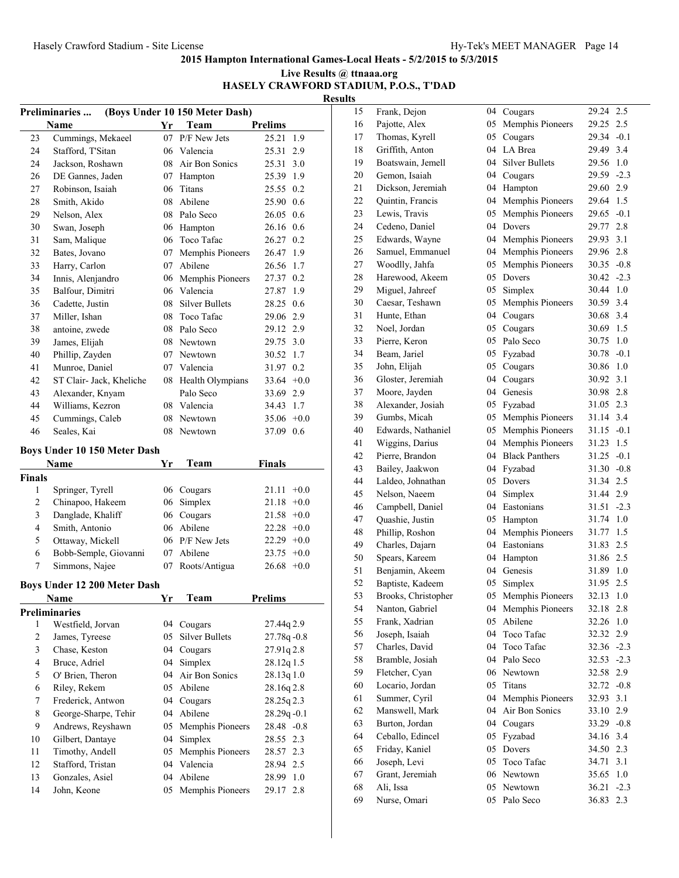| Live Results @ ttnaaa.org              |
|----------------------------------------|
| HASELY CRAWFORD STADIUM, P.O.S., T'DAD |
| <b>Results</b>                         |

| (Boys Under 10 150 Meter Dash)<br>Preliminaries |                                      |          |                             |                        |  |  |  |
|-------------------------------------------------|--------------------------------------|----------|-----------------------------|------------------------|--|--|--|
|                                                 | Name                                 | Yr       | Team                        | <b>Prelims</b>         |  |  |  |
| 23                                              | Cummings, Mekaeel                    |          | 07 P/F New Jets             | 25.21<br>1.9           |  |  |  |
| 24                                              | Stafford, T'Sitan                    |          | 06 Valencia                 | 25.31<br>2.9           |  |  |  |
| 24                                              | Jackson, Roshawn                     |          | 08 Air Bon Sonics           | 25.31<br>3.0           |  |  |  |
| 26                                              | DE Gannes, Jaden                     | 07       | Hampton                     | 25.39 1.9              |  |  |  |
| 27                                              | Robinson, Isaiah                     | 06       | Titans                      | 25.55 0.2              |  |  |  |
| 28                                              | Smith, Akido                         |          | 08 Abilene                  | 25.90 0.6              |  |  |  |
| 29                                              | Nelson, Alex                         |          | 08 Palo Seco                | 26.05 0.6              |  |  |  |
| 30                                              | Swan, Joseph                         |          | 06 Hampton                  | 26.16 0.6              |  |  |  |
| 31                                              | Sam, Malique                         |          | 06 Toco Tafac               | 26.27 0.2              |  |  |  |
| 32                                              | Bates, Jovano                        | 07       | Memphis Pioneers            | 26.47 1.9              |  |  |  |
| 33                                              | Harry, Carlon                        |          | 07 Abilene                  | 26.56 1.7              |  |  |  |
| 34                                              | Innis, Alenjandro                    |          | 06 Memphis Pioneers         | 27.37 0.2              |  |  |  |
| 35                                              | Balfour, Dimitri                     |          | 06 Valencia                 | 27.87 1.9              |  |  |  |
| 36                                              | Cadette, Justin                      |          | 08 Silver Bullets           | 28.25 0.6              |  |  |  |
| 37                                              | Miller, Ishan                        | 08       | Toco Tafac                  | 29.06 2.9              |  |  |  |
| 38                                              | antoine, zwede                       |          | 08 Palo Seco                | 29.12 2.9              |  |  |  |
| 39                                              | James, Elijah                        |          | 08 Newtown                  | 29.75 3.0              |  |  |  |
| 40                                              | Phillip, Zayden                      |          | 07 Newtown                  | 30.52 1.7              |  |  |  |
| 41                                              | Munroe, Daniel                       |          | 07 Valencia                 | 31.97 0.2              |  |  |  |
| 42                                              | ST Clair- Jack, Kheliche             |          | 08 Health Olympians         | 33.64 $+0.0$           |  |  |  |
| 43                                              | Alexander, Knyam                     |          | Palo Seco                   | 33.69 2.9              |  |  |  |
| 44                                              | Williams, Kezron                     |          | 08 Valencia                 | 34.43 1.7              |  |  |  |
| 45                                              | Cummings, Caleb                      | 08       | Newtown                     | $35.06 + 0.0$          |  |  |  |
| 46                                              | Seales, Kai                          | 08       | Newtown                     | 37.09 0.6              |  |  |  |
|                                                 |                                      |          |                             |                        |  |  |  |
|                                                 | <b>Boys Under 10 150 Meter Dash</b>  |          |                             |                        |  |  |  |
|                                                 | Name                                 | Yr       | Team                        | <b>Finals</b>          |  |  |  |
| Finals<br>1                                     |                                      |          |                             | 21.11<br>$+0.0$        |  |  |  |
| $\overline{\mathbf{c}}$                         | Springer, Tyrell<br>Chinapoo, Hakeem | 06       | 06 Cougars<br>Simplex       | 21.18<br>$+0.0$        |  |  |  |
| 3                                               | Danglade, Khaliff                    |          | 06 Cougars                  | $21.58 + 0.0$          |  |  |  |
| $\overline{4}$                                  |                                      |          | 06 Abilene                  |                        |  |  |  |
|                                                 | Smith, Antonio                       |          |                             | $22.28 + 0.0$          |  |  |  |
| 5                                               | Ottaway, Mickell                     |          | 06 P/F New Jets             | $22.29 +0.0$           |  |  |  |
| 6                                               | Bobb-Semple, Giovanni                | 07       | Abilene                     | $23.75 +0.0$           |  |  |  |
| 7                                               | Simmons, Najee                       | 07       | Roots/Antigua               | $26.68 + 0.0$          |  |  |  |
|                                                 | <b>Boys Under 12 200 Meter Dash</b>  |          |                             |                        |  |  |  |
|                                                 | <b>Name</b>                          | Yr       | Team                        | Prelims                |  |  |  |
|                                                 | <b>Preliminaries</b>                 |          |                             |                        |  |  |  |
| 1                                               | Westfield, Jorvan                    | 04       | Cougars                     | 27.44q 2.9             |  |  |  |
| $\overline{\mathbf{c}}$                         | James, Tyreese                       | 05       | <b>Silver Bullets</b>       | $27.78q - 0.8$         |  |  |  |
| 3                                               | Chase, Keston                        | 04       | Cougars                     | 27.91q 2.8             |  |  |  |
| 4                                               | Bruce, Adriel                        | 04       | Simplex                     | 28.12q 1.5             |  |  |  |
| 5                                               | O' Brien, Theron                     | 04       | Air Bon Sonics              | 28.13q 1.0             |  |  |  |
| 6                                               | Riley, Rekem                         |          | 05 Abilene                  | 28.16q 2.8             |  |  |  |
| 7                                               | Frederick, Antwon                    | 04       | Cougars                     | 28.25q 2.3             |  |  |  |
| 8                                               | George-Sharpe, Tehir                 | 04       | Abilene                     | $28.29q - 0.1$         |  |  |  |
| 9                                               | Andrews, Reyshawn                    | 05       | Memphis Pioneers            | 28.48 -0.8             |  |  |  |
| 10                                              | Gilbert, Dantaye                     | 04       | Simplex                     | 28.55 2.3              |  |  |  |
| 11                                              | Timothy, Andell                      | 05       | Memphis Pioneers            | 28.57 2.3              |  |  |  |
| 12                                              | Stafford, Tristan                    |          | 04 Valencia                 | 28.94 2.5              |  |  |  |
|                                                 |                                      |          |                             |                        |  |  |  |
|                                                 |                                      |          |                             |                        |  |  |  |
| 13<br>14                                        | Gonzales, Asiel<br>John, Keone       | 04<br>05 | Abilene<br>Memphis Pioneers | 28.99 1.0<br>29.17 2.8 |  |  |  |

| 15 | Frank, Dejon                     | 04 | Cougars                 | 29.24          | 2.5        |
|----|----------------------------------|----|-------------------------|----------------|------------|
| 16 | Pajotte, Alex                    | 05 | Memphis Pioneers        | 29.25          | 2.5        |
| 17 | Thomas, Kyrell                   | 05 | Cougars                 | 29.34          | $-0.1$     |
| 18 | Griffith, Anton                  | 04 | LA Brea                 | 29.49          | 3.4        |
| 19 | Boatswain, Jemell                | 04 | Silver Bullets          | 29.56          | 1.0        |
| 20 | Gemon, Isaiah                    | 04 | Cougars                 | 29.59          | $-2.3$     |
| 21 | Dickson, Jeremiah                | 04 | Hampton                 | 29.60          | 2.9        |
| 22 | Quintin, Francis                 | 04 | Memphis Pioneers        | 29.64          | 1.5        |
| 23 | Lewis, Travis                    | 05 | Memphis Pioneers        | 29.65          | $-0.1$     |
| 24 | Cedeno, Daniel                   | 04 | Dovers                  | 29.77          | 2.8        |
| 25 | Edwards, Wayne                   | 04 | Memphis Pioneers        | 29.93          | 3.1        |
| 26 | Samuel, Emmanuel                 | 04 | Memphis Pioneers        | 29.96          | 2.8        |
| 27 | Woodlly, Jahfa                   | 05 | Memphis Pioneers        | 30.35          | $-0.8$     |
| 28 | Harewood, Akeem                  | 05 | Dovers                  | 30.42          | $-2.3$     |
| 29 | Miguel, Jahreef                  | 05 | Simplex                 | 30.44          | 1.0        |
| 30 | Caesar, Teshawn                  | 05 | <b>Memphis Pioneers</b> | 30.59          | 3.4        |
| 31 | Hunte, Ethan                     | 04 | Cougars                 | 30.68          | 3.4        |
| 32 | Noel, Jordan                     | 05 | Cougars                 | 30.69          | 1.5        |
| 33 | Pierre, Keron                    | 05 | Palo Seco               | 30.75          | 1.0        |
| 34 | Beam, Jariel                     | 05 | Fyzabad                 | 30.78          | $-0.1$     |
| 35 | John, Elijah                     | 05 | Cougars                 | 30.86          | 1.0        |
| 36 | Gloster, Jeremiah                | 04 | Cougars                 | 30.92          | 3.1        |
| 37 | Moore, Jayden                    | 04 | Genesis                 | 30.98          | 2.8        |
| 38 | Alexander, Josiah                | 05 | Fyzabad                 | 31.05          | 2.3        |
| 39 | Gumbs, Micah                     | 05 | Memphis Pioneers        | 31.14          | 3.4        |
| 40 | Edwards, Nathaniel               | 05 | Memphis Pioneers        | 31.15          | $-0.1$     |
| 41 | Wiggins, Darius                  | 04 | Memphis Pioneers        | 31.23          | 1.5        |
| 42 | Pierre, Brandon                  | 04 | <b>Black Panthers</b>   | 31.25          | $-0.1$     |
| 43 | Bailey, Jaakwon                  | 04 | Fyzabad                 | 31.30          | $-0.8$     |
| 44 | Laldeo, Johnathan                | 05 | Dovers                  | 31.34          | 2.5        |
| 45 | Nelson, Naeem                    | 04 | Simplex                 | 31.44          | 2.9        |
| 46 | Campbell, Daniel                 | 04 | Eastonians              | 31.51          | $-2.3$     |
| 47 | Quashie, Justin                  | 05 | Hampton                 | 31.74          | 1.0        |
| 48 | Phillip, Roshon                  | 04 | Memphis Pioneers        | 31.77          | 1.5        |
| 49 | Charles, Dajarn                  | 04 | Eastonians              | 31.83          | 2.5        |
| 50 | Spears, Kareem                   | 04 | Hampton                 | 31.86          | 2.5        |
| 51 | Benjamin, Akeem                  | 04 | Genesis                 | 31.89          | 1.0        |
| 52 | Baptiste, Kadeem                 | 05 | Simplex                 | 31.95          | 2.5        |
| 53 | Brooks, Christopher              | 05 | Memphis Pioneers        | 32.13          | 1.0        |
| 54 | Nanton, Gabriel                  | 04 | Memphis Pioneers        |                | 2.8        |
| 55 |                                  | 05 | Abilene                 | 32.18          |            |
| 56 | Frank, Xadrian<br>Joseph, Isaiah | 04 | Toco Tafac              | 32.26<br>32.32 | 1.0<br>2.9 |
| 57 | Charles, David                   | 04 | Toco Tafac              |                |            |
|    |                                  |    | Palo Seco               | 32.36          | $-2.3$     |
| 58 | Bramble, Josiah                  | 04 |                         | 32.53          | $-2.3$     |
| 59 | Fletcher, Cyan                   | 06 | Newtown                 | 32.58          | 2.9        |
| 60 | Locario, Jordan                  | 05 | Titans                  | 32.72          | $-0.8$     |
| 61 | Summer, Cyril                    | 04 | Memphis Pioneers        | 32.93          | 3.1        |
| 62 | Manswell, Mark                   | 04 | Air Bon Sonics          | 33.10          | 2.9        |
| 63 | Burton, Jordan                   | 04 | Cougars                 | 33.29          | $-0.8$     |
| 64 | Ceballo, Edincel                 | 05 | Fyzabad                 | 34.16          | 3.4        |
| 65 | Friday, Kaniel                   | 05 | Dovers                  | 34.50          | 2.3        |
| 66 | Joseph, Levi                     | 05 | Toco Tafac              | 34.71          | 3.1        |
| 67 | Grant, Jeremiah                  | 06 | Newtown                 | 35.65          | 1.0        |
| 68 | Ali, Issa                        | 05 | Newtown                 | 36.21          | $-2.3$     |
| 69 | Nurse, Omari                     | 05 | Palo Seco               | 36.83          | 2.3        |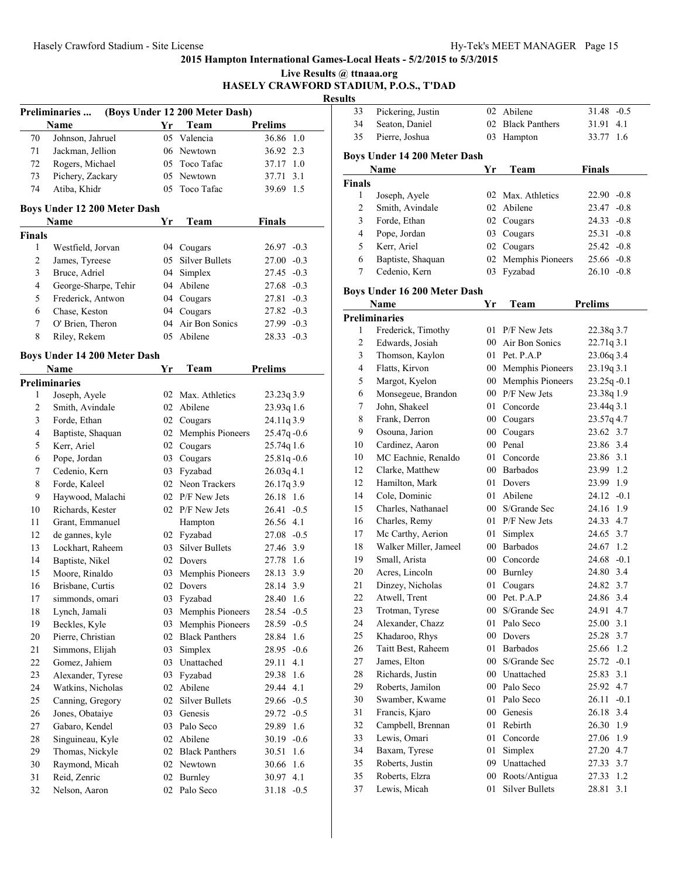|                  |                              |    |                                        |                               | Live Results @ ttnaaa.org | HASELY CRAWFORD STADIUM, P.O.S., T'DAD |
|------------------|------------------------------|----|----------------------------------------|-------------------------------|---------------------------|----------------------------------------|
|                  |                              |    |                                        |                               | <b>Results</b><br>33      | Pickering, Justin                      |
|                  | Preliminaries<br>Name        | Yr | (Boys Under 12 200 Meter Dash)<br>Team | <b>Prelims</b>                | 34                        | Seaton, Daniel                         |
| 70               | Johnson, Jahruel             |    | 05 Valencia                            | 36.86 1.0                     | 35                        | Pierre, Joshua                         |
| 71               | Jackman, Jellion             |    | 06 Newtown                             | 36.92 2.3                     |                           |                                        |
| 72               | Rogers, Michael              |    | 05 Toco Tafac                          |                               |                           | <b>Boys Under 14 200 Meter</b>         |
| 73               | Pichery, Zackary             |    | 05 Newtown                             | 37.17 1.0<br>37.71 3.1        |                           | Name                                   |
| 74               |                              |    | 05 Toco Tafac                          | 39.69 1.5                     | <b>Finals</b>             |                                        |
|                  | Atiba, Khidr                 |    |                                        |                               | 1                         | Joseph, Ayele                          |
|                  | Boys Under 12 200 Meter Dash |    |                                        |                               | $\overline{c}$            | Smith, Avindale                        |
|                  | Name                         | Yr | Team                                   | <b>Finals</b>                 | 3                         | Forde, Ethan                           |
| Finals           |                              |    |                                        |                               | 4                         | Pope, Jordan                           |
| $\mathbf{1}$     | Westfield, Jorvan            |    | 04 Cougars                             | $26.97 -0.3$                  | 5                         | Kerr, Ariel                            |
| 2                | James, Tyreese               |    | 05 Silver Bullets                      | $27.00 -0.3$                  | 6                         | Baptiste, Shaquan                      |
| 3                | Bruce, Adriel                | 04 | Simplex                                | 27.45 -0.3                    | 7                         | Cedenio, Kern                          |
| 4                | George-Sharpe, Tehir         |    | 04 Abilene                             | $27.68 - 0.3$                 |                           |                                        |
| 5                | Frederick, Antwon            | 04 | Cougars                                | $27.81 - 0.3$                 |                           | <b>Boys Under 16 200 Meter</b>         |
| 6                | Chase, Keston                | 04 | Cougars                                | $27.82 -0.3$                  |                           | Name                                   |
| $\tau$           | O' Brien, Theron             | 04 | Air Bon Sonics                         | $27.99 - 0.3$                 |                           | <b>Preliminaries</b>                   |
| 8                | Riley, Rekem                 |    | 05 Abilene                             | $28.33 - 0.3$                 | 1                         | Frederick, Timothy                     |
|                  |                              |    |                                        |                               | $\overline{c}$            | Edwards, Josiah                        |
|                  | Boys Under 14 200 Meter Dash |    |                                        |                               | 3                         | Thomson, Kaylon                        |
|                  | Name                         | Yr | Team                                   | <b>Prelims</b>                | $\overline{4}$            | Flatts, Kirvon                         |
|                  | <b>Preliminaries</b>         |    |                                        |                               | 5                         | Margot, Kyelon                         |
| 1                | Joseph, Ayele                |    | 02 Max. Athletics                      | 23.23q3.9                     | 6                         | Monsegeue, Brandon                     |
| 2                | Smith, Avindale              |    | 02 Abilene                             | 23.93q 1.6                    | $\tau$                    | John, Shakeel                          |
| 3                | Forde, Ethan                 |    | 02 Cougars                             | 24.11q 3.9                    | 8                         | Frank, Derron                          |
| 4                | Baptiste, Shaquan            |    | 02 Memphis Pioneers                    | $25.47q - 0.6$                | 9                         | Osouna, Jarion                         |
| 5                | Kerr, Ariel                  |    | 02 Cougars                             | 25.74q 1.6                    | 10                        | Cardinez, Aaron                        |
| 6                | Pope, Jordan                 |    | 03 Cougars                             | $25.81q - 0.6$                | 10                        | MC Eachnie, Renaldo                    |
| $\boldsymbol{7}$ | Cedenio, Kern                |    | 03 Fyzabad                             | $26.03q$ 4.1                  | 12                        | Clarke, Matthew                        |
| 8                | Forde, Kaleel                |    | 02 Neon Trackers                       | 26.17q 3.9                    | 12                        | Hamilton, Mark                         |
| 9                | Haywood, Malachi             |    | 02 P/F New Jets                        | 26.18 1.6                     | 14                        | Cole, Dominic                          |
| 10               | Richards, Kester             |    | 02 P/F New Jets                        | $26.41 - 0.5$                 | 15                        | Charles, Nathanael                     |
| 11               | Grant, Emmanuel              |    | Hampton                                | 26.56 4.1                     | 16                        | Charles, Remy                          |
| 12               | de gannes, kyle              |    | 02 Fyzabad                             | $27.08 - 0.5$                 | 17                        | Mc Carthy, Aerion                      |
| 13               | Lockhart, Raheem             |    | 03 Silver Bullets                      | 27.46 3.9                     | 18                        | Walker Miller, Jamee                   |
| 14               | Baptiste, Nikel              |    | 02 Dovers                              | 27.78 1.6                     | 19                        | Small, Arista                          |
| 15               | Moore, Rinaldo               |    | 03 Memphis Pioneers                    | 28.13 3.9                     | 20                        | Acres, Lincoln                         |
| 16               | Brisbane, Curtis             | 02 | Dovers                                 | 28.14 3.9                     | 21                        | Dinzey, Nicholas                       |
| 17               | simmonds, omari              | 03 | Fyzabad                                | 28.40 1.6                     | 22                        | Atwell, Trent                          |
| 18               | Lynch, Jamali                | 03 | Memphis Pioneers                       | $28.54 -0.5$                  | 23                        | Trotman, Tyrese                        |
| 19               | Beckles, Kyle                | 03 | Memphis Pioneers                       | $28.59 - 0.5$                 | 24                        | Alexander, Chazz                       |
| $20\,$           | Pierre, Christian            | 02 | <b>Black Panthers</b>                  | 28.84 1.6                     | 25                        | Khadaroo, Rhys                         |
| 21               | Simmons, Elijah              | 03 | Simplex                                | $28.95 -0.6$                  | 26                        | Taitt Best, Raheem                     |
| 22               | Gomez, Jahiem                | 03 | Unattached                             | 29.11 4.1                     | 27                        | James, Elton                           |
| 23               | Alexander, Tyrese            | 03 | Fyzabad                                | 29.38 1.6                     | 28                        | Richards, Justin                       |
| 24               | Watkins, Nicholas            |    | 02 Abilene                             | 29.44 4.1                     | 29                        | Roberts, Jamilon                       |
| 25               | Canning, Gregory             | 02 | <b>Silver Bullets</b>                  |                               | 30                        | Swamber, Kwame                         |
| 26               |                              |    |                                        | $29.66 - 0.5$<br>$29.72 -0.5$ | 31                        | Francis, Kjaro                         |
|                  | Jones, Obataiye              | 03 | Genesis<br>Palo Seco                   |                               | 32                        | Campbell, Brennan                      |
| 27               | Gabaro, Kendel               | 03 |                                        | 29.89 1.6                     | 33                        | Lewis, Omari                           |
| 28               | Singuineau, Kyle             |    | 02 Abilene                             | $30.19 - 0.6$                 | 34                        |                                        |
| 29               | Thomas, Nickyle              |    | 02 Black Panthers                      | 30.51 1.6                     |                           | Baxam, Tyrese                          |
| 30               | Raymond, Micah               |    | 02 Newtown                             | 30.66 1.6                     | 35                        | Roberts, Justin                        |
| 31               | Reid, Zenric                 |    | 02 Burnley                             | 30.97 4.1                     | 35                        | Roberts, Elzra                         |
| 32               | Nelson, Aaron                |    | 02 Palo Seco                           | $31.18 - 0.5$                 | 37                        | Lewis, Micah                           |
|                  |                              |    |                                        |                               |                           |                                        |

| படல            |                              |             |                            |                 |
|----------------|------------------------------|-------------|----------------------------|-----------------|
| 33             | Pickering, Justin            | 02          | Abilene                    | 31.48<br>$-0.5$ |
| 34             | Seaton, Daniel               | 02          | <b>Black Panthers</b>      | 31.91<br>4.1    |
| 35             | Pierre, Joshua               | 03          | Hampton                    | 1.6<br>33.77    |
|                |                              |             |                            |                 |
|                | Boys Under 14 200 Meter Dash | Yr          | Team                       | <b>Finals</b>   |
| Finals         | Name                         |             |                            |                 |
| 1              | Joseph, Ayele                | 02          | Max. Athletics             | $22.90 -0.8$    |
| $\overline{c}$ | Smith, Avindale              | 02          | Abilene                    | 23.47<br>$-0.8$ |
| 3              | Forde, Ethan                 | 02          | Cougars                    | 24.33<br>$-0.8$ |
| $\overline{4}$ | Pope, Jordan                 | 03          | Cougars                    | 25.31<br>$-0.8$ |
| 5              | Kerr, Ariel                  |             | 02 Cougars                 | $25.42 -0.8$    |
| 6              | Baptiste, Shaquan            | 02          | Memphis Pioneers           | $25.66 - 0.8$   |
| 7              | Cedenio, Kern                | 03          | Fyzabad                    | $26.10 -0.8$    |
|                |                              |             |                            |                 |
|                | Boys Under 16 200 Meter Dash |             |                            |                 |
|                | Name                         | Yr          | Team                       | <b>Prelims</b>  |
|                | Preliminaries                |             |                            |                 |
| 1              | Frederick, Timothy           | 01          | P/F New Jets               | 22.38q 3.7      |
| $\overline{c}$ | Edwards, Josiah              |             | 00 Air Bon Sonics          | 22.71q 3.1      |
| 3              | Thomson, Kaylon              |             | 01 Pet. P.A.P              | 23.06q 3.4      |
| $\overline{4}$ | Flatts, Kirvon               |             | 00 Memphis Pioneers        | 23.19q 3.1      |
| 5              | Margot, Kyelon               | $00\,$      | Memphis Pioneers           | $23.25q - 0.1$  |
| 6              | Monsegeue, Brandon           |             | 00 P/F New Jets            | 23.38q 1.9      |
| 7              | John, Shakeel                | 01          | Concorde                   | 23.44q 3.1      |
| 8              | Frank, Derron                |             | 00 Cougars                 | 23.57q 4.7      |
| 9              | Osouna, Jarion               |             | 00 Cougars                 | 23.62 3.7       |
| 10             | Cardinez, Aaron              |             | 00 Penal                   | 23.86 3.4       |
| 10             | MC Eachnie, Renaldo          | 01          | Concorde                   | 23.86 3.1       |
| 12             | Clarke, Matthew              |             | 00 Barbados                | 23.99 1.2       |
| 12             | Hamilton, Mark               | 01          | Dovers                     | 23.99 1.9       |
| 14             | Cole, Dominic                | 01          | Abilene                    | $24.12 -0.1$    |
| 15             | Charles, Nathanael           |             | 00 S/Grande Sec            | 24.16<br>1.9    |
| 16             | Charles, Remy                |             | 01 P/F New Jets            | 24.33 4.7       |
| 17             | Mc Carthy, Aerion            | 01          | Simplex                    | 24.65 3.7       |
| 18             | Walker Miller, Jameel        |             | 00 Barbados                | 24.67 1.2       |
| 19             | Small, Arista                |             | 00 Concorde                | $24.68 - 0.1$   |
| 20             | Acres, Lincoln               | 00          | Burnley                    | 24.80 3.4       |
| 21             | Dinzey, Nicholas             | 01          | Cougars                    | 24.82 3.7       |
| 22             | Atwell, Trent                |             | 00 Pet. P.A.P              | 24.86 3.4       |
| 23             | Trotman, Tyrese              |             | 00 S/Grande Sec            | 4.7<br>24.91    |
| 24             | Alexander, Chazz             | 01          | Palo Seco                  | 3.1<br>25.00    |
| 25             | Khadaroo, Rhys               | $00\,$      | Dovers                     | 3.7<br>25.28    |
| 26             | Taitt Best, Raheem           | 01          | <b>Barbados</b>            | 25.66<br>1.2    |
| 27             | James, Elton                 | $00\,$      | S/Grande Sec<br>Unattached | 25.72<br>$-0.1$ |
| 28             | Richards, Justin             | 00          |                            | 3.1<br>25.83    |
| 29             | Roberts, Jamilon             | $00\,$      | Palo Seco                  | 4.7<br>25.92    |
| 30             | Swamber, Kwame               | $0\sqrt{1}$ | Palo Seco                  | 26.11<br>$-0.1$ |
| 31             | Francis, Kjaro               | 00          | Genesis                    | 3.4<br>26.18    |
| 32             | Campbell, Brennan            | 01          | Rebirth                    | 26.30<br>1.9    |
| 33             | Lewis, Omari                 | 01          | Concorde                   | 27.06<br>1.9    |
| 34             | Baxam, Tyrese                | 01          | Simplex                    | 4.7<br>27.20    |
| 35             | Roberts, Justin              | 09          | Unattached                 | 3.7<br>27.33    |
| 35             | Roberts, Elzra               | $00\,$      | Roots/Antigua              | 27.33<br>1.2    |
| 37             | Lewis, Micah                 | 01          | <b>Silver Bullets</b>      | 3.1<br>28.81    |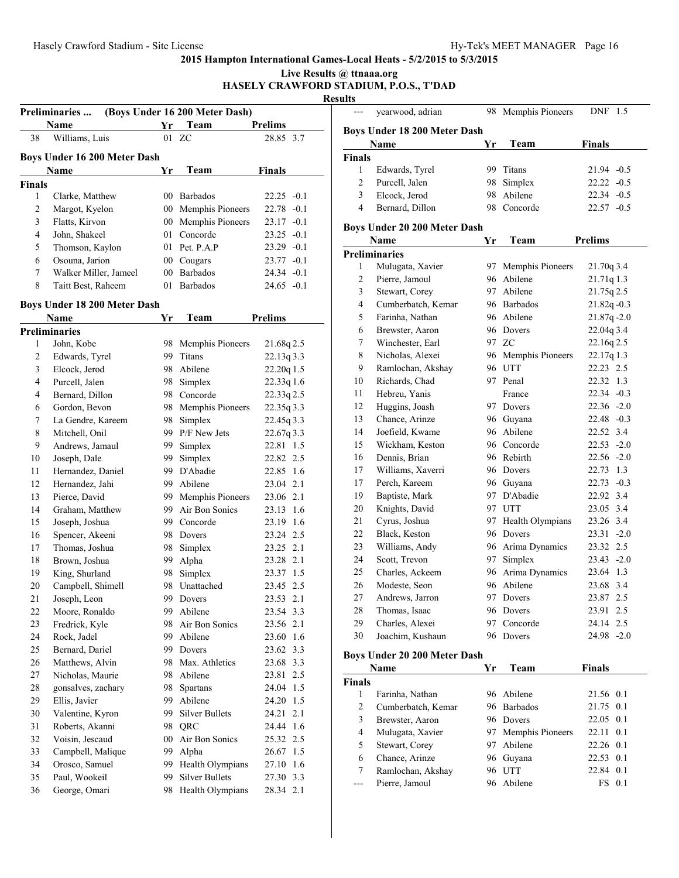|   | Live Results @ ttnaaa.org              |
|---|----------------------------------------|
|   | HASELY CRAWFORD STADIUM, P.O.S., T'DAD |
|   | <b>Results</b>                         |
| . |                                        |

| (Boys Under 16 200 Meter Dash)<br><b>Preliminaries</b> |                                     |    |                             |                |  |  |  |
|--------------------------------------------------------|-------------------------------------|----|-----------------------------|----------------|--|--|--|
|                                                        | <b>Name</b>                         | Yr | Team                        | <b>Prelims</b> |  |  |  |
| 38                                                     | Williams, Luis                      |    | 01 ZC                       | 28.85 3.7      |  |  |  |
|                                                        | <b>Boys Under 16 200 Meter Dash</b> |    |                             |                |  |  |  |
|                                                        | <b>Name</b>                         | Yr | Team                        | <b>Finals</b>  |  |  |  |
| <b>Finals</b>                                          |                                     |    |                             |                |  |  |  |
| 1                                                      | Clarke, Matthew                     |    | 00 Barbados                 | $22.25 - 0.1$  |  |  |  |
| 2                                                      | Margot, Kyelon                      |    | 00 Memphis Pioneers         | $22.78 - 0.1$  |  |  |  |
| 3                                                      | Flatts, Kirvon                      |    | 00 Memphis Pioneers         | $23.17 - 0.1$  |  |  |  |
| 4                                                      | John, Shakeel                       |    | 01 Concorde                 | $23.25 - 0.1$  |  |  |  |
| 5                                                      | Thomson, Kaylon                     |    | 01 Pet. $P \cdot A \cdot P$ | $23.29 - 0.1$  |  |  |  |
| 6                                                      | Osouna, Jarion                      |    | 00 Cougars                  | $23.77 - 0.1$  |  |  |  |
| 7                                                      | Walker Miller, Jameel               | 00 | <b>Barbados</b>             | $24.34 - 0.1$  |  |  |  |
| 8                                                      | Taitt Best, Raheem                  | 01 | <b>Barbados</b>             | $24.65 - 0.1$  |  |  |  |

# **Boys Under 18 200 Meter Dash**

| Chuci to 200 micrei Dasn |                                                                     |                       | <b>Prelims</b>                                                                                                                                                                                                                                                                          |
|--------------------------|---------------------------------------------------------------------|-----------------------|-----------------------------------------------------------------------------------------------------------------------------------------------------------------------------------------------------------------------------------------------------------------------------------------|
|                          |                                                                     |                       |                                                                                                                                                                                                                                                                                         |
|                          | 98                                                                  |                       | 21.68q2.5                                                                                                                                                                                                                                                                               |
|                          | 99                                                                  | Titans                | 22.13q 3.3                                                                                                                                                                                                                                                                              |
| Elcock, Jerod            | 98                                                                  | Abilene               | 22.20q 1.5                                                                                                                                                                                                                                                                              |
| Purcell, Jalen           | 98                                                                  | Simplex               | 22.33q 1.6                                                                                                                                                                                                                                                                              |
| Bernard, Dillon          | 98                                                                  | Concorde              | 22.33q 2.5                                                                                                                                                                                                                                                                              |
| Gordon, Bevon            | 98                                                                  | Memphis Pioneers      | 22.35q 3.3                                                                                                                                                                                                                                                                              |
| La Gendre, Kareem        | 98                                                                  | Simplex               | 22.45q 3.3                                                                                                                                                                                                                                                                              |
| Mitchell, Onil           | 99                                                                  | P/F New Jets          | 22.67q 3.3                                                                                                                                                                                                                                                                              |
| Andrews, Jamaul          | 99                                                                  | Simplex               | 22.81 1.5                                                                                                                                                                                                                                                                               |
| Joseph, Dale             |                                                                     | Simplex               | 22.82<br>2.5                                                                                                                                                                                                                                                                            |
| Hernandez, Daniel        |                                                                     |                       | 22.85 1.6                                                                                                                                                                                                                                                                               |
| Hernandez, Jahi          |                                                                     |                       | 23.04 2.1                                                                                                                                                                                                                                                                               |
| Pierce, David            |                                                                     |                       | 23.06 2.1                                                                                                                                                                                                                                                                               |
| Graham, Matthew          |                                                                     |                       | 23.13 1.6                                                                                                                                                                                                                                                                               |
| Joseph, Joshua           |                                                                     |                       | 23.19 1.6                                                                                                                                                                                                                                                                               |
| Spencer, Akeeni          |                                                                     |                       | 23.24 2.5                                                                                                                                                                                                                                                                               |
| Thomas, Joshua           |                                                                     | Simplex               | 23.25 2.1                                                                                                                                                                                                                                                                               |
| Brown, Joshua            | 99                                                                  | Alpha                 | 23.28 2.1                                                                                                                                                                                                                                                                               |
| King, Shurland           | 98                                                                  | Simplex               | 23.37<br>1.5                                                                                                                                                                                                                                                                            |
| Campbell, Shimell        |                                                                     | Unattached            | 23.45 2.5                                                                                                                                                                                                                                                                               |
| Joseph, Leon             |                                                                     | Dovers                | 23.53 2.1                                                                                                                                                                                                                                                                               |
| Moore, Ronaldo           |                                                                     | Abilene               | 23.54 3.3                                                                                                                                                                                                                                                                               |
| Fredrick, Kyle           |                                                                     | Air Bon Sonics        | 23.56 2.1                                                                                                                                                                                                                                                                               |
| Rock, Jadel              | 99                                                                  | Abilene               | 1.6<br>23.60                                                                                                                                                                                                                                                                            |
| Bernard, Dariel          | 99                                                                  | Dovers                | 3.3<br>23.62                                                                                                                                                                                                                                                                            |
| Matthews, Alvin          | 98                                                                  | Max. Athletics        | 23.68<br>3.3                                                                                                                                                                                                                                                                            |
| Nicholas, Maurie         |                                                                     |                       | 2.5<br>23.81                                                                                                                                                                                                                                                                            |
| gonsalves, zachary       |                                                                     | Spartans              | 24.04 1.5                                                                                                                                                                                                                                                                               |
| Ellis, Javier            |                                                                     |                       | 24.20 1.5                                                                                                                                                                                                                                                                               |
| Valentine, Kyron         |                                                                     |                       | 2.1<br>24.21                                                                                                                                                                                                                                                                            |
| Roberts, Akanni          |                                                                     |                       | 24.44 1.6                                                                                                                                                                                                                                                                               |
| Voisin, Jescaud          |                                                                     |                       | 25.32 2.5                                                                                                                                                                                                                                                                               |
| Campbell, Malique        |                                                                     |                       | 26.67 1.5                                                                                                                                                                                                                                                                               |
| Orosco, Samuel           |                                                                     | Health Olympians      | 27.10 1.6                                                                                                                                                                                                                                                                               |
| Paul, Wookeil            |                                                                     | <b>Silver Bullets</b> | 27.30 3.3                                                                                                                                                                                                                                                                               |
| George, Omari            |                                                                     | Health Olympians      | 28.34 2.1                                                                                                                                                                                                                                                                               |
|                          | <b>Name</b><br><b>Preliminaries</b><br>John, Kobe<br>Edwards, Tyrel | Yr                    | Team<br>Memphis Pioneers<br>99<br>99 D'Abadie<br>99 Abilene<br>99 Memphis Pioneers<br>99 Air Bon Sonics<br>99 Concorde<br>98 Dovers<br>98<br>98<br>99<br>99.<br>98<br>98 Abilene<br>98<br>99 Abilene<br>99 Silver Bullets<br>98 QRC<br>00 Air Bon Sonics<br>99 Alpha<br>99.<br>99<br>98 |

|                | yearwood, adrian                    | 98 | Memphis Pioneers    | DNF<br>1.5                    |
|----------------|-------------------------------------|----|---------------------|-------------------------------|
|                |                                     |    |                     |                               |
|                | <b>Boys Under 18 200 Meter Dash</b> |    |                     |                               |
|                | Name                                | Yr | Team                | <b>Finals</b>                 |
| <b>Finals</b>  |                                     |    |                     |                               |
| 1              | Edwards, Tyrel                      |    | 99 Titans           | $21.94 -0.5$<br>$22.22 - 0.5$ |
| 2<br>3         | Purcell, Jalen                      | 98 | Simplex             |                               |
|                | Elcock, Jerod                       | 98 | Abilene             | 22.34 -0.5                    |
| 4              | Bernard, Dillon                     | 98 | Concorde            | $22.57 - 0.5$                 |
|                | Boys Under 20 200 Meter Dash        |    |                     |                               |
|                | Name                                | Yr | Team                | <b>Prelims</b>                |
|                | <b>Preliminaries</b>                |    |                     |                               |
| 1              | Mulugata, Xavier                    | 97 | Memphis Pioneers    | 21.70q 3.4                    |
| 2              | Pierre, Jamoul                      | 96 | Abilene             | 21.71q 1.3                    |
| 3              | Stewart, Corey                      | 97 | Abilene             | 21.75q 2.5                    |
| 4              | Cumberbatch, Kemar                  |    | 96 Barbados         | $21.82q - 0.3$                |
| 5              | Farinha, Nathan                     |    | 96 Abilene          | $21.87q - 2.0$                |
| 6              | Brewster, Aaron                     |    | 96 Dovers           | 22.04q 3.4                    |
| 7              | Winchester, Earl                    |    | 97 ZC               | 22.16q 2.5                    |
| 8              | Nicholas, Alexei                    |    | 96 Memphis Pioneers | 22.17q 1.3                    |
| 9              | Ramlochan, Akshay                   |    | 96 UTT              | 22.23 2.5                     |
| 10             | Richards, Chad                      |    | 97 Penal            | 22.32 1.3                     |
| 11             | Hebreu, Yanis                       |    | France              | $22.34 -0.3$                  |
| 12             | Huggins, Joash                      |    | 97 Dovers           | $22.36 - 2.0$                 |
| 13             | Chance, Arinze                      | 96 | Guyana              | $22.48 - 0.3$                 |
| 14             | Joefield, Kwame                     | 96 | Abilene             | 22.52 3.4                     |
| 15             | Wickham, Keston                     | 96 | Concorde            | $22.53 - 2.0$                 |
| 16             | Dennis, Brian                       |    | 96 Rebirth          | $22.56 - 2.0$                 |
| 17             | Williams, Xaverri                   |    | 96 Dovers           | 22.73 1.3                     |
| 17             | Perch, Kareem                       |    | 96 Guyana           | $22.73 - 0.3$                 |
| 19             | Baptiste, Mark                      |    | 97 D'Abadie         | 22.92 3.4                     |
| 20             | Knights, David                      |    | 97 UTT              | 23.05 3.4                     |
| 21             | Cyrus, Joshua                       |    | 97 Health Olympians | 23.26 3.4                     |
| 22             | Black, Keston                       |    | 96 Dovers           | $23.31 - 2.0$                 |
| 23             | Williams, Andy                      |    | 96 Arima Dynamics   | 23.32 2.5                     |
| 24             | Scott, Trevon                       | 97 | Simplex             | $23.43 - 2.0$                 |
| 25             | Charles, Ackeem                     | 96 | Arima Dynamics      | 23.64 1.3                     |
| 26             | Modeste, Seon                       | 96 | Abilene             | 23.68 3.4                     |
| 27             | Andrews, Jarron                     | 97 | Dovers              | 2.5<br>23.87                  |
| 28             | Thomas, Isaac                       | 96 | Dovers              | 23.91<br>2.5                  |
| 29             | Charles, Alexei                     | 97 | Concorde            | 24.14<br>2.5                  |
| 30             | Joachim, Kushaun                    | 96 | Dovers              | 24.98 -2.0                    |
|                |                                     |    |                     |                               |
|                | Boys Under 20 200 Meter Dash        |    |                     |                               |
|                | Name                                | Yr | Team                | <b>Finals</b>                 |
| Finals         |                                     |    |                     |                               |
| 1              | Farinha, Nathan                     |    | 96 Abilene          | 21.56 0.1                     |
| $\overline{c}$ | Cumberbatch, Kemar                  | 96 | <b>Barbados</b>     | 21.75<br>0.1                  |
| 3              | Brewster, Aaron                     | 96 | Dovers              | 22.05<br>0.1                  |
| 4              | Mulugata, Xavier                    | 97 | Memphis Pioneers    | 0.1<br>22.11                  |
| 5              | Stewart, Corey                      | 97 | Abilene             | 22.26 0.1                     |

 Chance, Arinze 96 Guyana 22.53 0.1 Ramlochan, Akshay 96 UTT 22.84 0.1 --- Pierre, Jamoul 96 Abilene FS 0.1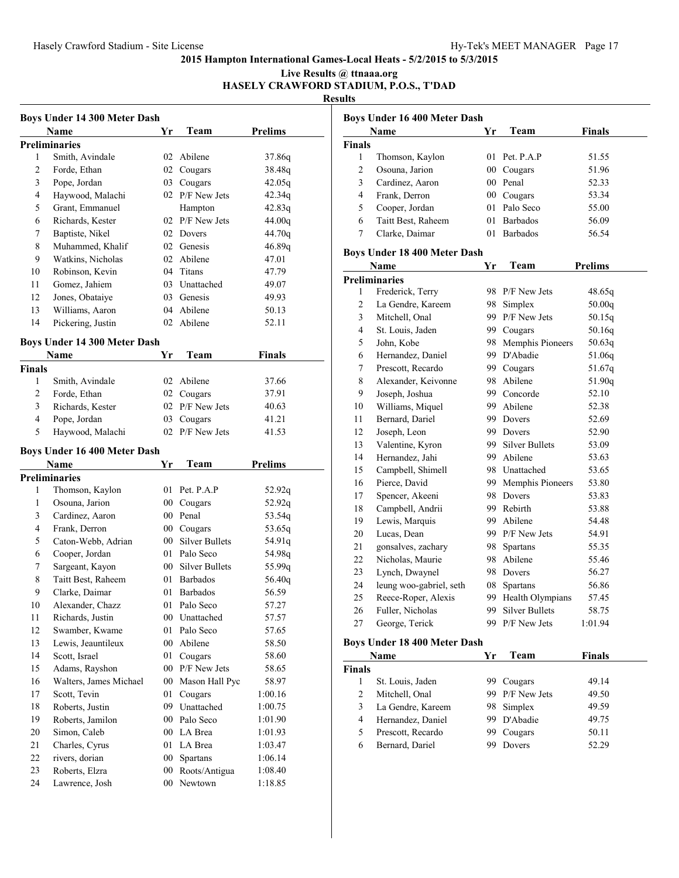**Live Results @ ttnaaa.org HASELY CRAWFORD STADIUM, P.O.S., T'DAD**

| <b>Boys Under 14 300 Meter Dash</b> |                                     |        |                   |                |  |  |
|-------------------------------------|-------------------------------------|--------|-------------------|----------------|--|--|
|                                     | Name                                | Yr     | Team              | <b>Prelims</b> |  |  |
|                                     | <b>Preliminaries</b>                |        |                   |                |  |  |
| 1                                   | Smith, Avindale                     | 02     | Abilene           | 37.86q         |  |  |
| 2                                   | Forde, Ethan                        |        | 02 Cougars        | 38.48q         |  |  |
| 3                                   | Pope, Jordan                        |        | 03 Cougars        | 42.05q         |  |  |
| 4                                   | Haywood, Malachi                    |        | 02 P/F New Jets   | 42.34q         |  |  |
| 5                                   | Grant, Emmanuel                     |        | Hampton           | 42.83q         |  |  |
| 6                                   | Richards, Kester                    |        | 02 P/F New Jets   | 44.00g         |  |  |
| 7                                   | Baptiste, Nikel                     |        | 02 Dovers         | 44.70q         |  |  |
| 8                                   | Muhammed, Khalif                    |        | 02 Genesis        | 46.89q         |  |  |
| 9                                   | Watkins, Nicholas                   |        | 02 Abilene        | 47.01          |  |  |
| 10                                  | Robinson, Kevin                     |        | 04 Titans         | 47.79          |  |  |
| 11                                  | Gomez, Jahiem                       |        | 03 Unattached     | 49.07          |  |  |
| 12                                  | Jones, Obataiye                     |        | 03 Genesis        | 49.93          |  |  |
| 13                                  | Williams, Aaron                     | 04     | Abilene           | 50.13          |  |  |
| 14                                  | Pickering, Justin                   | 02     | Abilene           | 52.11          |  |  |
|                                     |                                     |        |                   |                |  |  |
|                                     | <b>Boys Under 14 300 Meter Dash</b> |        |                   |                |  |  |
|                                     | Name                                | Yr     | Team              | <b>Finals</b>  |  |  |
| <b>Finals</b>                       |                                     |        |                   |                |  |  |
| 1                                   | Smith, Avindale                     |        | 02 Abilene        | 37.66          |  |  |
| 2                                   | Forde, Ethan                        |        | 02 Cougars        | 37.91          |  |  |
| 3                                   | Richards, Kester                    |        | 02 P/F New Jets   | 40.63          |  |  |
| 4                                   | Pope, Jordan                        |        | 03 Cougars        | 41.21          |  |  |
| 5                                   | Haywood, Malachi                    |        | 02 P/F New Jets   | 41.53          |  |  |
| Boys Under 16 400 Meter Dash        |                                     |        |                   |                |  |  |
|                                     |                                     |        |                   |                |  |  |
|                                     | Name                                | Yr     | Team              | <b>Prelims</b> |  |  |
|                                     | <b>Preliminaries</b>                |        |                   |                |  |  |
| 1                                   | Thomson, Kaylon                     | 01 -   | Pet. P.A.P        | 52.92q         |  |  |
| 1                                   | Osouna, Jarion                      | $00-$  | Cougars           | 52.92q         |  |  |
| 3                                   | Cardinez, Aaron                     |        | 00 Penal          | 53.54q         |  |  |
| 4                                   | Frank, Derron                       |        | 00 Cougars        | 53.65q         |  |  |
| 5                                   | Caton-Webb, Adrian                  |        | 00 Silver Bullets | 54.91q         |  |  |
| 6                                   | Cooper, Jordan                      |        | 01 Palo Seco      | 54.98q         |  |  |
| 7                                   | Sargeant, Kayon                     |        | 00 Silver Bullets | 55.99q         |  |  |
| 8                                   | Taitt Best, Raheem                  |        | 01 Barbados       | 56.40q         |  |  |
| 9                                   | Clarke, Daimar                      |        | 01 Barbados       | 56.59          |  |  |
| 10                                  | Alexander, Chazz                    |        | 01 Palo Seco      |                |  |  |
| 11                                  | Richards, Justin                    |        | 00 Unattached     | 57.27<br>57.57 |  |  |
| 12                                  | Swamber, Kwame                      | 01     | Palo Seco         | 57.65          |  |  |
| 13                                  | Lewis, Jeauntileux                  | 00     | Abilene           | 58.50          |  |  |
| 14                                  | Scott, Israel                       | 01     | Cougars           | 58.60          |  |  |
| 15                                  | Adams, Rayshon                      | $00\,$ | P/F New Jets      |                |  |  |
| 16                                  | Walters, James Michael              | $00\,$ | Mason Hall Pyc    | 58.65<br>58.97 |  |  |
| 17                                  | Scott, Tevin                        | 01     | Cougars           | 1:00.16        |  |  |
| 18                                  | Roberts, Justin                     |        | 09 Unattached     | 1:00.75        |  |  |
| 19                                  | Roberts, Jamilon                    |        | 00 Palo Seco      | 1:01.90        |  |  |
| 20                                  | Simon, Caleb                        |        | 00 LA Brea        | 1:01.93        |  |  |
| 21                                  | Charles, Cyrus                      | 01     | LA Brea           | 1:03.47        |  |  |
| 22                                  | rivers, dorian                      | $00\,$ | <b>Spartans</b>   | 1:06.14        |  |  |
| 23                                  | Roberts, Elzra                      | $00\,$ | Roots/Antigua     | 1:08.40        |  |  |

| Boys Under 16 400 Meter Dash<br><b>Yr</b><br>Name<br>Finals<br>Team |                                     |    |                          |               |  |
|---------------------------------------------------------------------|-------------------------------------|----|--------------------------|---------------|--|
|                                                                     |                                     |    |                          |               |  |
| Finals                                                              |                                     | 01 |                          |               |  |
| 1<br>$\overline{c}$                                                 | Thomson, Kaylon                     |    | Pet. P.A.P<br>00 Cougars | 51.55         |  |
|                                                                     | Osouna, Jarion                      |    |                          | 51.96         |  |
| 3<br>$\overline{4}$                                                 | Cardinez, Aaron                     |    | 00 Penal                 | 52.33         |  |
| 5                                                                   | Frank, Derron                       |    | 00 Cougars               | 53.34         |  |
|                                                                     | Cooper, Jordan                      |    | 01 Palo Seco             | 55.00         |  |
| 6                                                                   | Taitt Best, Raheem                  | 01 | <b>Barbados</b>          | 56.09         |  |
| 7                                                                   | Clarke, Daimar                      | 01 | <b>Barbados</b>          | 56.54         |  |
|                                                                     | Boys Under 18 400 Meter Dash        |    |                          |               |  |
|                                                                     | Name                                | Yr | Team                     | Prelims       |  |
|                                                                     | Preliminaries                       |    |                          |               |  |
| 1                                                                   | Frederick, Terry                    |    | 98 P/F New Jets          | 48.65q        |  |
| $\overline{2}$                                                      | La Gendre, Kareem                   |    | 98 Simplex               | 50.00q        |  |
| 3                                                                   | Mitchell, Onal                      |    | 99 P/F New Jets          | 50.15q        |  |
| $\overline{\mathcal{L}}$                                            | St. Louis, Jaden                    |    | 99 Cougars               | 50.16q        |  |
| 5                                                                   | John, Kobe                          |    | 98 Memphis Pioneers      | 50.63q        |  |
| 6                                                                   | Hernandez, Daniel                   |    | 99 D'Abadie              | 51.06q        |  |
| 7                                                                   | Prescott, Recardo                   |    | 99 Cougars               | 51.67q        |  |
| 8                                                                   | Alexander, Keivonne                 |    | 98 Abilene               | 51.90q        |  |
| 9                                                                   | Joseph, Joshua                      |    | 99 Concorde              | 52.10         |  |
| 10                                                                  | Williams, Miquel                    |    | 99 Abilene               | 52.38         |  |
| 11                                                                  | Bernard, Dariel                     |    | 99 Dovers                | 52.69         |  |
| 12                                                                  | Joseph, Leon                        |    | 99 Dovers                | 52.90         |  |
| 13                                                                  | Valentine, Kyron                    |    | 99 Silver Bullets        | 53.09         |  |
| 14                                                                  | Hernandez, Jahi                     |    | 99 Abilene               | 53.63         |  |
| 15                                                                  | Campbell, Shimell                   |    | 98 Unattached            | 53.65         |  |
| 16                                                                  | Pierce, David                       | 99 | Memphis Pioneers         | 53.80         |  |
| 17                                                                  | Spencer, Akeeni                     |    | 98 Dovers                | 53.83         |  |
| 18                                                                  | Campbell, Andrii                    |    | 99 Rebirth               | 53.88         |  |
| 19                                                                  | Lewis, Marquis                      |    | 99 Abilene               | 54.48         |  |
| 20                                                                  | Lucas, Dean                         |    | 99 P/F New Jets          | 54.91         |  |
| 21                                                                  | gonsalves, zachary                  |    | 98 Spartans              | 55.35         |  |
| 22                                                                  | Nicholas, Maurie                    |    | 98 Abilene               | 55.46         |  |
| 23                                                                  | Lynch, Dwaynel                      |    | 98 Dovers                | 56.27         |  |
| 24                                                                  | leung woo-gabriel, seth             |    | 08 Spartans              | 56.86         |  |
| 25                                                                  | Reece-Roper, Alexis                 |    | 99 Health Olympians      | 57.45         |  |
| 26                                                                  | Fuller, Nicholas                    |    | 99 Silver Bullets        | 58.75         |  |
| 27                                                                  | George, Terick                      |    | 99 P/F New Jets          | 1:01.94       |  |
|                                                                     |                                     |    |                          |               |  |
|                                                                     | <b>Boys Under 18 400 Meter Dash</b> |    |                          |               |  |
| Einala                                                              | Name                                | Υr | Team                     | <b>Finals</b> |  |

| таше              | . . | 1 саш  | т шатэ                                                                   |  |
|-------------------|-----|--------|--------------------------------------------------------------------------|--|
|                   |     |        |                                                                          |  |
| St. Louis, Jaden  |     |        | 49.14                                                                    |  |
| Mitchell, Onal    |     |        | 49.50                                                                    |  |
| La Gendre, Kareem |     |        | 49.59                                                                    |  |
| Hernandez, Daniel |     |        | 49.75                                                                    |  |
| Prescott, Recardo |     |        | 50.11                                                                    |  |
| Bernard, Dariel   |     | Dovers | 52.29                                                                    |  |
|                   |     |        | 99 Cougars<br>99 P/F New Jets<br>98 Simplex<br>99 D'Abadie<br>99 Cougars |  |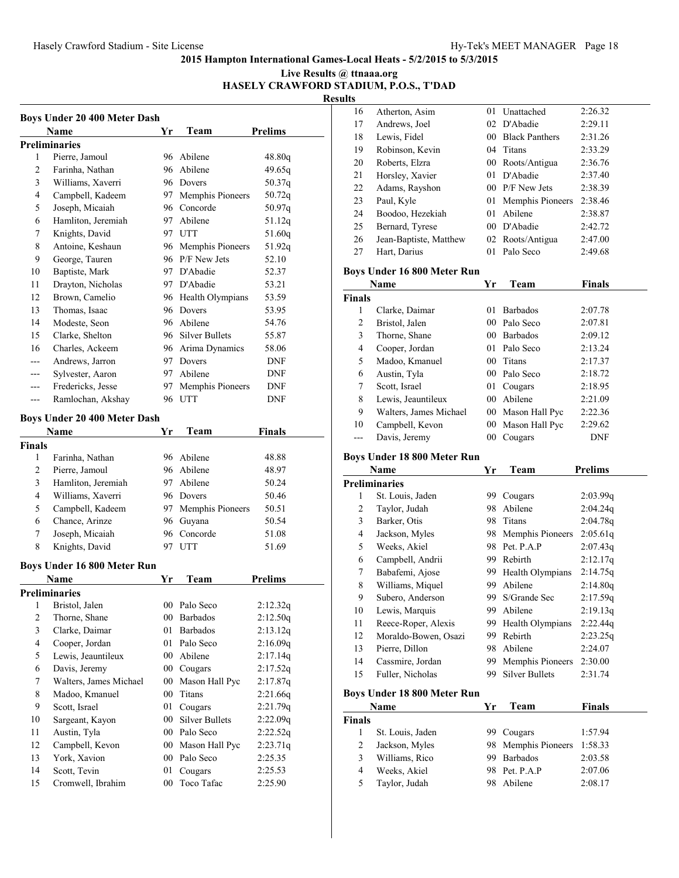#### **Live Results @ ttnaaa.org HASELY CRAWFORD STADIUM, P.O.S., T'DAD**

| <b>Boys Under 20 400 Meter Dash</b> |                                     |        |                       |                |  |  |
|-------------------------------------|-------------------------------------|--------|-----------------------|----------------|--|--|
|                                     | Name                                | Yr     | Team                  | <b>Prelims</b> |  |  |
|                                     | <b>Preliminaries</b>                |        |                       |                |  |  |
| 1                                   | Pierre, Jamoul                      |        | 96 Abilene            | 48.80g         |  |  |
| 2                                   | Farinha, Nathan                     |        | 96 Abilene            | 49.65g         |  |  |
| 3                                   | Williams, Xaverri                   |        | 96 Dovers             | 50.37q         |  |  |
| 4                                   | Campbell, Kadeem                    |        | 97 Memphis Pioneers   | 50.72q         |  |  |
| 5                                   | Joseph, Micaiah                     |        | 96 Concorde           | 50.97q         |  |  |
| 6                                   | Hamliton, Jeremiah                  |        | 97 Abilene            | 51.12q         |  |  |
| 7                                   | Knights, David                      |        | 97 UTT                | 51.60q         |  |  |
| 8                                   | Antoine, Keshaun                    |        | 96 Memphis Pioneers   | 51.92q         |  |  |
| 9                                   | George, Tauren                      |        | 96 P/F New Jets       | 52.10          |  |  |
| 10                                  | Baptiste, Mark                      |        | 97 D'Abadie           | 52.37          |  |  |
| 11                                  | Drayton, Nicholas                   |        | 97 D'Abadie           | 53.21          |  |  |
| 12                                  | Brown, Camelio                      |        | 96 Health Olympians   | 53.59          |  |  |
| 13                                  | Thomas, Isaac                       |        | 96 Dovers             | 53.95          |  |  |
| 14                                  | Modeste, Seon                       |        | 96 Abilene            | 54.76          |  |  |
| 15                                  | Clarke, Shelton                     |        | 96 Silver Bullets     | 55.87          |  |  |
| 16                                  | Charles, Ackeem                     |        | 96 Arima Dynamics     | 58.06          |  |  |
| ---                                 | Andrews, Jarron                     |        | 97 Dovers             | DNF            |  |  |
| ---                                 | Sylvester, Aaron                    |        | 97 Abilene            | DNF            |  |  |
| ---                                 | Fredericks, Jesse                   |        | 97 Memphis Pioneers   | DNF            |  |  |
| ---                                 | Ramlochan, Akshay                   | 96     | UTT                   | DNF            |  |  |
|                                     | <b>Boys Under 20 400 Meter Dash</b> |        |                       |                |  |  |
|                                     | Name                                | Yr     | Team                  | Finals         |  |  |
| <b>Finals</b>                       |                                     |        |                       |                |  |  |
| 1                                   | Farinha, Nathan                     |        | 96 Abilene            | 48.88          |  |  |
| 2                                   | Pierre, Jamoul                      |        | 96 Abilene            | 48.97          |  |  |
| 3                                   | Hamliton, Jeremiah                  |        | 97 Abilene            | 50.24          |  |  |
| 4                                   | Williams, Xaverri                   |        | 96 Dovers             | 50.46          |  |  |
| 5                                   | Campbell, Kadeem                    |        | 97 Memphis Pioneers   | 50.51          |  |  |
| 6                                   | Chance, Arinze                      |        | 96 Guyana             | 50.54          |  |  |
| 7                                   | Joseph, Micaiah                     |        | 96 Concorde           | 51.08          |  |  |
| 8                                   | Knights, David                      | 97     | <b>UTT</b>            | 51.69          |  |  |
|                                     |                                     |        |                       |                |  |  |
|                                     | Boys Under 16 800 Meter Run         |        |                       |                |  |  |
|                                     | Name                                | Yr     | Team                  | Prelims        |  |  |
|                                     | <b>Preliminaries</b>                |        |                       |                |  |  |
|                                     | 1 Bristol, Jalen                    |        | 00 Palo Seco          | 2:12.32q       |  |  |
| $\overline{\mathbf{c}}$             | Thorne, Shane                       |        | 00 Barbados           | 2:12.50q       |  |  |
| 3                                   | Clarke, Daimar                      | 01     | <b>Barbados</b>       | 2:13.12q       |  |  |
| $\overline{4}$                      | Cooper, Jordan                      | 01     | Palo Seco             | 2:16.09q       |  |  |
| 5                                   | Lewis, Jeauntileux                  | $00\,$ | Abilene               | 2:17.14q       |  |  |
| 6                                   | Davis, Jeremy                       | $00\,$ | Cougars               | 2:17.52q       |  |  |
| 7                                   | Walters, James Michael              | $00\,$ | Mason Hall Pyc        | 2:17.87q       |  |  |
| 8                                   | Madoo, Kmanuel                      | $00\,$ | Titans                | 2:21.66q       |  |  |
| 9                                   | Scott, Israel                       | 01     | Cougars               | 2:21.79q       |  |  |
| 10                                  | Sargeant, Kayon                     | $00\,$ | <b>Silver Bullets</b> | 2:22.09q       |  |  |
| 11                                  | Austin, Tyla                        | $00\,$ | Palo Seco             | 2:22.52q       |  |  |
| 12                                  | Campbell, Kevon                     |        | 00 Mason Hall Pyc     | 2:23.71q       |  |  |
| 13                                  | York, Xavion                        |        | 00 Palo Seco          | 2:25.35        |  |  |
| 14                                  | Scott, Tevin                        | 01     | Cougars               | 2:25.53        |  |  |
| 15                                  | Cromwell, Ibrahim                   | $00\,$ | Toco Tafac            | 2:25.90        |  |  |

| 16                                 | Atherton, Asim                     | 01     | Unattached                           | 2:26.32        |  |  |  |
|------------------------------------|------------------------------------|--------|--------------------------------------|----------------|--|--|--|
| 17                                 | Andrews, Joel                      |        | 02 D'Abadie                          | 2:29.11        |  |  |  |
| 18                                 | Lewis, Fidel                       |        | 00 Black Panthers                    | 2:31.26        |  |  |  |
| 19                                 | Robinson, Kevin                    |        | 04 Titans                            | 2:33.29        |  |  |  |
| 20                                 | Roberts, Elzra                     |        | 00 Roots/Antigua                     | 2:36.76        |  |  |  |
| 21                                 | Horsley, Xavier                    | 01     | D'Abadie                             | 2:37.40        |  |  |  |
| 22                                 | Adams, Rayshon                     |        | 00 P/F New Jets                      | 2:38.39        |  |  |  |
| 23                                 | Paul, Kyle                         | 01     | Memphis Pioneers                     | 2:38.46        |  |  |  |
| 24                                 | Boodoo, Hezekiah                   | 01     | Abilene                              | 2:38.87        |  |  |  |
| 25                                 | Bernard, Tyrese                    |        | 00 D'Abadie                          | 2:42.72        |  |  |  |
| 26                                 | Jean-Baptiste, Matthew             |        |                                      | 2:47.00        |  |  |  |
| 27                                 | Hart, Darius                       | 01     | 02 Roots/Antigua<br>Palo Seco        | 2:49.68        |  |  |  |
|                                    |                                    |        |                                      |                |  |  |  |
|                                    | Boys Under 16 800 Meter Run        |        |                                      |                |  |  |  |
|                                    | Name                               | Yr     | Team                                 | <b>Finals</b>  |  |  |  |
| <b>Finals</b>                      |                                    |        |                                      |                |  |  |  |
| 1                                  | Clarke, Daimar                     | 01     | <b>Barbados</b>                      | 2:07.78        |  |  |  |
| $\overline{\mathbf{c}}$            | Bristol, Jalen                     |        | 00 Palo Seco                         | 2:07.81        |  |  |  |
| 3                                  | Thorne, Shane                      |        | 00 Barbados                          | 2:09.12        |  |  |  |
| 4                                  | Cooper, Jordan                     |        | 01 Palo Seco                         | 2:13.24        |  |  |  |
| 5                                  | Madoo, Kmanuel                     | $00-$  | Titans                               | 2:17.37        |  |  |  |
| 6                                  | Austin, Tyla                       |        | 00 Palo Seco                         | 2:18.72        |  |  |  |
| 7                                  |                                    | 01     |                                      |                |  |  |  |
|                                    | Scott, Israel                      |        | Cougars<br>00 Abilene                | 2:18.95        |  |  |  |
| 8                                  | Lewis, Jeauntileux                 |        |                                      | 2:21.09        |  |  |  |
| 9                                  | Walters, James Michael             |        | 00 Mason Hall Pyc                    | 2:22.36        |  |  |  |
| 10                                 | Campbell, Kevon                    |        | 00 Mason Hall Pyc                    | 2:29.62        |  |  |  |
| ---                                | Davis, Jeremy                      | $00\,$ | Cougars                              | <b>DNF</b>     |  |  |  |
| <b>Boys Under 18 800 Meter Run</b> |                                    |        |                                      |                |  |  |  |
|                                    |                                    |        |                                      |                |  |  |  |
|                                    | Name                               | Yr     | Team                                 | <b>Prelims</b> |  |  |  |
|                                    | <b>Preliminaries</b>               |        |                                      |                |  |  |  |
| 1                                  | St. Louis, Jaden                   | 99     | Cougars                              | 2:03.99q       |  |  |  |
| $\overline{\mathbf{c}}$            | Taylor, Judah                      | 98     | Abilene                              | 2:04.24q       |  |  |  |
| 3                                  | Barker, Otis                       | 98     | Titans                               | 2:04.78q       |  |  |  |
| 4                                  |                                    |        |                                      |                |  |  |  |
|                                    | Jackson, Myles                     |        | 98 Memphis Pioneers<br>98 Pet. P.A.P | 2:05.61q       |  |  |  |
| 5<br>6                             | Weeks, Akiel                       | 99.    |                                      | 2:07.43q       |  |  |  |
|                                    | Campbell, Andrii                   |        | Rebirth                              | 2:12.17q       |  |  |  |
| 7                                  | Babafemi, Ajose                    | 99.    | Health Olympians                     | 2:14.75q       |  |  |  |
| 8                                  | Williams, Miquel                   |        | 99 Abilene                           | 2:14.80q       |  |  |  |
| 9                                  | Subero, Anderson                   |        | 99 S/Grande Sec                      | 2:17.59q       |  |  |  |
| 10                                 | Lewis, Marquis                     | 99     | Abilene                              | 2:19.13q       |  |  |  |
| 11                                 | Reece-Roper, Alexis                | 99     | Health Olympians                     | 2:22.44q       |  |  |  |
| 12                                 | Moraldo-Bowen, Osazi               | 99     | Rebirth                              | 2:23.25q       |  |  |  |
| 13                                 | Pierre, Dillon                     | 98     | Abilene                              | 2:24.07        |  |  |  |
| 14                                 | Cassmire, Jordan                   | 99     | Memphis Pioneers                     | 2:30.00        |  |  |  |
| 15                                 | Fuller, Nicholas                   | 99     | <b>Silver Bullets</b>                | 2:31.74        |  |  |  |
|                                    | <b>Boys Under 18 800 Meter Run</b> |        |                                      |                |  |  |  |
|                                    | Name                               | Yr     | Team                                 | <b>Finals</b>  |  |  |  |
| <b>Finals</b>                      |                                    |        |                                      |                |  |  |  |
| 1                                  | St. Louis, Jaden                   | 99.    | Cougars                              | 1:57.94        |  |  |  |
| $\overline{\mathbf{c}}$            | Jackson, Myles                     | 98     | Memphis Pioneers                     | 1:58.33        |  |  |  |
| 3                                  | Williams, Rico                     |        | 99 Barbados                          | 2:03.58        |  |  |  |
| $\overline{4}$                     | Weeks, Akiel                       |        | 98 Pet. P.A.P                        | 2:07.06        |  |  |  |
| 5                                  | Taylor, Judah                      | 98     | Abilene                              | 2:08.17        |  |  |  |
|                                    |                                    |        |                                      |                |  |  |  |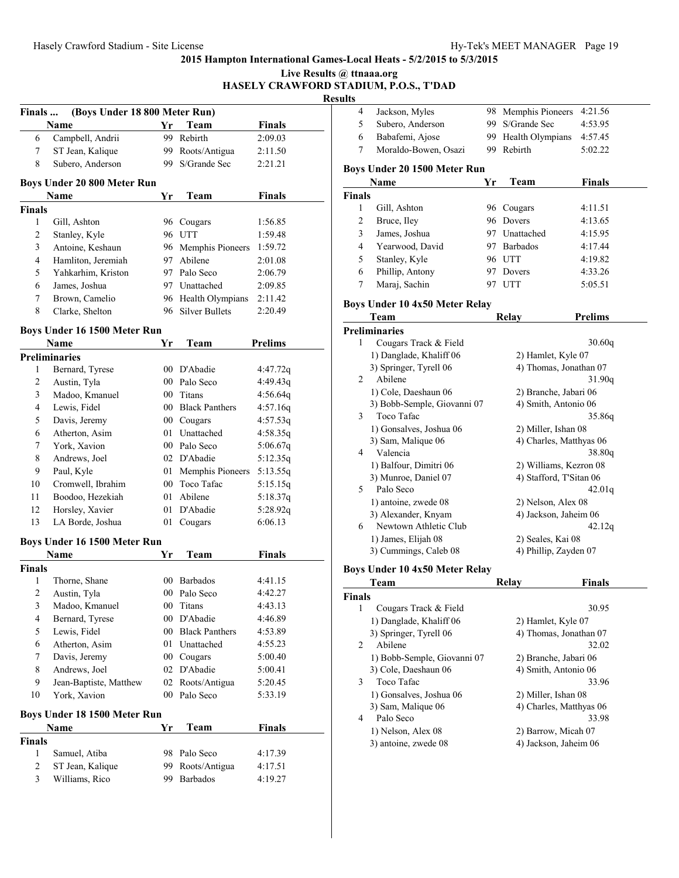|                |                               |                 |                       | <b>HASELY CRAWFORD S</b><br>Res |
|----------------|-------------------------------|-----------------|-----------------------|---------------------------------|
| Finals         | (Boys Under 18 800 Meter Run) |                 |                       |                                 |
|                | Name                          | Yr              | Team                  | <b>Finals</b>                   |
| 6              | Campbell, Andrii              | 99              | Rebirth               | 2:09.03                         |
| 7              | ST Jean, Kalique              |                 | 99 Roots/Antigua      | 2:11.50                         |
| 8              | Subero, Anderson              | 99.             | S/Grande Sec          | 2:21.21                         |
|                | Boys Under 20 800 Meter Run   |                 |                       |                                 |
|                | Name                          | Yr              | Team                  | <b>Finals</b>                   |
| <b>Finals</b>  |                               |                 |                       |                                 |
| 1              | Gill, Ashton                  |                 | 96 Cougars            | 1:56.85                         |
| $\overline{c}$ | Stanley, Kyle                 |                 | 96 UTT                | 1:59.48                         |
| 3              | Antoine, Keshaun              |                 | 96 Memphis Pioneers   | 1:59.72                         |
| 4              | Hamliton, Jeremiah            | 97              | Abilene               | 2:01.08                         |
| 5              | Yahkarhim, Kriston            |                 | 97 Palo Seco          | 2:06.79                         |
| 6              | James, Joshua                 |                 | 97 Unattached         | 2:09.85                         |
| 7              | Brown, Camelio                |                 | 96 Health Olympians   | 2:11.42                         |
| 8              | Clarke, Shelton               |                 | 96 Silver Bullets     | 2:20.49                         |
|                | Boys Under 16 1500 Meter Run  |                 |                       |                                 |
|                | Name                          | Yr              | Team                  | <b>Prelims</b>                  |
|                | <b>Preliminaries</b>          |                 |                       |                                 |
| 1              | Bernard, Tyrese               |                 | 00 D'Abadie           | 4:47.72q                        |
| 2              | Austin, Tyla                  |                 | 00 Palo Seco          | 4:49.43q                        |
| 3              | Madoo, Kmanuel                |                 | 00 Titans             | 4:56.64q                        |
| 4              | Lewis, Fidel                  |                 | 00 Black Panthers     | 4:57.16q                        |
| 5              | Davis, Jeremy                 |                 | 00 Cougars            | 4:57.53q                        |
| 6              | Atherton, Asim                | 01              | Unattached            | 4:58.35q                        |
| 7              | York, Xavion                  |                 | 00 Palo Seco          | 5:06.67q                        |
| 8              | Andrews, Joel                 |                 | 02 D'Abadie           | 5:12.35q                        |
| 9              | Paul, Kyle                    | 01              | Memphis Pioneers      | 5:13.55q                        |
| 10             | Cromwell, Ibrahim             | 00 <sup>°</sup> | Toco Tafac            | 5:15.15q                        |
| 11             | Boodoo, Hezekiah              | 01              | Abilene               | 5:18.37q                        |
| 12             | Horsley, Xavier               | 01              | D'Abadie              | 5:28.92q                        |
| 13             | LA Borde, Joshua              |                 | 01 Cougars            | 6:06.13                         |
|                | Boys Under 16 1500 Meter Run  |                 |                       |                                 |
|                | Name                          | Yr              | Team                  | <b>Finals</b>                   |
| Finals         |                               |                 |                       |                                 |
| $\mathbf{1}$   | Thorne, Shane                 | 00              | Barbados              | 4:41.15                         |
| 2              | Austin, Tyla                  | 00              | Palo Seco             | 4:42.27                         |
| 3              | Madoo, Kmanuel                | 00              | Titans                | 4:43.13                         |
| 4              | Bernard, Tyrese               | $00\,$          | D'Abadie              | 4:46.89                         |
| 5              | Lewis, Fidel                  | 00              | <b>Black Panthers</b> | 4:53.89                         |
| 6              | Atherton, Asim                | 01              | Unattached            | 4:55.23                         |
| 7              | Davis, Jeremy                 |                 | 00 Cougars            | 5:00.40                         |
| 8              | Andrews, Joel                 |                 | 02 D'Abadie           | 5:00.41                         |
| 9              | Jean-Baptiste, Matthew        |                 | 02 Roots/Antigua      | 5:20.45                         |
| 10             | York, Xavion                  |                 | 00 Palo Seco          | 5:33.19                         |
|                | Boys Under 18 1500 Meter Run  |                 |                       |                                 |
|                | Name                          | Yr              | Team                  | <b>Finals</b>                   |
| <b>Finals</b>  |                               |                 |                       |                                 |
| 1              | Samuel, Atiba                 |                 | 98 Palo Seco          | 4:17.39                         |
| 2              | ST Jean, Kalique              | 99.             | Roots/Antigua         | 4:17.51                         |
| 3              | Williams, Rico                | 99.             | <b>Barbados</b>       | 4:19.27                         |
|                |                               |                 |                       |                                 |

|                                           | Live Results @ ttnaaa.org |                                       |    |                         |                |
|-------------------------------------------|---------------------------|---------------------------------------|----|-------------------------|----------------|
|                                           | <b>Results</b>            | <b>RAWFORD STADIUM, P.O.S., T'DAD</b> |    |                         |                |
|                                           | 4                         | Jackson, Myles                        | 98 | Memphis Pioneers        | 4:21.56        |
| als                                       | 5                         | Subero, Anderson                      |    | 99 S/Grande Sec         | 4:53.95        |
| .03                                       | 6                         | Babafemi, Ajose                       | 99 | Health Olympians        | 4:57.45        |
| .50                                       | 7                         | Moraldo-Bowen, Osazi                  | 99 | Rebirth                 | 5:02.22        |
| .21                                       |                           |                                       |    |                         |                |
|                                           |                           | Boys Under 20 1500 Meter Run          |    |                         |                |
|                                           |                           | Name                                  | Yr | Team                    | Finals         |
| als                                       | <b>Finals</b>             |                                       |    |                         |                |
|                                           | 1                         | Gill, Ashton                          |    | 96 Cougars              | 4:11.51        |
| .85                                       | 2                         | Bruce, Iley                           | 96 | Dovers                  | 4:13.65        |
| .48                                       | 3                         | James, Joshua                         | 97 | Unattached              | 4:15.95        |
| .72                                       | 4                         | Yearwood, David                       | 97 | <b>Barbados</b>         | 4:17.44        |
| .08                                       | 5                         | Stanley, Kyle                         |    | 96 UTT                  | 4:19.82        |
| .79                                       | 6                         | Phillip, Antony                       |    | 97 Dovers               | 4:33.26        |
| .85                                       | 7                         | Maraj, Sachin                         |    | 97 UTT                  | 5:05.51        |
| .42                                       |                           |                                       |    |                         |                |
| 49                                        |                           | Boys Under 10 4x50 Meter Relay        |    |                         |                |
|                                           |                           | Team                                  |    | <b>Relay</b>            | <b>Prelims</b> |
|                                           |                           | <b>Preliminaries</b>                  |    |                         |                |
| ms                                        | 1                         | Cougars Track & Field                 |    |                         | 30.60q         |
|                                           |                           | 1) Danglade, Khaliff 06               |    | 2) Hamlet, Kyle 07      |                |
| .72q                                      |                           | 3) Springer, Tyrell 06                |    | 4) Thomas, Jonathan 07  |                |
| .43q                                      | 2                         | Abilene                               |    |                         | 31.90g         |
| .64q                                      |                           | 1) Cole, Daeshaun 06                  |    | 2) Branche, Jabari 06   |                |
| .16q                                      |                           | 3) Bobb-Semple, Giovanni 07           |    | 4) Smith, Antonio 06    |                |
| .53q                                      | 3                         | Toco Tafac                            |    |                         | 35.86q         |
| .35q                                      |                           | 1) Gonsalves, Joshua 06               |    | 2) Miller, Ishan 08     |                |
| .67q                                      |                           | 3) Sam, Malique 06                    |    | 4) Charles, Matthyas 06 |                |
| .35q                                      | 4                         | Valencia                              |    |                         | 38.80q         |
| .55q                                      |                           | 1) Balfour, Dimitri 06                |    | 2) Williams, Kezron 08  |                |
| 15q                                       |                           | 3) Munroe, Daniel 07                  |    | 4) Stafford, T'Sitan 06 |                |
| .37q                                      | 5                         | Palo Seco                             |    |                         | 42.01q         |
| .92q                                      |                           | 1) antoine, zwede 08                  |    | 2) Nelson, Alex 08      |                |
| .13                                       |                           | 3) Alexander, Knyam                   |    | 4) Jackson, Jaheim 06   |                |
|                                           | 6                         | Newtown Athletic Club                 |    |                         | 42.12q         |
|                                           |                           | 1) James, Elijah 08                   |    | 2) Seales, Kai 08       |                |
| als                                       |                           | 3) Cummings, Caleb 08                 |    | 4) Phillip, Zayden 07   |                |
|                                           |                           | Boys Under 10 4x50 Meter Relay        |    |                         |                |
| .15                                       |                           | Team                                  |    | Relay                   | Finals         |
| .27                                       | <b>Finals</b>             |                                       |    |                         |                |
| .13                                       | 1                         | Cougars Track & Field                 |    |                         | 30.95          |
| .89                                       |                           | 1) Danglade, Khaliff 06               |    | 2) Hamlet, Kyle 07      |                |
| .89                                       |                           | 3) Springer, Tyrell 06                |    | 4) Thomas, Jonathan 07  |                |
| .23                                       | 2                         | Abilene                               |    |                         | 32.02          |
| $\Lambda$ <sup><math>\Lambda</math></sup> |                           |                                       |    |                         |                |

|   | 1) Bobb-Semple, Giovanni 07 | 2) Branche, Jabari 06   |
|---|-----------------------------|-------------------------|
|   | 3) Cole, Daeshaun 06        | 4) Smith, Antonio 06    |
|   | Toco Tafac                  | 33.96                   |
|   | 1) Gonsalves, Joshua 06     | 2) Miller, Ishan 08     |
|   | 3) Sam, Malique 06          | 4) Charles, Matthyas 06 |
| 4 | Palo Seco                   | 33.98                   |
|   | 1) Nelson, Alex 08          | 2) Barrow, Micah 07     |
|   | 3) antoine, zwede 08        | 4) Jackson, Jaheim 06   |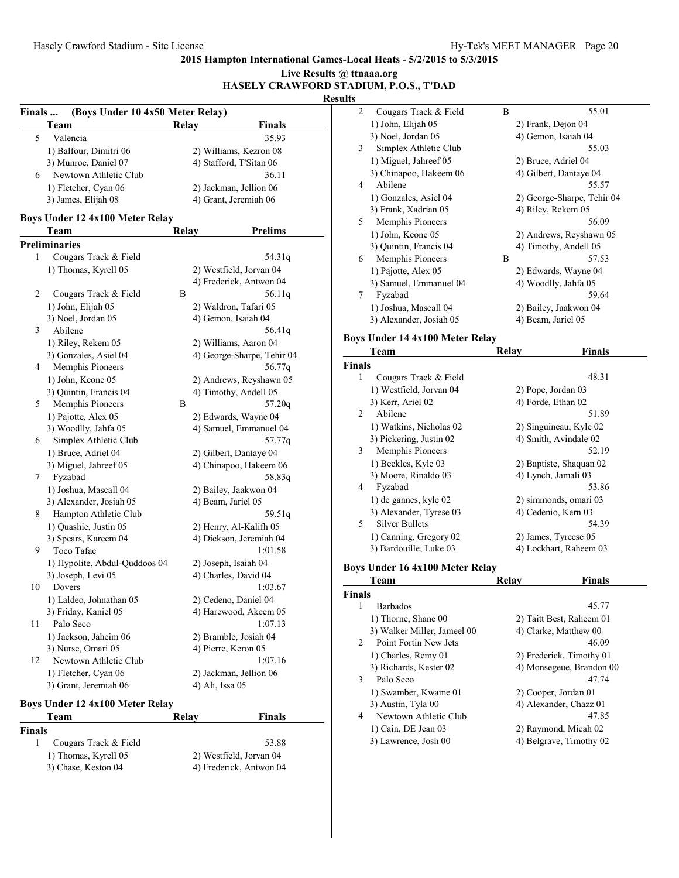#### **2015 Hampton International Games-Local Heats - 5/2/2015 to 5/3/2015 Live Results @ ttnaaa.org**

| $\overline{c}$<br>Cougars Track & Fie<br>(Boys Under 10 4x50 Meter Relay)<br>Finals<br>1) John, Elijah 05<br><b>Team</b><br><b>Finals</b><br>Relav<br>3) Noel, Jordan 05<br>Valencia<br>5<br>35.93<br>3<br>Simplex Athletic Clu<br>1) Balfour, Dimitri 06<br>2) Williams, Kezron 08<br>1) Miguel, Jahreef 05<br>3) Munroe, Daniel 07<br>4) Stafford, T'Sitan 06<br>3) Chinapoo, Hakeem (<br>Newtown Athletic Club<br>36.11<br>6<br>Abilene<br>4<br>1) Fletcher, Cyan 06<br>2) Jackman, Jellion 06<br>1) Gonzales, Asiel 04<br>3) James, Elijah 08<br>4) Grant, Jeremiah 06<br>3) Frank, Xadrian 05<br>Boys Under 12 4x100 Meter Relay<br>5<br>Memphis Pioneers<br><b>Prelims</b><br>Team<br>Relay<br>1) John, Keone 05<br><b>Preliminaries</b><br>3) Quintin, Francis 04<br>Cougars Track & Field<br>1<br>54.31q<br>Memphis Pioneers<br>6<br>2) Westfield, Jorvan 04<br>1) Thomas, Kyrell 05<br>1) Pajotte, Alex 05<br>4) Frederick, Antwon 04<br>3) Samuel, Emmanuel<br>2<br>Cougars Track & Field<br>Β<br>56.11q<br>7<br>Fyzabad<br>2) Waldron, Tafari 05<br>1) John, Elijah 05<br>1) Joshua, Mascall 04<br>3) Noel, Jordan 05<br>4) Gemon, Isaiah 04<br>3) Alexander, Josiah 05<br>3<br>Abilene<br>56.41q<br>Boys Under 14 4x100 Met<br>2) Williams, Aaron 04<br>1) Riley, Rekem 05<br>Team<br>3) Gonzales, Asiel 04<br>4) George-Sharpe, Tehir 04<br><b>Finals</b><br>Memphis Pioneers<br>56.77g<br>4<br>$\mathbf{1}$<br>Cougars Track & Fie<br>1) John, Keone 05<br>2) Andrews, Reyshawn 05<br>1) Westfield, Jorvan 04<br>3) Quintin, Francis 04<br>4) Timothy, Andell 05<br>3) Kerr, Ariel 02<br>Memphis Pioneers<br>B<br>57.20q<br>5<br>2<br>Abilene<br>1) Pajotte, Alex 05<br>2) Edwards, Wayne 04<br>1) Watkins, Nicholas 0<br>4) Samuel, Emmanuel 04<br>3) Woodlly, Jahfa 05<br>3) Pickering, Justin 02<br>Simplex Athletic Club<br>57.77q<br>6<br>Memphis Pioneers<br>3<br>1) Bruce, Adriel 04<br>2) Gilbert, Dantaye 04<br>1) Beckles, Kyle 03<br>3) Miguel, Jahreef 05<br>4) Chinapoo, Hakeem 06<br>3) Moore, Rinaldo 03<br>58.83q<br>7<br>Fyzabad<br>Fyzabad<br>4<br>2) Bailey, Jaakwon 04<br>1) Joshua, Mascall 04<br>1) de gannes, kyle 02<br>4) Beam, Jariel 05<br>3) Alexander, Josiah 05<br>3) Alexander, Tyrese 0<br>Hampton Athletic Club<br>59.51q<br>8<br><b>Silver Bullets</b><br>5<br>1) Quashie, Justin 05<br>2) Henry, Al-Kalifh 05<br>1) Canning, Gregory 02<br>3) Spears, Kareem 04<br>4) Dickson, Jeremiah 04<br>3) Bardouille, Luke 03<br>Toco Tafac<br>9<br>1:01.58<br>2) Joseph, Isaiah 04<br>1) Hypolite, Abdul-Quddoos 04<br>Boys Under 16 4x100 Met<br>3) Joseph, Levi 05<br>4) Charles, David 04<br>Team<br>10<br>Dovers<br>1:03.67<br><b>Finals</b><br>1) Laldeo, Johnathan 05<br>2) Cedeno, Daniel 04<br><b>Barbados</b><br>1<br>3) Friday, Kaniel 05<br>4) Harewood, Akeem 05<br>1) Thorne, Shane 00<br>Palo Seco<br>1:07.13<br>11<br>1) Jackson, Jaheim 06<br>2) Bramble, Josiah 04<br>2<br>3) Nurse, Omari 05<br>4) Pierre, Keron 05<br>1) Charles, Remy 01<br>1:07.16<br>12<br>Newtown Athletic Club<br>3) Richards, Kester 02<br>1) Fletcher, Cyan 06<br>2) Jackman, Jellion 06<br>Palo Seco<br>3<br>3) Grant, Jeremiah 06<br>4) Ali, Issa 05<br>Boys Under 12 4x100 Meter Relay<br>3) Austin, Tyla 00<br><b>Finals</b><br>Team<br><b>Relay</b><br>4<br>1) Cain, DE Jean 03 |               | HASELY CRAWFORD STADIUM, P.O.S., T'DAD | <b>Results</b> |                        |
|-------------------------------------------------------------------------------------------------------------------------------------------------------------------------------------------------------------------------------------------------------------------------------------------------------------------------------------------------------------------------------------------------------------------------------------------------------------------------------------------------------------------------------------------------------------------------------------------------------------------------------------------------------------------------------------------------------------------------------------------------------------------------------------------------------------------------------------------------------------------------------------------------------------------------------------------------------------------------------------------------------------------------------------------------------------------------------------------------------------------------------------------------------------------------------------------------------------------------------------------------------------------------------------------------------------------------------------------------------------------------------------------------------------------------------------------------------------------------------------------------------------------------------------------------------------------------------------------------------------------------------------------------------------------------------------------------------------------------------------------------------------------------------------------------------------------------------------------------------------------------------------------------------------------------------------------------------------------------------------------------------------------------------------------------------------------------------------------------------------------------------------------------------------------------------------------------------------------------------------------------------------------------------------------------------------------------------------------------------------------------------------------------------------------------------------------------------------------------------------------------------------------------------------------------------------------------------------------------------------------------------------------------------------------------------------------------------------------------------------------------------------------------------------------------------------------------------------------------------------------------------------------------------------------------------------------------------------------------------------------------------------------------------------------------------------------------------------------------------------------------------------------------------------------------------------------------------------------------------------------------------------------------------------------------------------------------|---------------|----------------------------------------|----------------|------------------------|
|                                                                                                                                                                                                                                                                                                                                                                                                                                                                                                                                                                                                                                                                                                                                                                                                                                                                                                                                                                                                                                                                                                                                                                                                                                                                                                                                                                                                                                                                                                                                                                                                                                                                                                                                                                                                                                                                                                                                                                                                                                                                                                                                                                                                                                                                                                                                                                                                                                                                                                                                                                                                                                                                                                                                                                                                                                                                                                                                                                                                                                                                                                                                                                                                                                                                                                                         |               |                                        |                |                        |
|                                                                                                                                                                                                                                                                                                                                                                                                                                                                                                                                                                                                                                                                                                                                                                                                                                                                                                                                                                                                                                                                                                                                                                                                                                                                                                                                                                                                                                                                                                                                                                                                                                                                                                                                                                                                                                                                                                                                                                                                                                                                                                                                                                                                                                                                                                                                                                                                                                                                                                                                                                                                                                                                                                                                                                                                                                                                                                                                                                                                                                                                                                                                                                                                                                                                                                                         |               |                                        |                |                        |
|                                                                                                                                                                                                                                                                                                                                                                                                                                                                                                                                                                                                                                                                                                                                                                                                                                                                                                                                                                                                                                                                                                                                                                                                                                                                                                                                                                                                                                                                                                                                                                                                                                                                                                                                                                                                                                                                                                                                                                                                                                                                                                                                                                                                                                                                                                                                                                                                                                                                                                                                                                                                                                                                                                                                                                                                                                                                                                                                                                                                                                                                                                                                                                                                                                                                                                                         |               |                                        |                |                        |
|                                                                                                                                                                                                                                                                                                                                                                                                                                                                                                                                                                                                                                                                                                                                                                                                                                                                                                                                                                                                                                                                                                                                                                                                                                                                                                                                                                                                                                                                                                                                                                                                                                                                                                                                                                                                                                                                                                                                                                                                                                                                                                                                                                                                                                                                                                                                                                                                                                                                                                                                                                                                                                                                                                                                                                                                                                                                                                                                                                                                                                                                                                                                                                                                                                                                                                                         |               |                                        |                |                        |
|                                                                                                                                                                                                                                                                                                                                                                                                                                                                                                                                                                                                                                                                                                                                                                                                                                                                                                                                                                                                                                                                                                                                                                                                                                                                                                                                                                                                                                                                                                                                                                                                                                                                                                                                                                                                                                                                                                                                                                                                                                                                                                                                                                                                                                                                                                                                                                                                                                                                                                                                                                                                                                                                                                                                                                                                                                                                                                                                                                                                                                                                                                                                                                                                                                                                                                                         |               |                                        |                |                        |
|                                                                                                                                                                                                                                                                                                                                                                                                                                                                                                                                                                                                                                                                                                                                                                                                                                                                                                                                                                                                                                                                                                                                                                                                                                                                                                                                                                                                                                                                                                                                                                                                                                                                                                                                                                                                                                                                                                                                                                                                                                                                                                                                                                                                                                                                                                                                                                                                                                                                                                                                                                                                                                                                                                                                                                                                                                                                                                                                                                                                                                                                                                                                                                                                                                                                                                                         |               |                                        |                |                        |
|                                                                                                                                                                                                                                                                                                                                                                                                                                                                                                                                                                                                                                                                                                                                                                                                                                                                                                                                                                                                                                                                                                                                                                                                                                                                                                                                                                                                                                                                                                                                                                                                                                                                                                                                                                                                                                                                                                                                                                                                                                                                                                                                                                                                                                                                                                                                                                                                                                                                                                                                                                                                                                                                                                                                                                                                                                                                                                                                                                                                                                                                                                                                                                                                                                                                                                                         |               |                                        |                |                        |
|                                                                                                                                                                                                                                                                                                                                                                                                                                                                                                                                                                                                                                                                                                                                                                                                                                                                                                                                                                                                                                                                                                                                                                                                                                                                                                                                                                                                                                                                                                                                                                                                                                                                                                                                                                                                                                                                                                                                                                                                                                                                                                                                                                                                                                                                                                                                                                                                                                                                                                                                                                                                                                                                                                                                                                                                                                                                                                                                                                                                                                                                                                                                                                                                                                                                                                                         |               |                                        |                |                        |
|                                                                                                                                                                                                                                                                                                                                                                                                                                                                                                                                                                                                                                                                                                                                                                                                                                                                                                                                                                                                                                                                                                                                                                                                                                                                                                                                                                                                                                                                                                                                                                                                                                                                                                                                                                                                                                                                                                                                                                                                                                                                                                                                                                                                                                                                                                                                                                                                                                                                                                                                                                                                                                                                                                                                                                                                                                                                                                                                                                                                                                                                                                                                                                                                                                                                                                                         |               |                                        |                |                        |
|                                                                                                                                                                                                                                                                                                                                                                                                                                                                                                                                                                                                                                                                                                                                                                                                                                                                                                                                                                                                                                                                                                                                                                                                                                                                                                                                                                                                                                                                                                                                                                                                                                                                                                                                                                                                                                                                                                                                                                                                                                                                                                                                                                                                                                                                                                                                                                                                                                                                                                                                                                                                                                                                                                                                                                                                                                                                                                                                                                                                                                                                                                                                                                                                                                                                                                                         |               |                                        |                |                        |
|                                                                                                                                                                                                                                                                                                                                                                                                                                                                                                                                                                                                                                                                                                                                                                                                                                                                                                                                                                                                                                                                                                                                                                                                                                                                                                                                                                                                                                                                                                                                                                                                                                                                                                                                                                                                                                                                                                                                                                                                                                                                                                                                                                                                                                                                                                                                                                                                                                                                                                                                                                                                                                                                                                                                                                                                                                                                                                                                                                                                                                                                                                                                                                                                                                                                                                                         |               |                                        |                |                        |
|                                                                                                                                                                                                                                                                                                                                                                                                                                                                                                                                                                                                                                                                                                                                                                                                                                                                                                                                                                                                                                                                                                                                                                                                                                                                                                                                                                                                                                                                                                                                                                                                                                                                                                                                                                                                                                                                                                                                                                                                                                                                                                                                                                                                                                                                                                                                                                                                                                                                                                                                                                                                                                                                                                                                                                                                                                                                                                                                                                                                                                                                                                                                                                                                                                                                                                                         |               |                                        |                |                        |
|                                                                                                                                                                                                                                                                                                                                                                                                                                                                                                                                                                                                                                                                                                                                                                                                                                                                                                                                                                                                                                                                                                                                                                                                                                                                                                                                                                                                                                                                                                                                                                                                                                                                                                                                                                                                                                                                                                                                                                                                                                                                                                                                                                                                                                                                                                                                                                                                                                                                                                                                                                                                                                                                                                                                                                                                                                                                                                                                                                                                                                                                                                                                                                                                                                                                                                                         |               |                                        |                |                        |
|                                                                                                                                                                                                                                                                                                                                                                                                                                                                                                                                                                                                                                                                                                                                                                                                                                                                                                                                                                                                                                                                                                                                                                                                                                                                                                                                                                                                                                                                                                                                                                                                                                                                                                                                                                                                                                                                                                                                                                                                                                                                                                                                                                                                                                                                                                                                                                                                                                                                                                                                                                                                                                                                                                                                                                                                                                                                                                                                                                                                                                                                                                                                                                                                                                                                                                                         |               |                                        |                |                        |
|                                                                                                                                                                                                                                                                                                                                                                                                                                                                                                                                                                                                                                                                                                                                                                                                                                                                                                                                                                                                                                                                                                                                                                                                                                                                                                                                                                                                                                                                                                                                                                                                                                                                                                                                                                                                                                                                                                                                                                                                                                                                                                                                                                                                                                                                                                                                                                                                                                                                                                                                                                                                                                                                                                                                                                                                                                                                                                                                                                                                                                                                                                                                                                                                                                                                                                                         |               |                                        |                |                        |
|                                                                                                                                                                                                                                                                                                                                                                                                                                                                                                                                                                                                                                                                                                                                                                                                                                                                                                                                                                                                                                                                                                                                                                                                                                                                                                                                                                                                                                                                                                                                                                                                                                                                                                                                                                                                                                                                                                                                                                                                                                                                                                                                                                                                                                                                                                                                                                                                                                                                                                                                                                                                                                                                                                                                                                                                                                                                                                                                                                                                                                                                                                                                                                                                                                                                                                                         |               |                                        |                |                        |
|                                                                                                                                                                                                                                                                                                                                                                                                                                                                                                                                                                                                                                                                                                                                                                                                                                                                                                                                                                                                                                                                                                                                                                                                                                                                                                                                                                                                                                                                                                                                                                                                                                                                                                                                                                                                                                                                                                                                                                                                                                                                                                                                                                                                                                                                                                                                                                                                                                                                                                                                                                                                                                                                                                                                                                                                                                                                                                                                                                                                                                                                                                                                                                                                                                                                                                                         |               |                                        |                |                        |
|                                                                                                                                                                                                                                                                                                                                                                                                                                                                                                                                                                                                                                                                                                                                                                                                                                                                                                                                                                                                                                                                                                                                                                                                                                                                                                                                                                                                                                                                                                                                                                                                                                                                                                                                                                                                                                                                                                                                                                                                                                                                                                                                                                                                                                                                                                                                                                                                                                                                                                                                                                                                                                                                                                                                                                                                                                                                                                                                                                                                                                                                                                                                                                                                                                                                                                                         |               |                                        |                |                        |
|                                                                                                                                                                                                                                                                                                                                                                                                                                                                                                                                                                                                                                                                                                                                                                                                                                                                                                                                                                                                                                                                                                                                                                                                                                                                                                                                                                                                                                                                                                                                                                                                                                                                                                                                                                                                                                                                                                                                                                                                                                                                                                                                                                                                                                                                                                                                                                                                                                                                                                                                                                                                                                                                                                                                                                                                                                                                                                                                                                                                                                                                                                                                                                                                                                                                                                                         |               |                                        |                |                        |
|                                                                                                                                                                                                                                                                                                                                                                                                                                                                                                                                                                                                                                                                                                                                                                                                                                                                                                                                                                                                                                                                                                                                                                                                                                                                                                                                                                                                                                                                                                                                                                                                                                                                                                                                                                                                                                                                                                                                                                                                                                                                                                                                                                                                                                                                                                                                                                                                                                                                                                                                                                                                                                                                                                                                                                                                                                                                                                                                                                                                                                                                                                                                                                                                                                                                                                                         |               |                                        |                |                        |
|                                                                                                                                                                                                                                                                                                                                                                                                                                                                                                                                                                                                                                                                                                                                                                                                                                                                                                                                                                                                                                                                                                                                                                                                                                                                                                                                                                                                                                                                                                                                                                                                                                                                                                                                                                                                                                                                                                                                                                                                                                                                                                                                                                                                                                                                                                                                                                                                                                                                                                                                                                                                                                                                                                                                                                                                                                                                                                                                                                                                                                                                                                                                                                                                                                                                                                                         |               |                                        |                |                        |
|                                                                                                                                                                                                                                                                                                                                                                                                                                                                                                                                                                                                                                                                                                                                                                                                                                                                                                                                                                                                                                                                                                                                                                                                                                                                                                                                                                                                                                                                                                                                                                                                                                                                                                                                                                                                                                                                                                                                                                                                                                                                                                                                                                                                                                                                                                                                                                                                                                                                                                                                                                                                                                                                                                                                                                                                                                                                                                                                                                                                                                                                                                                                                                                                                                                                                                                         |               |                                        |                |                        |
|                                                                                                                                                                                                                                                                                                                                                                                                                                                                                                                                                                                                                                                                                                                                                                                                                                                                                                                                                                                                                                                                                                                                                                                                                                                                                                                                                                                                                                                                                                                                                                                                                                                                                                                                                                                                                                                                                                                                                                                                                                                                                                                                                                                                                                                                                                                                                                                                                                                                                                                                                                                                                                                                                                                                                                                                                                                                                                                                                                                                                                                                                                                                                                                                                                                                                                                         |               |                                        |                |                        |
|                                                                                                                                                                                                                                                                                                                                                                                                                                                                                                                                                                                                                                                                                                                                                                                                                                                                                                                                                                                                                                                                                                                                                                                                                                                                                                                                                                                                                                                                                                                                                                                                                                                                                                                                                                                                                                                                                                                                                                                                                                                                                                                                                                                                                                                                                                                                                                                                                                                                                                                                                                                                                                                                                                                                                                                                                                                                                                                                                                                                                                                                                                                                                                                                                                                                                                                         |               |                                        |                |                        |
|                                                                                                                                                                                                                                                                                                                                                                                                                                                                                                                                                                                                                                                                                                                                                                                                                                                                                                                                                                                                                                                                                                                                                                                                                                                                                                                                                                                                                                                                                                                                                                                                                                                                                                                                                                                                                                                                                                                                                                                                                                                                                                                                                                                                                                                                                                                                                                                                                                                                                                                                                                                                                                                                                                                                                                                                                                                                                                                                                                                                                                                                                                                                                                                                                                                                                                                         |               |                                        |                |                        |
|                                                                                                                                                                                                                                                                                                                                                                                                                                                                                                                                                                                                                                                                                                                                                                                                                                                                                                                                                                                                                                                                                                                                                                                                                                                                                                                                                                                                                                                                                                                                                                                                                                                                                                                                                                                                                                                                                                                                                                                                                                                                                                                                                                                                                                                                                                                                                                                                                                                                                                                                                                                                                                                                                                                                                                                                                                                                                                                                                                                                                                                                                                                                                                                                                                                                                                                         |               |                                        |                |                        |
|                                                                                                                                                                                                                                                                                                                                                                                                                                                                                                                                                                                                                                                                                                                                                                                                                                                                                                                                                                                                                                                                                                                                                                                                                                                                                                                                                                                                                                                                                                                                                                                                                                                                                                                                                                                                                                                                                                                                                                                                                                                                                                                                                                                                                                                                                                                                                                                                                                                                                                                                                                                                                                                                                                                                                                                                                                                                                                                                                                                                                                                                                                                                                                                                                                                                                                                         |               |                                        |                |                        |
|                                                                                                                                                                                                                                                                                                                                                                                                                                                                                                                                                                                                                                                                                                                                                                                                                                                                                                                                                                                                                                                                                                                                                                                                                                                                                                                                                                                                                                                                                                                                                                                                                                                                                                                                                                                                                                                                                                                                                                                                                                                                                                                                                                                                                                                                                                                                                                                                                                                                                                                                                                                                                                                                                                                                                                                                                                                                                                                                                                                                                                                                                                                                                                                                                                                                                                                         |               |                                        |                |                        |
|                                                                                                                                                                                                                                                                                                                                                                                                                                                                                                                                                                                                                                                                                                                                                                                                                                                                                                                                                                                                                                                                                                                                                                                                                                                                                                                                                                                                                                                                                                                                                                                                                                                                                                                                                                                                                                                                                                                                                                                                                                                                                                                                                                                                                                                                                                                                                                                                                                                                                                                                                                                                                                                                                                                                                                                                                                                                                                                                                                                                                                                                                                                                                                                                                                                                                                                         |               |                                        |                |                        |
|                                                                                                                                                                                                                                                                                                                                                                                                                                                                                                                                                                                                                                                                                                                                                                                                                                                                                                                                                                                                                                                                                                                                                                                                                                                                                                                                                                                                                                                                                                                                                                                                                                                                                                                                                                                                                                                                                                                                                                                                                                                                                                                                                                                                                                                                                                                                                                                                                                                                                                                                                                                                                                                                                                                                                                                                                                                                                                                                                                                                                                                                                                                                                                                                                                                                                                                         |               |                                        |                |                        |
|                                                                                                                                                                                                                                                                                                                                                                                                                                                                                                                                                                                                                                                                                                                                                                                                                                                                                                                                                                                                                                                                                                                                                                                                                                                                                                                                                                                                                                                                                                                                                                                                                                                                                                                                                                                                                                                                                                                                                                                                                                                                                                                                                                                                                                                                                                                                                                                                                                                                                                                                                                                                                                                                                                                                                                                                                                                                                                                                                                                                                                                                                                                                                                                                                                                                                                                         |               |                                        |                |                        |
|                                                                                                                                                                                                                                                                                                                                                                                                                                                                                                                                                                                                                                                                                                                                                                                                                                                                                                                                                                                                                                                                                                                                                                                                                                                                                                                                                                                                                                                                                                                                                                                                                                                                                                                                                                                                                                                                                                                                                                                                                                                                                                                                                                                                                                                                                                                                                                                                                                                                                                                                                                                                                                                                                                                                                                                                                                                                                                                                                                                                                                                                                                                                                                                                                                                                                                                         |               |                                        |                |                        |
|                                                                                                                                                                                                                                                                                                                                                                                                                                                                                                                                                                                                                                                                                                                                                                                                                                                                                                                                                                                                                                                                                                                                                                                                                                                                                                                                                                                                                                                                                                                                                                                                                                                                                                                                                                                                                                                                                                                                                                                                                                                                                                                                                                                                                                                                                                                                                                                                                                                                                                                                                                                                                                                                                                                                                                                                                                                                                                                                                                                                                                                                                                                                                                                                                                                                                                                         |               |                                        |                |                        |
|                                                                                                                                                                                                                                                                                                                                                                                                                                                                                                                                                                                                                                                                                                                                                                                                                                                                                                                                                                                                                                                                                                                                                                                                                                                                                                                                                                                                                                                                                                                                                                                                                                                                                                                                                                                                                                                                                                                                                                                                                                                                                                                                                                                                                                                                                                                                                                                                                                                                                                                                                                                                                                                                                                                                                                                                                                                                                                                                                                                                                                                                                                                                                                                                                                                                                                                         |               |                                        |                |                        |
|                                                                                                                                                                                                                                                                                                                                                                                                                                                                                                                                                                                                                                                                                                                                                                                                                                                                                                                                                                                                                                                                                                                                                                                                                                                                                                                                                                                                                                                                                                                                                                                                                                                                                                                                                                                                                                                                                                                                                                                                                                                                                                                                                                                                                                                                                                                                                                                                                                                                                                                                                                                                                                                                                                                                                                                                                                                                                                                                                                                                                                                                                                                                                                                                                                                                                                                         |               |                                        |                |                        |
|                                                                                                                                                                                                                                                                                                                                                                                                                                                                                                                                                                                                                                                                                                                                                                                                                                                                                                                                                                                                                                                                                                                                                                                                                                                                                                                                                                                                                                                                                                                                                                                                                                                                                                                                                                                                                                                                                                                                                                                                                                                                                                                                                                                                                                                                                                                                                                                                                                                                                                                                                                                                                                                                                                                                                                                                                                                                                                                                                                                                                                                                                                                                                                                                                                                                                                                         |               |                                        |                |                        |
|                                                                                                                                                                                                                                                                                                                                                                                                                                                                                                                                                                                                                                                                                                                                                                                                                                                                                                                                                                                                                                                                                                                                                                                                                                                                                                                                                                                                                                                                                                                                                                                                                                                                                                                                                                                                                                                                                                                                                                                                                                                                                                                                                                                                                                                                                                                                                                                                                                                                                                                                                                                                                                                                                                                                                                                                                                                                                                                                                                                                                                                                                                                                                                                                                                                                                                                         |               |                                        |                |                        |
|                                                                                                                                                                                                                                                                                                                                                                                                                                                                                                                                                                                                                                                                                                                                                                                                                                                                                                                                                                                                                                                                                                                                                                                                                                                                                                                                                                                                                                                                                                                                                                                                                                                                                                                                                                                                                                                                                                                                                                                                                                                                                                                                                                                                                                                                                                                                                                                                                                                                                                                                                                                                                                                                                                                                                                                                                                                                                                                                                                                                                                                                                                                                                                                                                                                                                                                         |               |                                        |                |                        |
|                                                                                                                                                                                                                                                                                                                                                                                                                                                                                                                                                                                                                                                                                                                                                                                                                                                                                                                                                                                                                                                                                                                                                                                                                                                                                                                                                                                                                                                                                                                                                                                                                                                                                                                                                                                                                                                                                                                                                                                                                                                                                                                                                                                                                                                                                                                                                                                                                                                                                                                                                                                                                                                                                                                                                                                                                                                                                                                                                                                                                                                                                                                                                                                                                                                                                                                         |               |                                        |                |                        |
|                                                                                                                                                                                                                                                                                                                                                                                                                                                                                                                                                                                                                                                                                                                                                                                                                                                                                                                                                                                                                                                                                                                                                                                                                                                                                                                                                                                                                                                                                                                                                                                                                                                                                                                                                                                                                                                                                                                                                                                                                                                                                                                                                                                                                                                                                                                                                                                                                                                                                                                                                                                                                                                                                                                                                                                                                                                                                                                                                                                                                                                                                                                                                                                                                                                                                                                         |               |                                        |                |                        |
|                                                                                                                                                                                                                                                                                                                                                                                                                                                                                                                                                                                                                                                                                                                                                                                                                                                                                                                                                                                                                                                                                                                                                                                                                                                                                                                                                                                                                                                                                                                                                                                                                                                                                                                                                                                                                                                                                                                                                                                                                                                                                                                                                                                                                                                                                                                                                                                                                                                                                                                                                                                                                                                                                                                                                                                                                                                                                                                                                                                                                                                                                                                                                                                                                                                                                                                         |               |                                        |                |                        |
|                                                                                                                                                                                                                                                                                                                                                                                                                                                                                                                                                                                                                                                                                                                                                                                                                                                                                                                                                                                                                                                                                                                                                                                                                                                                                                                                                                                                                                                                                                                                                                                                                                                                                                                                                                                                                                                                                                                                                                                                                                                                                                                                                                                                                                                                                                                                                                                                                                                                                                                                                                                                                                                                                                                                                                                                                                                                                                                                                                                                                                                                                                                                                                                                                                                                                                                         |               |                                        |                |                        |
|                                                                                                                                                                                                                                                                                                                                                                                                                                                                                                                                                                                                                                                                                                                                                                                                                                                                                                                                                                                                                                                                                                                                                                                                                                                                                                                                                                                                                                                                                                                                                                                                                                                                                                                                                                                                                                                                                                                                                                                                                                                                                                                                                                                                                                                                                                                                                                                                                                                                                                                                                                                                                                                                                                                                                                                                                                                                                                                                                                                                                                                                                                                                                                                                                                                                                                                         |               |                                        |                |                        |
|                                                                                                                                                                                                                                                                                                                                                                                                                                                                                                                                                                                                                                                                                                                                                                                                                                                                                                                                                                                                                                                                                                                                                                                                                                                                                                                                                                                                                                                                                                                                                                                                                                                                                                                                                                                                                                                                                                                                                                                                                                                                                                                                                                                                                                                                                                                                                                                                                                                                                                                                                                                                                                                                                                                                                                                                                                                                                                                                                                                                                                                                                                                                                                                                                                                                                                                         |               |                                        |                | 3) Walker Miller, Jame |
|                                                                                                                                                                                                                                                                                                                                                                                                                                                                                                                                                                                                                                                                                                                                                                                                                                                                                                                                                                                                                                                                                                                                                                                                                                                                                                                                                                                                                                                                                                                                                                                                                                                                                                                                                                                                                                                                                                                                                                                                                                                                                                                                                                                                                                                                                                                                                                                                                                                                                                                                                                                                                                                                                                                                                                                                                                                                                                                                                                                                                                                                                                                                                                                                                                                                                                                         |               |                                        |                | Point Fortin New Jets  |
|                                                                                                                                                                                                                                                                                                                                                                                                                                                                                                                                                                                                                                                                                                                                                                                                                                                                                                                                                                                                                                                                                                                                                                                                                                                                                                                                                                                                                                                                                                                                                                                                                                                                                                                                                                                                                                                                                                                                                                                                                                                                                                                                                                                                                                                                                                                                                                                                                                                                                                                                                                                                                                                                                                                                                                                                                                                                                                                                                                                                                                                                                                                                                                                                                                                                                                                         |               |                                        |                |                        |
|                                                                                                                                                                                                                                                                                                                                                                                                                                                                                                                                                                                                                                                                                                                                                                                                                                                                                                                                                                                                                                                                                                                                                                                                                                                                                                                                                                                                                                                                                                                                                                                                                                                                                                                                                                                                                                                                                                                                                                                                                                                                                                                                                                                                                                                                                                                                                                                                                                                                                                                                                                                                                                                                                                                                                                                                                                                                                                                                                                                                                                                                                                                                                                                                                                                                                                                         |               |                                        |                |                        |
|                                                                                                                                                                                                                                                                                                                                                                                                                                                                                                                                                                                                                                                                                                                                                                                                                                                                                                                                                                                                                                                                                                                                                                                                                                                                                                                                                                                                                                                                                                                                                                                                                                                                                                                                                                                                                                                                                                                                                                                                                                                                                                                                                                                                                                                                                                                                                                                                                                                                                                                                                                                                                                                                                                                                                                                                                                                                                                                                                                                                                                                                                                                                                                                                                                                                                                                         |               |                                        |                |                        |
|                                                                                                                                                                                                                                                                                                                                                                                                                                                                                                                                                                                                                                                                                                                                                                                                                                                                                                                                                                                                                                                                                                                                                                                                                                                                                                                                                                                                                                                                                                                                                                                                                                                                                                                                                                                                                                                                                                                                                                                                                                                                                                                                                                                                                                                                                                                                                                                                                                                                                                                                                                                                                                                                                                                                                                                                                                                                                                                                                                                                                                                                                                                                                                                                                                                                                                                         |               |                                        |                | 1) Swamber, Kwame 0    |
|                                                                                                                                                                                                                                                                                                                                                                                                                                                                                                                                                                                                                                                                                                                                                                                                                                                                                                                                                                                                                                                                                                                                                                                                                                                                                                                                                                                                                                                                                                                                                                                                                                                                                                                                                                                                                                                                                                                                                                                                                                                                                                                                                                                                                                                                                                                                                                                                                                                                                                                                                                                                                                                                                                                                                                                                                                                                                                                                                                                                                                                                                                                                                                                                                                                                                                                         |               |                                        |                |                        |
|                                                                                                                                                                                                                                                                                                                                                                                                                                                                                                                                                                                                                                                                                                                                                                                                                                                                                                                                                                                                                                                                                                                                                                                                                                                                                                                                                                                                                                                                                                                                                                                                                                                                                                                                                                                                                                                                                                                                                                                                                                                                                                                                                                                                                                                                                                                                                                                                                                                                                                                                                                                                                                                                                                                                                                                                                                                                                                                                                                                                                                                                                                                                                                                                                                                                                                                         |               |                                        |                | Newtown Athletic Cl    |
|                                                                                                                                                                                                                                                                                                                                                                                                                                                                                                                                                                                                                                                                                                                                                                                                                                                                                                                                                                                                                                                                                                                                                                                                                                                                                                                                                                                                                                                                                                                                                                                                                                                                                                                                                                                                                                                                                                                                                                                                                                                                                                                                                                                                                                                                                                                                                                                                                                                                                                                                                                                                                                                                                                                                                                                                                                                                                                                                                                                                                                                                                                                                                                                                                                                                                                                         | <b>Finals</b> |                                        |                |                        |

| nals |                       |                         |
|------|-----------------------|-------------------------|
|      | Cougars Track & Field | 53.88                   |
|      | 1) Thomas, Kyrell 05  | 2) Westfield, Jorvan 04 |
|      | 3) Chase, Keston 04   | 4) Frederick, Antwon 04 |

| 2 | Cougars Track & Field   | B | 55.01                      |
|---|-------------------------|---|----------------------------|
|   | 1) John, Elijah 05      |   | 2) Frank, Dejon 04         |
|   | 3) Noel, Jordan 05      |   | 4) Gemon, Isaiah 04        |
| 3 | Simplex Athletic Club   |   | 55.03                      |
|   | 1) Miguel, Jahreef 05   |   | 2) Bruce, Adriel 04        |
|   | 3) Chinapoo, Hakeem 06  |   | 4) Gilbert, Dantaye 04     |
| 4 | Abilene                 |   | 55.57                      |
|   | 1) Gonzales, Asiel 04   |   | 2) George-Sharpe, Tehir 04 |
|   | 3) Frank, Xadrian 05    |   | 4) Riley, Rekem 05         |
| 5 | Memphis Pioneers        |   | 56.09                      |
|   | 1) John, Keone 05       |   | 2) Andrews, Reyshawn 05    |
|   | 3) Quintin, Francis 04  |   | 4) Timothy, Andell 05      |
| 6 | Memphis Pioneers        | B | 57.53                      |
|   | 1) Pajotte, Alex 05     |   | 2) Edwards, Wayne 04       |
|   | 3) Samuel, Emmanuel 04  |   | 4) Woodlly, Jahfa 05       |
| 7 | Fyzabad                 |   | 59.64                      |
|   | 1) Joshua, Mascall 04   |   | 2) Bailey, Jaakwon 04      |
|   | 3) Alexander, Josiah 05 |   | 4) Beam, Jariel 05         |
|   |                         |   |                            |

#### **Boys Under 14 4x100 Meter Relay**

| Team                                   | Relay | Finals                  |
|----------------------------------------|-------|-------------------------|
| <b>Finals</b>                          |       |                         |
| 1<br>Cougars Track & Field             |       | 48.31                   |
| 1) Westfield, Jorvan 04                |       | 2) Pope, Jordan 03      |
| 3) Kerr, Ariel 02                      |       | 4) Forde, Ethan 02      |
| 2<br>Abilene                           |       | 51.89                   |
| 1) Watkins, Nicholas 02                |       | 2) Singuineau, Kyle 02  |
| 3) Pickering, Justin 02                |       | 4) Smith, Avindale 02   |
| 3<br>Memphis Pioneers                  |       | 52.19                   |
| 1) Beckles, Kyle 03                    |       | 2) Baptiste, Shaquan 02 |
| 3) Moore, Rinaldo 03                   |       | 4) Lynch, Jamali 03     |
| Fyzabad<br>4                           |       | 53.86                   |
| 1) de gannes, kyle 02                  |       | 2) simmonds, omari 03   |
| 3) Alexander, Tyrese 03                |       | 4) Cedenio, Kern 03     |
| <b>Silver Bullets</b><br>5             |       | 54.39                   |
| 1) Canning, Gregory 02                 |       | 2) James, Tyreese 05    |
| 3) Bardouille, Luke 03                 |       | 4) Lockhart, Raheem 03  |
| <b>Boys Under 16 4x100 Meter Relay</b> |       |                         |
| Team                                   | Relay | Finals                  |
| <b>Finals</b>                          |       |                         |

| `inals                           |                          |
|----------------------------------|--------------------------|
| <b>Barbados</b><br>1             | 45.77                    |
| 1) Thorne, Shane 00              | 2) Taitt Best, Raheem 01 |
| 3) Walker Miller, Jameel 00      | 4) Clarke, Matthew 00    |
| Point Fortin New Jets<br>$2^{1}$ | 46.09                    |
| 1) Charles, Remy 01              | 2) Frederick, Timothy 01 |
| 3) Richards, Kester 02           | 4) Monsegeue, Brandon 00 |
| $\mathcal{F}$<br>Palo Seco       | 47.74                    |
| 1) Swamber, Kwame 01             | 2) Cooper, Jordan 01     |
| 3) Austin, Tyla 00               | 4) Alexander, Chazz 01   |
| Newtown Athletic Club<br>4       | 47.85                    |
| 1) Cain, DE Jean 03              | 2) Raymond, Micah 02     |
| 3) Lawrence, Josh 00             | 4) Belgrave, Timothy 02  |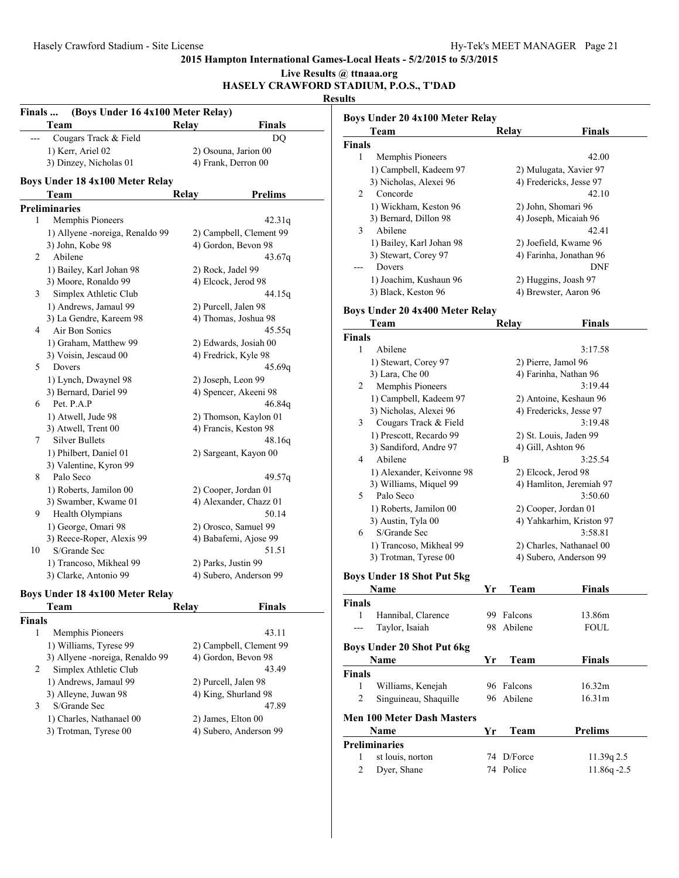#### **2015 Hampton International Games-Local Heats - 5/2/2015 to 5/3/2015 Live Results @ ttnaaa.org**

**HASELY CRAWFORD STADIUM, P.O.S., T'DAD**

| Finals               | (Boys Under 16 4x100 Meter Relay) |              |                         |  |  |
|----------------------|-----------------------------------|--------------|-------------------------|--|--|
|                      | Team                              | Relay        | <b>Finals</b>           |  |  |
|                      | Cougars Track & Field             |              | DO                      |  |  |
|                      | 1) Kerr, Ariel 02                 |              | 2) Osouna, Jarion 00    |  |  |
|                      | 3) Dinzey, Nicholas 01            |              | 4) Frank, Derron 00     |  |  |
|                      | Boys Under 18 4x100 Meter Relay   |              |                         |  |  |
|                      |                                   |              |                         |  |  |
|                      | Team                              | <b>Relay</b> | <b>Prelims</b>          |  |  |
| <b>Preliminaries</b> |                                   |              |                         |  |  |
| 1                    | Memphis Pioneers                  |              | 42.31q                  |  |  |
|                      | 1) Allyene -noreiga, Renaldo 99   |              | 2) Campbell, Clement 99 |  |  |
|                      | 3) John, Kobe 98                  |              | 4) Gordon, Bevon 98     |  |  |
| 2                    | Abilene                           |              | 43.67g                  |  |  |
|                      | 1) Bailey, Karl Johan 98          |              | 2) Rock, Jadel 99       |  |  |
|                      | 3) Moore, Ronaldo 99              |              | 4) Elcock, Jerod 98     |  |  |
| 3                    | Simplex Athletic Club             |              | 44.15g                  |  |  |
|                      | 1) Andrews, Jamaul 99             |              | 2) Purcell, Jalen 98    |  |  |
|                      | 3) La Gendre, Kareem 98           |              | 4) Thomas, Joshua 98    |  |  |
| 4                    | Air Bon Sonics                    |              | 45.55q                  |  |  |
|                      | 1) Graham, Matthew 99             |              | 2) Edwards, Josiah 00   |  |  |
|                      | 3) Voisin, Jescaud 00             |              | 4) Fredrick, Kyle 98    |  |  |
| 5                    | Dovers                            |              | 45.69g                  |  |  |
|                      | 1) Lynch, Dwaynel 98              |              | 2) Joseph, Leon 99      |  |  |
|                      | 3) Bernard, Dariel 99             |              | 4) Spencer, Akeeni 98   |  |  |
| 6                    | Pet. P.A.P                        |              | 46.84g                  |  |  |
|                      | 1) Atwell, Jude 98                |              | 2) Thomson, Kaylon 01   |  |  |
|                      | 3) Atwell, Trent 00               |              | 4) Francis, Keston 98   |  |  |
| 7                    | <b>Silver Bullets</b>             |              | 48.16g                  |  |  |
|                      | 1) Philbert, Daniel 01            |              | 2) Sargeant, Kayon 00   |  |  |
|                      | 3) Valentine, Kyron 99            |              |                         |  |  |
| 8                    | Palo Seco                         |              | 49.57q                  |  |  |
|                      | 1) Roberts, Jamilon 00            |              | 2) Cooper, Jordan 01    |  |  |
|                      | 3) Swamber, Kwame 01              |              | 4) Alexander, Chazz 01  |  |  |
| 9                    | Health Olympians                  |              | 50.14                   |  |  |
|                      | 1) George, Omari 98               |              | 2) Orosco, Samuel 99    |  |  |
|                      | 3) Reece-Roper, Alexis 99         |              | 4) Babafemi, Ajose 99   |  |  |
| 10                   | S/Grande Sec                      |              | 51.51                   |  |  |
|                      | 1) Trancoso, Mikheal 99           |              | 2) Parks, Justin 99     |  |  |
|                      | 3) Clarke, Antonio 99             |              | 4) Subero, Anderson 99  |  |  |
|                      |                                   |              |                         |  |  |
|                      | Boys Under 18 4x100 Meter Relay   |              |                         |  |  |

|               | Team                             | Relav                  | Finals                  |
|---------------|----------------------------------|------------------------|-------------------------|
| <b>Finals</b> |                                  |                        |                         |
| 1             | Memphis Pioneers                 |                        | 43.11                   |
|               | 1) Williams, Tyrese 99           |                        | 2) Campbell, Clement 99 |
|               | 3) Allyene - noreiga, Renaldo 99 | 4) Gordon, Bevon 98    |                         |
| 2             | Simplex Athletic Club            |                        | 43.49                   |
|               | 1) Andrews, Jamaul 99            | 2) Purcell, Jalen 98   |                         |
|               | 3) Alleyne, Juwan 98             | 4) King, Shurland 98   |                         |
| 3             | S/Grande Sec                     |                        | 47.89                   |
|               | 1) Charles, Nathanael 00         | 2) James, Elton 00     |                         |
|               | 3) Trotman, Tyrese 00            | 4) Subero, Anderson 99 |                         |

|                | Boys Under 20 4x100 Meter Relay   |    |                     |                          |
|----------------|-----------------------------------|----|---------------------|--------------------------|
|                | Team                              |    | Relay               | <b>Finals</b>            |
| Finals         |                                   |    |                     |                          |
| 1              | Memphis Pioneers                  |    |                     | 42.00                    |
|                | 1) Campbell, Kadeem 97            |    |                     | 2) Mulugata, Xavier 97   |
|                | 3) Nicholas, Alexei 96            |    |                     | 4) Fredericks, Jesse 97  |
| $\mathbf{2}$   | Concorde                          |    |                     | 42.10                    |
|                | 1) Wickham, Keston 96             |    |                     | 2) John, Shomari 96      |
|                | 3) Bernard, Dillon 98             |    |                     | 4) Joseph, Micaiah 96    |
| 3              | Abilene                           |    |                     | 42.41                    |
|                | 1) Bailey, Karl Johan 98          |    |                     | 2) Joefield, Kwame 96    |
|                | 3) Stewart, Corey 97              |    |                     | 4) Farinha, Jonathan 96  |
| ---            | Dovers                            |    |                     | <b>DNF</b>               |
|                | 1) Joachim, Kushaun 96            |    |                     | 2) Huggins, Joash 97     |
|                | 3) Black, Keston 96               |    |                     | 4) Brewster, Aaron 96    |
|                | Boys Under 20 4x400 Meter Relay   |    |                     |                          |
|                | Team                              |    | Relay               | <b>Finals</b>            |
| <b>Finals</b>  |                                   |    |                     |                          |
| 1              | Abilene                           |    |                     | 3:17.58                  |
|                | 1) Stewart, Corey 97              |    | 2) Pierre, Jamol 96 |                          |
|                | 3) Lara, Che 00                   |    |                     | 4) Farinha, Nathan 96    |
| $\overline{2}$ | Memphis Pioneers                  |    |                     | 3:19.44                  |
|                | 1) Campbell, Kadeem 97            |    |                     | 2) Antoine, Keshaun 96   |
|                | 3) Nicholas, Alexei 96            |    |                     | 4) Fredericks, Jesse 97  |
| 3              | Cougars Track & Field             |    |                     | 3:19.48                  |
|                | 1) Prescott, Recardo 99           |    |                     | 2) St. Louis, Jaden 99   |
|                | 3) Sandiford, Andre 97            |    | 4) Gill, Ashton 96  |                          |
| 4              | Abilene                           |    | B                   | 3:25.54                  |
|                | 1) Alexander, Keivonne 98         |    | 2) Elcock, Jerod 98 |                          |
|                | 3) Williams, Miquel 99            |    |                     | 4) Hamliton, Jeremiah 97 |
| 5.             | Palo Seco                         |    |                     | 3:50.60                  |
|                | 1) Roberts, Jamilon 00            |    |                     | 2) Cooper, Jordan 01     |
|                | 3) Austin, Tyla 00                |    |                     | 4) Yahkarhim, Kriston 97 |
| 6              | S/Grande Sec                      |    |                     | 3:58.81                  |
|                | 1) Trancoso, Mikheal 99           |    |                     | 2) Charles, Nathanael 00 |
|                | 3) Trotman, Tyrese 00             |    |                     | 4) Subero, Anderson 99   |
|                |                                   |    |                     |                          |
|                | <b>Boys Under 18 Shot Put 5kg</b> |    |                     |                          |
|                | <u>Name</u>                       | Yr | <b>Team</b>         | <b>Finals</b>            |
| <b>Finals</b>  |                                   |    |                     |                          |
| $\mathbf{1}$   | Hannibal, Clarence                |    | 99 Falcons          | 13.86m                   |
| $---$          | Taylor, Isaiah                    |    | 98 Abilene          | <b>FOUL</b>              |
|                | <b>Boys Under 20 Shot Put 6kg</b> |    |                     |                          |
|                | Name                              | Yr | Team                | <b>Finals</b>            |
| <b>Finals</b>  |                                   |    |                     |                          |
| $\mathbf{1}$   | Williams, Kenejah                 | 96 | Falcons             | 16.32m                   |
| $\overline{c}$ | Singuineau, Shaquille             | 96 | Abilene             | 16.31m                   |

# **Men 100 Meter Dash Masters**

| <b>Name</b>   |                  | Vr. | <b>Prelims</b> |                |  |  |
|---------------|------------------|-----|----------------|----------------|--|--|
| Preliminaries |                  |     |                |                |  |  |
| $\mathbf{1}$  | st louis, norton |     | 74 D/Force     | 11.39q 2.5     |  |  |
|               | 2 Dyer, Shane    |     | 74 Police      | $11.86q - 2.5$ |  |  |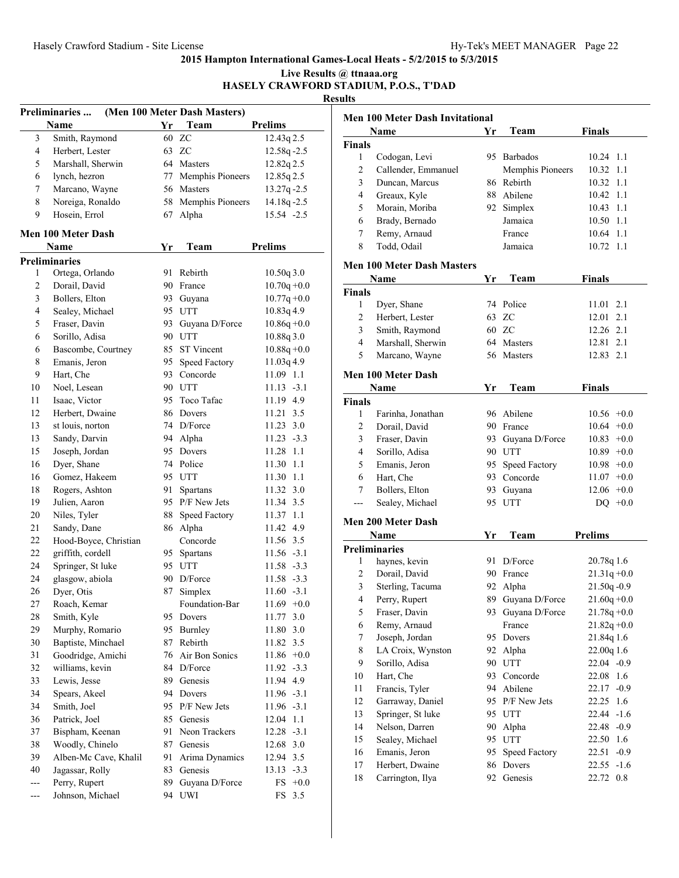|                   |                                         |    |                                      |                | Live Results @ ttnaaa.org<br><b>Results</b> | HASELY CRAWFORD STADIUM, P.O.S., T'DAD |
|-------------------|-----------------------------------------|----|--------------------------------------|----------------|---------------------------------------------|----------------------------------------|
|                   | Preliminaries<br>Name                   | Yr | (Men 100 Meter Dash Masters)<br>Team | <b>Prelims</b> |                                             | Men 100 Meter Dash Invi                |
| 3                 | Smith, Raymond                          |    | 60 ZC                                | 12.43q 2.5     |                                             | Name                                   |
| $\overline{4}$    | Herbert, Lester                         |    | 63 ZC                                | 12.58q-2.5     | <b>Finals</b>                               |                                        |
| 5                 | Marshall, Sherwin                       |    | 64 Masters                           | 12.82q 2.5     | $\mathbf{1}$                                | Codogan, Levi                          |
| 6                 | lynch, hezron                           |    | 77 Memphis Pioneers                  | 12.85q 2.5     | 2                                           | Callender, Emmanuel                    |
| 7                 | Marcano, Wayne                          |    | 56 Masters                           | $13.27q - 2.5$ | 3                                           | Duncan, Marcus                         |
| 8                 | Noreiga, Ronaldo                        |    | 58 Memphis Pioneers                  | $14.18q - 2.5$ | $\overline{4}$                              | Greaux, Kyle                           |
| 9                 | Hosein, Errol                           |    | 67 Alpha                             | 15.54 -2.5     | 5                                           | Morain, Moriba                         |
|                   |                                         |    |                                      |                | 6                                           | Brady, Bernado                         |
|                   | Men 100 Meter Dash                      |    |                                      |                | 7                                           | Remy, Arnaud                           |
|                   | <b>Name</b>                             | Yr | Team                                 | <b>Prelims</b> | 8                                           | Todd, Odail                            |
|                   | <b>Preliminaries</b>                    |    |                                      |                |                                             | Men 100 Meter Dash Mas                 |
| 1                 | Ortega, Orlando                         |    | 91 Rebirth                           | 10.50q 3.0     |                                             |                                        |
| $\overline{c}$    | Dorail, David                           |    | 90 France                            | $10.70q + 0.0$ |                                             | Name                                   |
| 3                 | Bollers, Elton                          |    | 93 Guyana                            | $10.77q + 0.0$ | <b>Finals</b>                               |                                        |
| $\overline{4}$    | Sealey, Michael                         |    | 95 UTT                               | 10.83q 4.9     | $\mathbf{1}$                                | Dyer, Shane                            |
| 5                 | Fraser, Davin                           |    | 93 Guyana D/Force                    | $10.86q + 0.0$ | 2                                           | Herbert, Lester                        |
| 6                 | Sorillo, Adisa                          |    | 90 UTT                               | 10.88q 3.0     | 3                                           | Smith, Raymond                         |
| 6                 | Bascombe, Courtney                      |    | 85 ST Vincent                        | $10.88q + 0.0$ | $\overline{4}$                              | Marshall, Sherwin                      |
| 8                 | Emanis, Jeron                           |    | 95 Speed Factory                     | $11.03q$ 4.9   | 5                                           | Marcano, Wayne                         |
| 9                 | Hart, Che                               |    | 93 Concorde                          | 11.09 1.1      |                                             | Men 100 Meter Dash                     |
| 10                | Noel, Lesean                            |    | 90 UTT                               | $11.13 - 3.1$  |                                             | Name                                   |
| 11                | Isaac, Victor                           |    | 95 Toco Tafac                        | 11.19 4.9      | <b>Finals</b>                               |                                        |
| 12                | Herbert, Dwaine                         |    | 86 Dovers                            | 11.21 3.5      | $\mathbf{1}$                                | Farinha, Jonathan                      |
| 13                | st louis, norton                        |    | 74 D/Force                           | 11.23 3.0      | $\overline{c}$                              | Dorail, David                          |
| 13                | Sandy, Darvin                           |    | 94 Alpha                             | $11.23 - 3.3$  | 3                                           | Fraser, Davin                          |
| 15                | Joseph, Jordan                          |    | 95 Dovers                            | 11.28 1.1      | $\overline{4}$                              | Sorillo, Adisa                         |
| 16                | Dyer, Shane                             |    | 74 Police                            | 11.30 1.1      | 5                                           | Emanis, Jeron                          |
| 16                | Gomez, Hakeem                           |    | 95 UTT                               | 11.30 1.1      | 6                                           | Hart, Che                              |
| 18                | Rogers, Ashton                          |    | 91 Spartans                          | 11.32 3.0      | 7                                           | Bollers, Elton                         |
| 19                | Julien, Aaron                           |    | 95 P/F New Jets                      | 11.34 3.5      |                                             | Sealey, Michael                        |
| 20                | Niles, Tyler                            |    | 88 Speed Factory                     | 11.37 1.1      |                                             |                                        |
| 21                | Sandy, Dane                             |    | 86 Alpha                             | 11.42 4.9      |                                             | Men 200 Meter Dash                     |
| 22                | Hood-Boyce, Christian                   |    | Concorde                             | 11.56 3.5      |                                             | Name                                   |
| 22                | griffith, cordell                       |    | 95 Spartans                          | $11.56 - 3.1$  |                                             | Preliminaries                          |
| 24                | Springer, St luke                       |    | 95 UTT                               | 11.58 -3.3     |                                             | 1 haynes, kevin                        |
| 24                | glasgow, abiola                         |    | 90 D/Force                           | $11.58 - 3.3$  | $\overline{c}$                              | Dorail, David                          |
| 26                | Dyer, Otis                              |    | 87 Simplex                           | $11.60 -3.1$   | 3                                           | Sterling, Tacuma                       |
| $27\,$            | Roach, Kemar                            |    | Foundation-Bar                       | $11.69 + 0.0$  | $\overline{4}$                              | Perry, Rupert                          |
| $28\,$            | Smith, Kyle                             |    | 95 Dovers                            |                | $\sqrt{5}$                                  | Fraser, Davin                          |
|                   |                                         |    |                                      | 11.77 3.0      | 6                                           | Remy, Arnaud                           |
| 29                | Murphy, Romario                         |    | 95 Burnley                           | 11.80 3.0      | $\tau$                                      | Joseph, Jordan                         |
| 30                | Baptiste, Minchael<br>Goodridge, Amichi |    | 87 Rebirth                           | 11.82 3.5      | $\,$ 8 $\,$                                 | LA Croix, Wynston                      |
| 31                |                                         |    | 76 Air Bon Sonics                    | $11.86 + 0.0$  | 9                                           | Sorillo, Adisa                         |
| 32                | williams, kevin                         |    | 84 D/Force                           | $11.92 -3.3$   | 10                                          | Hart, Che                              |
| 33                | Lewis, Jesse                            |    | 89 Genesis                           | 11.94 4.9      | 11                                          | Francis, Tyler                         |
| 34                | Spears, Akeel                           |    | 94 Dovers                            | $11.96 - 3.1$  | 12                                          | Garraway, Daniel                       |
| 34                | Smith, Joel                             |    | 95 P/F New Jets                      | $11.96 - 3.1$  | 13                                          | Springer, St luke                      |
| 36                | Patrick, Joel                           |    | 85 Genesis                           | 12.04 1.1      | 14                                          | Nelson, Darren                         |
| 37                | Bispham, Keenan                         |    | 91 Neon Trackers                     | $12.28 - 3.1$  | 15                                          | Sealey, Michael                        |
| 38                | Woodly, Chinelo                         | 87 | Genesis                              | 12.68 3.0      | 16                                          | Emanis, Jeron                          |
| 39                | Alben-Mc Cave, Khalil                   |    | 91 Arima Dynamics                    | 12.94 3.5      | 17                                          | Herbert, Dwaine                        |
| 40                | Jagassar, Rolly                         | 83 | Genesis                              | $13.13 - 3.3$  | 18                                          | Carrington, Ilya                       |
| $\overline{a}$    | Perry, Rupert                           |    | 89 Guyana D/Force                    | $FS$ +0.0      |                                             |                                        |
| $\qquad \qquad -$ | Johnson, Michael                        |    | 94 UWI                               | FS 3.5         |                                             |                                        |

| <b>Men 100 Meter Dash Invitational</b> |                                   |     |                   |                 |  |  |  |
|----------------------------------------|-----------------------------------|-----|-------------------|-----------------|--|--|--|
|                                        | Name                              | Yr  | Team              | <b>Finals</b>   |  |  |  |
| <b>Finals</b>                          |                                   |     |                   |                 |  |  |  |
| 1                                      | Codogan, Levi                     |     | 95 Barbados       | 10.24 1.1       |  |  |  |
| $\overline{c}$                         | Callender, Emmanuel               |     | Memphis Pioneers  | 10.32 1.1       |  |  |  |
| 3                                      | Duncan, Marcus                    | 86  | Rebirth           | 10.32 1.1       |  |  |  |
| 4                                      | Greaux, Kyle                      |     | 88 Abilene        | 10.42 1.1       |  |  |  |
| 5                                      | Morain, Moriba                    |     | 92 Simplex        | 10.43 1.1       |  |  |  |
| 6                                      | Brady, Bernado                    |     | Jamaica           | 10.50 1.1       |  |  |  |
| 7                                      | Remy, Arnaud                      |     | France            | 10.64 1.1       |  |  |  |
| 8                                      | Todd, Odail                       |     | Jamaica           | 10.72 1.1       |  |  |  |
|                                        | <b>Men 100 Meter Dash Masters</b> |     |                   |                 |  |  |  |
|                                        | Name                              | Yr  | Team              | <b>Finals</b>   |  |  |  |
| <b>Finals</b>                          |                                   |     |                   |                 |  |  |  |
| 1                                      | Dyer, Shane                       |     | 74 Police         | 2.1<br>11.01    |  |  |  |
| 2                                      | Herbert, Lester                   |     | 63 ZC             | 12.01 2.1       |  |  |  |
| 3                                      | Smith, Raymond                    |     | 60 ZC             | 12.26 2.1       |  |  |  |
| $\overline{4}$                         | Marshall, Sherwin                 |     | 64 Masters        | 12.81 2.1       |  |  |  |
| 5                                      | Marcano, Wayne                    |     | 56 Masters        | 12.83<br>2.1    |  |  |  |
|                                        | <b>Men 100 Meter Dash</b>         |     |                   |                 |  |  |  |
|                                        | Name                              | Yr  | Team              | <b>Finals</b>   |  |  |  |
| <b>Finals</b>                          |                                   |     |                   |                 |  |  |  |
| 1                                      | Farinha, Jonathan                 |     | 96 Abilene        | $10.56 + 0.0$   |  |  |  |
| 2                                      | Dorail, David                     |     | 90 France         | $10.64 + 0.0$   |  |  |  |
| 3                                      | Fraser, Davin                     | 93  | Guyana D/Force    | $10.83 + 0.0$   |  |  |  |
| 4                                      | Sorillo, Adisa                    |     | 90 UTT            | $10.89 + 0.0$   |  |  |  |
| 5                                      | Emanis, Jeron                     | 95. | Speed Factory     | $10.98 + 0.0$   |  |  |  |
| 6                                      | Hart, Che                         | 93  | Concorde          | $11.07 +0.0$    |  |  |  |
| 7                                      | Bollers, Elton                    | 93. | Guyana            | $12.06 +0.0$    |  |  |  |
|                                        | Sealey, Michael                   | 95  | <b>UTT</b>        | DQ.<br>$+0.0$   |  |  |  |
|                                        | <b>Men 200 Meter Dash</b>         |     |                   |                 |  |  |  |
|                                        | <b>Name</b>                       | Yr  | Team              | <b>Prelims</b>  |  |  |  |
|                                        | <b>Preliminaries</b>              |     |                   |                 |  |  |  |
| 1                                      | haynes, kevin                     |     | 91 D/Force        | 20.78q 1.6      |  |  |  |
| 2                                      | Dorail, David                     |     | 90 France         | $21.31q + 0.0$  |  |  |  |
| 3                                      | Sterling, Tacuma                  |     | 92 Alpha          | $21.50q - 0.9$  |  |  |  |
| 4                                      | Perry, Rupert                     |     | 89 Guyana D/Force | $21.60q + 0.0$  |  |  |  |
| 5                                      | Fraser, Davin                     |     | 93 Guyana D/Force | $21.78q + 0.0$  |  |  |  |
| 6                                      | Remy, Arnaud                      |     | France            | $21.82q + 0.0$  |  |  |  |
| 7                                      | Joseph, Jordan                    | 95  | Dovers            | 21.84q 1.6      |  |  |  |
| 8                                      | LA Croix, Wynston                 | 92  | Alpha             | 22.00q 1.6      |  |  |  |
| 9                                      | Sorillo, Adisa                    | 90  | <b>UTT</b>        | $22.04 -0.9$    |  |  |  |
| 10                                     | Hart, Che                         | 93  | Concorde          | 22.08<br>1.6    |  |  |  |
| 11                                     | Francis, Tyler                    | 94  | Abilene           | 22.17<br>$-0.9$ |  |  |  |
| 12                                     | Garraway, Daniel                  | 95  | P/F New Jets      | 22.25<br>1.6    |  |  |  |
| 13                                     | Springer, St luke                 |     | 95 UTT            | 22.44 -1.6      |  |  |  |
| 14                                     | Nelson, Darren                    |     | 90 Alpha          | 22.48 -0.9      |  |  |  |
| 15                                     | Sealey, Michael                   |     | 95 UTT            | 22.50 1.6       |  |  |  |
| 16                                     | Emanis, Jeron                     | 95  | Speed Factory     | 22.51<br>$-0.9$ |  |  |  |
| 17                                     | Herbert, Dwaine                   | 86  | Dovers            | 22.55<br>$-1.6$ |  |  |  |
| 18                                     | Carrington, Ilya                  | 92  | Genesis           | 22.72 0.8       |  |  |  |
|                                        |                                   |     |                   |                 |  |  |  |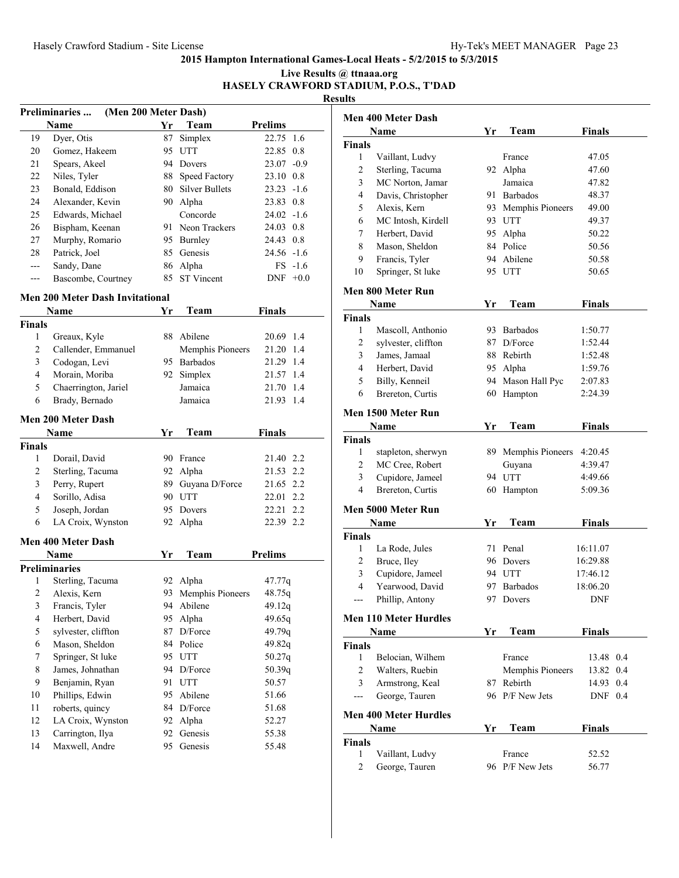#### **Live Results @ ttnaaa.org HASELY CRAWFORD STADIUM, P.O.S., T'DAD**

**Results**

| <b>Preliminaries </b><br>(Men 200 Meter Dash) |                    |     |                       |                |           |  |
|-----------------------------------------------|--------------------|-----|-----------------------|----------------|-----------|--|
|                                               | Name               | Yr  | Team                  | <b>Prelims</b> |           |  |
| 19                                            | Dyer, Otis         | 87  | Simplex               | 22.75 1.6      |           |  |
| 20                                            | Gomez, Hakeem      | 95  | <b>UTT</b>            | 22.85 0.8      |           |  |
| 21                                            | Spears, Akeel      | 94  | Dovers                | $23.07 -0.9$   |           |  |
| 22                                            | Niles, Tyler       | 88  | Speed Factory         | 23.10 0.8      |           |  |
| 23                                            | Bonald, Eddison    | 80. | <b>Silver Bullets</b> | $23.23 - 1.6$  |           |  |
| 24                                            | Alexander, Kevin   | 90. | Alpha                 | 23.83 0.8      |           |  |
| 25                                            | Edwards, Michael   |     | Concorde              | $24.02 - 1.6$  |           |  |
| 26                                            | Bispham, Keenan    | 91. | Neon Trackers         | 24.03 0.8      |           |  |
| 27                                            | Murphy, Romario    | 95. | Burnley               | 24.43 0.8      |           |  |
| 28                                            | Patrick, Joel      |     | 85 Genesis            | $24.56 - 1.6$  |           |  |
|                                               | Sandy, Dane        |     | 86 Alpha              |                | $FS -1.6$ |  |
|                                               | Bascombe, Courtney |     | 85 ST Vincent         | <b>DNF</b>     | $+0.0$    |  |

# **Men 200 Meter Dash Invitational**

|                | Name                      | Yr  | Team             | <b>Finals</b>  |
|----------------|---------------------------|-----|------------------|----------------|
| <b>Finals</b>  |                           |     |                  |                |
| 1              | Greaux, Kyle              | 88  | Abilene          | 20.69<br>1.4   |
| 2              | Callender, Emmanuel       |     | Memphis Pioneers | 21.20<br>1.4   |
| 3              | Codogan, Levi             | 95  | <b>Barbados</b>  | 21.29<br>1.4   |
| $\overline{4}$ | Morain, Moriba            | 92. | Simplex          | 21.57<br>1.4   |
| 5              | Chaerrington, Jariel      |     | Jamaica          | 21.70<br>1.4   |
| 6              | Brady, Bernado            |     | Jamaica          | 21.93<br>1.4   |
|                | <b>Men 200 Meter Dash</b> |     |                  |                |
|                | Name                      | Yr  | Team             | <b>Finals</b>  |
| <b>Finals</b>  |                           |     |                  |                |
| 1              | Dorail, David             | 90  | France           | 21.40 2.2      |
| $\overline{c}$ | Sterling, Tacuma          | 92  | Alpha            | 21.53<br>2.2   |
| 3              | Perry, Rupert             | 89  | Guyana D/Force   | 21.65 2.2      |
| $\overline{4}$ | Sorillo, Adisa            | 90  | <b>UTT</b>       | 2.2<br>22.01   |
| 5              | Joseph, Jordan            | 95  | Dovers           | 2.2<br>22.21   |
| 6              | LA Croix, Wynston         | 92  | Alpha            | 22.39 2.2      |
|                |                           |     |                  |                |
|                | <b>Men 400 Meter Dash</b> |     |                  |                |
|                | <b>Name</b>               | Yr  | Team             | <b>Prelims</b> |
|                | <b>Preliminaries</b>      |     |                  |                |
| 1              | Sterling, Tacuma          | 92  | Alpha            | 47.77q         |
| 2              | Alexis, Kern              | 93  | Memphis Pioneers | 48.75q         |
| 3              | Francis, Tyler            | 94  | Abilene          | 49.12q         |
| $\overline{4}$ | Herbert, David            | 95  | Alpha            | 49.65q         |
| 5              | sylvester, cliffton       | 87  | D/Force          | 49.79q         |
| 6              | Mason, Sheldon            | 84  | Police           | 49.82q         |
| 7              | Springer, St luke         | 95  | <b>UTT</b>       | 50.27q         |
| 8              | James, Johnathan          | 94  | D/Force          | 50.39q         |
| 9              | Benjamin, Ryan            |     | 91 UTT           | 50.57          |
| 10             | Phillips, Edwin           | 95  | Abilene          | 51.66          |
| 11             | roberts, quincy           | 84  | D/Force          | 51.68          |
| 12             | LA Croix, Wynston         | 92  | Alpha            | 52.27          |
| 13             | Carrington, Ilya          | 92  | Genesis          | 55.38          |

| Men 400 Meter Dash |                              |    |                     |               |  |  |  |
|--------------------|------------------------------|----|---------------------|---------------|--|--|--|
|                    | Name                         | Yr | Team                | <b>Finals</b> |  |  |  |
| Finals             |                              |    |                     |               |  |  |  |
| 1                  | Vaillant, Ludvy              |    | France              | 47.05         |  |  |  |
| 2                  | Sterling, Tacuma             |    | 92 Alpha            | 47.60         |  |  |  |
| 3                  | MC Norton, Jamar             |    | Jamaica             | 47.82         |  |  |  |
| 4                  | Davis, Christopher           |    | 91 Barbados         | 48.37         |  |  |  |
| 5                  | Alexis, Kern                 |    | 93 Memphis Pioneers | 49.00         |  |  |  |
| 6                  | MC Intosh, Kirdell           |    | 93 UTT              | 49.37         |  |  |  |
| 7                  | Herbert. David               |    | 95 Alpha            | 50.22         |  |  |  |
| 8                  | Mason, Sheldon               |    | 84 Police           | 50.56         |  |  |  |
| 9                  | Francis, Tyler               |    | 94 Abilene          | 50.58         |  |  |  |
| 10                 | Springer, St luke            |    | 95 UTT              | 50.65         |  |  |  |
|                    | Men 800 Meter Run            |    |                     |               |  |  |  |
|                    | Name                         | Yr | Team                | Finals        |  |  |  |
| Finals             |                              |    |                     |               |  |  |  |
| 1                  | Mascoll, Anthonio            |    | 93 Barbados         | 1:50.77       |  |  |  |
| 2                  | sylvester, cliffton          | 87 | $D/F$ orce          | 1:52.44       |  |  |  |
| 3                  | James, Jamaal                |    | 88 Rebirth          | 1:52.48       |  |  |  |
| 4                  | Herbert, David               |    | 95 Alpha            | 1:59.76       |  |  |  |
| 5                  | Billy, Kenneil               |    | 94 Mason Hall Pyc   | 2:07.83       |  |  |  |
| 6                  | Brereton, Curtis             | 60 | Hampton             | 2:24.39       |  |  |  |
| Men 1500 Meter Run |                              |    |                     |               |  |  |  |
|                    | Name                         | Yr | Team                | <b>Finals</b> |  |  |  |
| <b>Finals</b>      |                              |    |                     |               |  |  |  |
| 1                  | stapleton, sherwyn           |    | 89 Memphis Pioneers | 4:20.45       |  |  |  |
| 2                  | MC Cree, Robert              |    | Guyana              | 4:39.47       |  |  |  |
| 3                  | Cupidore, Jameel             |    | 94 UTT              | 4:49.66       |  |  |  |
| 4                  | Brereton, Curtis             |    | 60 Hampton          | 5:09.36       |  |  |  |
|                    | Men 5000 Meter Run           |    |                     |               |  |  |  |
|                    | Name                         | Yr | Team                | <b>Finals</b> |  |  |  |
| <b>Finals</b>      |                              |    |                     |               |  |  |  |
| 1                  | La Rode, Jules               |    | 71 Penal            | 16:11.07      |  |  |  |
| 2                  | Bruce, Iley                  |    | 96 Dovers           | 16:29.88      |  |  |  |
| 3                  | Cupidore, Jameel             |    | 94 UTT              | 17:46.12      |  |  |  |
| 4                  | Yearwood, David              |    | 97 Barbados         | 18:06.20      |  |  |  |
| ---                | Phillip, Antony              | 97 | Dovers              | DNF           |  |  |  |
|                    | <b>Men 110 Meter Hurdles</b> |    |                     |               |  |  |  |
|                    | <b>Name</b>                  | Yr | Team                | <b>Finals</b> |  |  |  |
| Finals             |                              |    |                     |               |  |  |  |
| 1                  | Belocian, Wilhem             |    | France              | 13.48 0.4     |  |  |  |
| 2                  | Walters, Ruebin              |    | Memphis Pioneers    | 13.82 0.4     |  |  |  |
| 3                  | Armstrong, Keal              | 87 | Rebirth             | 14.93 0.4     |  |  |  |
| ---                | George, Tauren               |    | 96 P/F New Jets     | $DNF$ 0.4     |  |  |  |
|                    |                              |    |                     |               |  |  |  |
|                    | <b>Men 400 Meter Hurdles</b> |    |                     |               |  |  |  |
|                    | Name                         | Yr | Team                | <b>Finals</b> |  |  |  |
| <b>Finals</b>      |                              |    |                     |               |  |  |  |
| 1                  | Vaillant, Ludvy              |    | France              | 52.52         |  |  |  |
| 2                  | George, Tauren               |    | 96 P/F New Jets     | 56.77         |  |  |  |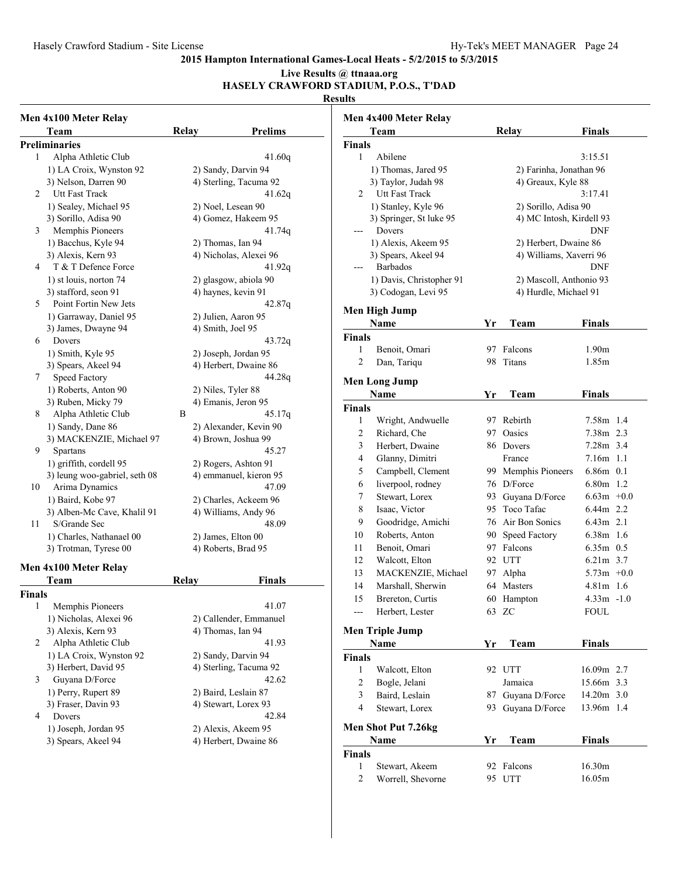## **Live Results @ ttnaaa.org**

## **HASELY CRAWFORD STADIUM, P.O.S., T'DAD**

|        | Men 4x100 Meter Relay         |              |                      |                        |
|--------|-------------------------------|--------------|----------------------|------------------------|
|        | Team                          | <b>Relay</b> |                      | <b>Prelims</b>         |
|        | <b>Preliminaries</b>          |              |                      |                        |
| 1      | Alpha Athletic Club           |              |                      | 41.60q                 |
|        | 1) LA Croix, Wynston 92       |              | 2) Sandy, Darvin 94  |                        |
|        | 3) Nelson, Darren 90          |              |                      | 4) Sterling, Tacuma 92 |
| 2      | Utt Fast Track                |              |                      | 41.62g                 |
|        | 1) Sealey, Michael 95         |              | 2) Noel, Lesean 90   |                        |
|        | 3) Sorillo, Adisa 90          |              |                      | 4) Gomez, Hakeem 95    |
| 3      | Memphis Pioneers              |              |                      | 41.74q                 |
|        | 1) Bacchus, Kyle 94           |              | 2) Thomas, Ian 94    |                        |
|        | 3) Alexis, Kern 93            |              |                      | 4) Nicholas, Alexei 96 |
| 4      | T & T Defence Force           |              |                      | 41.92q                 |
|        | 1) st louis, norton 74        |              |                      | 2) glasgow, abiola 90  |
|        | 3) stafford, seon 91          |              | 4) haynes, kevin 91  |                        |
| 5      | Point Fortin New Jets         |              |                      | 42.87q                 |
|        | 1) Garraway, Daniel 95        |              | 2) Julien, Aaron 95  |                        |
|        | 3) James, Dwayne 94           |              | 4) Smith, Joel 95    |                        |
| 6      | Dovers                        |              |                      | 43.72g                 |
|        | 1) Smith, Kyle 95             |              | 2) Joseph, Jordan 95 |                        |
|        | 3) Spears, Akeel 94           |              |                      | 4) Herbert, Dwaine 86  |
| 7      | Speed Factory                 |              |                      | 44.28g                 |
|        | 1) Roberts, Anton 90          |              | 2) Niles, Tyler 88   |                        |
|        | 3) Ruben, Micky 79            |              | 4) Emanis, Jeron 95  |                        |
| 8      | Alpha Athletic Club           | В            |                      | 45.17g                 |
|        | 1) Sandy, Dane 86             |              |                      | 2) Alexander, Kevin 90 |
|        | 3) MACKENZIE, Michael 97      |              | 4) Brown, Joshua 99  |                        |
| 9      | Spartans                      |              |                      | 45.27                  |
|        | 1) griffith, cordell 95       |              | 2) Rogers, Ashton 91 |                        |
|        | 3) leung woo-gabriel, seth 08 |              |                      | 4) emmanuel, kieron 95 |
| 10     | Arima Dynamics                |              |                      | 47.09                  |
|        | 1) Baird, Kobe 97             |              |                      | 2) Charles, Ackeem 96  |
|        | 3) Alben-Mc Cave, Khalil 91   |              |                      | 4) Williams, Andy 96   |
| 11     | S/Grande Sec                  |              |                      | 48.09                  |
|        | 1) Charles, Nathanael 00      |              | 2) James, Elton 00   |                        |
|        | 3) Trotman, Tyrese 00         |              | 4) Roberts, Brad 95  |                        |
|        | Men 4x100 Meter Relay         |              |                      |                        |
|        | Team                          | Relay        |                      | Finals                 |
| Finals |                               |              |                      |                        |
| 1      | Memphis Pioneers              |              |                      | 41.07                  |
|        | 1) Nicholas, Alexei 96        |              |                      | 2) Callender, Emmanuel |
|        | 3) Alexis, Kern 93            |              | 4) Thomas, Ian 94    |                        |
| 2      | Alpha Athletic Club           |              |                      | 41.93                  |
|        | 1) LA Croix, Wynston 92       |              | 2) Sandy, Darvin 94  |                        |
|        | 3) Herbert, David 95          |              |                      | 4) Sterling, Tacuma 92 |
| 3      | Guyana D/Force                |              |                      | 42.62                  |
|        | 1) Perry, Rupert 89           |              | 2) Baird, Leslain 87 |                        |
|        | 3) Fraser, Davin 93           |              | 4) Stewart, Lorex 93 |                        |
| 4      | Dovers                        |              |                      | 42.84                  |
|        | 1) Joseph, Jordan 95          |              | 2) Alexis, Akeem 95  |                        |
|        | 3) Spears, Akeel 94           |              |                      | 4) Herbert, Dwaine 86  |
|        |                               |              |                      |                        |

|                | Men 4x400 Meter Relay    |          |                                |                              |  |
|----------------|--------------------------|----------|--------------------------------|------------------------------|--|
|                | Team                     |          | <b>Relay</b>                   | <b>Finals</b>                |  |
| <b>Finals</b>  |                          |          |                                |                              |  |
| 1              | Abilene                  |          |                                | 3:15.51                      |  |
|                | 1) Thomas, Jared 95      |          | 2) Farinha, Jonathan 96        |                              |  |
|                | 3) Taylor, Judah 98      |          | 4) Greaux, Kyle 88             |                              |  |
| 2              | Utt Fast Track           |          |                                | 3:17.41                      |  |
|                | 1) Stanley, Kyle 96      |          | 2) Sorillo, Adisa 90           |                              |  |
|                | 3) Springer, St luke 95  |          | 4) MC Intosh, Kirdell 93       |                              |  |
|                | Dovers                   |          |                                | <b>DNF</b>                   |  |
|                | 1) Alexis, Akeem 95      |          | 2) Herbert, Dwaine 86          |                              |  |
|                | 3) Spears, Akeel 94      |          | 4) Williams, Xaverri 96        |                              |  |
|                | <b>Barbados</b>          |          |                                | DNF                          |  |
|                | 1) Davis, Christopher 91 |          | 2) Mascoll, Anthonio 93        |                              |  |
|                | 3) Codogan, Levi 95      |          | 4) Hurdle, Michael 91          |                              |  |
|                | Men High Jump            |          |                                |                              |  |
|                | <b>Name</b>              | Yr       | Team                           | <b>Finals</b>                |  |
| <b>Finals</b>  |                          |          |                                |                              |  |
| 1              | Benoit, Omari            | 97       | Falcons                        | 1.90m                        |  |
| 2              | Dan, Tariqu              | 98       | Titans                         | 1.85m                        |  |
|                |                          |          |                                |                              |  |
|                | <b>Men Long Jump</b>     |          |                                |                              |  |
|                | <b>Name</b>              | Yr       | Team                           | Finals                       |  |
| Finals<br>1    |                          |          | 97 Rebirth                     | 7.58m 1.4                    |  |
|                | Wright, Andwuelle        |          | Oasics                         |                              |  |
| 2              | Richard, Che             | 97.      |                                | 7.38m 2.3                    |  |
| 3<br>4         | Herbert, Dwaine          |          | 86 Dovers                      | 7.28m 3.4<br>7.16m 1.1       |  |
| 5              | Glanny, Dimitri          |          | France                         |                              |  |
|                | Campbell, Clement        |          | 99 Memphis Pioneers            | $6.86m$ 0.1<br>6.80m 1.2     |  |
| 6              | liverpool, rodney        |          | 76 D/Force                     | $6.63m +0.0$                 |  |
| 7              | Stewart, Lorex           |          | 93 Guyana D/Force              | 6.44m 2.2                    |  |
| 8              | Isaac, Victor            |          | 95 Toco Tafac                  | $6.43m$ 2.1                  |  |
| 9              | Goodridge, Amichi        |          | 76 Air Bon Sonics              | 6.38m 1.6                    |  |
| 10             | Roberts, Anton           |          | 90 Speed Factory<br>97 Falcons | $6.35m$ 0.5                  |  |
| 11             | Benoit, Omari            |          |                                |                              |  |
| 12             | Walcott, Elton           |          | 92 UTT                         | $6.21m$ 3.7                  |  |
| 13             | MACKENZIE, Michael       | 97       | Alpha                          | $5.73m +0.0$                 |  |
| 14<br>15       | Marshall, Sherwin        | 64<br>60 | Masters                        | $4.81m$ 1.6<br>$4.33m - 1.0$ |  |
|                | Brereton, Curtis         |          | Hampton                        | <b>FOUL</b>                  |  |
| ---            | Herbert, Lester          |          | 63 ZC                          |                              |  |
|                | <b>Men Triple Jump</b>   |          |                                |                              |  |
|                | Name                     | Yr       | Team                           | <b>Finals</b>                |  |
| Finals         |                          |          |                                |                              |  |
| 1              | Walcott, Elton           |          | 92 UTT                         | 16.09m 2.7                   |  |
| $\overline{c}$ | Bogle, Jelani            |          | Jamaica                        | 15.66m 3.3                   |  |
| 3              | Baird, Leslain           | 87       | Guyana D/Force                 | 14.20m 3.0                   |  |
| 4              | Stewart, Lorex           | 93.      | Guyana D/Force                 | 13.96m 1.4                   |  |
|                | Men Shot Put 7.26kg      |          |                                |                              |  |
|                | Name                     | Yr       | Team                           | <b>Finals</b>                |  |
| <b>Finals</b>  |                          |          |                                |                              |  |
| 1              | Stewart, Akeem           | 92       | Falcons                        | 16.30m                       |  |
| 2              | Worrell, Shevorne        | 95       | <b>UTT</b>                     | 16.05m                       |  |
|                |                          |          |                                |                              |  |